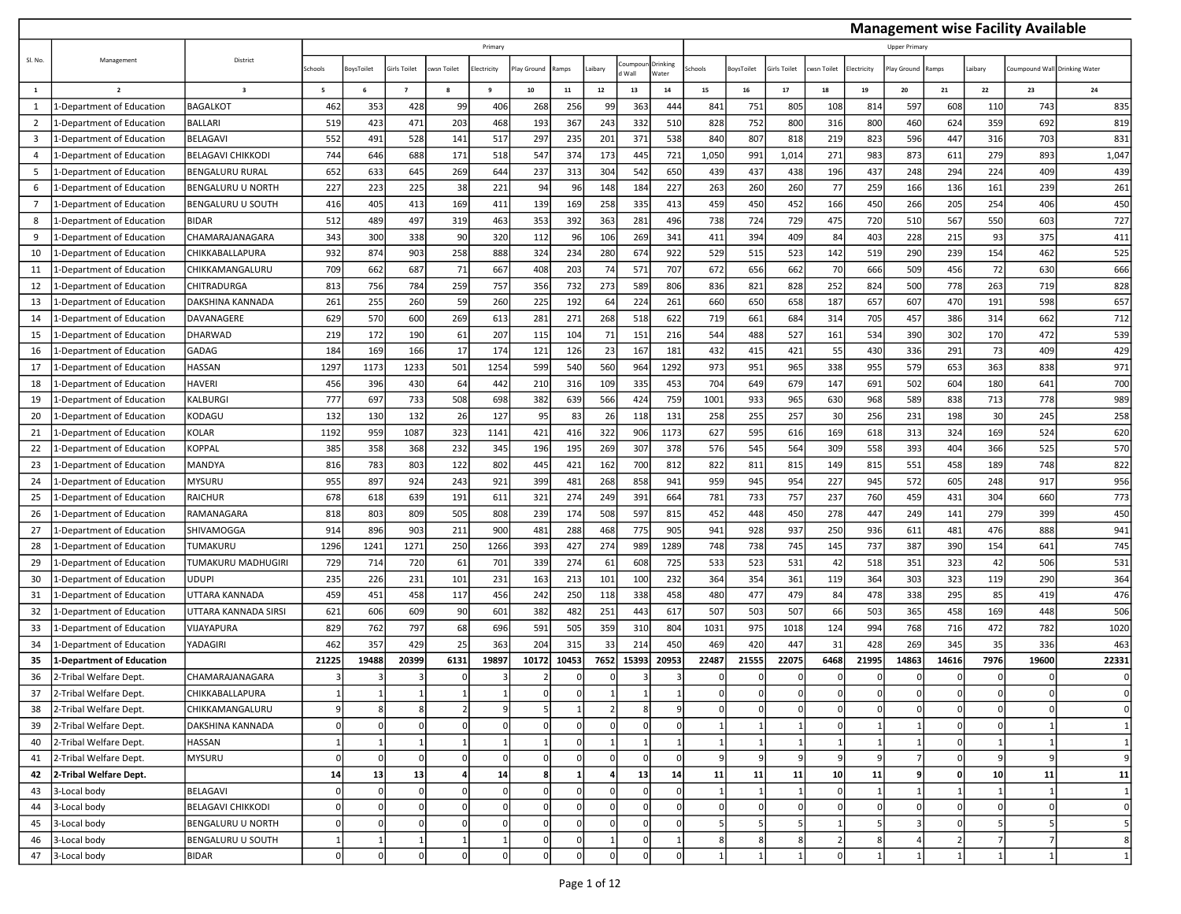|                         |                                                  |                                |                          |           |                |            |             |              |            |              |                 |                   |        |                              |                |            |                    |                     |       |                     | <b>Management wise Facility Available</b> |                       |
|-------------------------|--------------------------------------------------|--------------------------------|--------------------------|-----------|----------------|------------|-------------|--------------|------------|--------------|-----------------|-------------------|--------|------------------------------|----------------|------------|--------------------|---------------------|-------|---------------------|-------------------------------------------|-----------------------|
|                         |                                                  |                                |                          |           |                |            | Primary     |              |            |              |                 |                   |        |                              |                |            |                    | <b>Upper Primar</b> |       |                     |                                           |                       |
| SI. No.                 | Management                                       | District                       | Schools                  | oysToilet | Girls Toilet   | wsn Toilet | lectricity  | lay Ground   | Ramps      | aibary       | oumpou<br>Wall  | Drinking<br>Nater | chools | BoysToilet                   | irls Toilet    | wsn Toilet | <b>Electricity</b> | lay Ground          | Ramps | aibary.             | Coumpound Wall                            | <b>Drinking Water</b> |
| $\mathbf{1}$            | $\overline{2}$                                   | $\overline{\mathbf{3}}$        | $\overline{\phantom{a}}$ | 6         | $\overline{7}$ | 8          | 9           | 10           | ${\bf 11}$ | $12\,$       | 13              | $14\,$            | 15     | 16                           | 17             | 18         | 19                 | 20                  | 21    | 22                  | 23                                        | 24                    |
| 1                       | <b>L-Department of Education</b>                 | <b>BAGALKOT</b>                | 462                      | 353       | 428            | 99         | 406         | 268          | 256        | 99           | 363             | 444               | 841    | 751                          | 805            | 108        | 814                | 597                 | 608   | 110                 | 743                                       | 835                   |
| $\overline{2}$          | -Department of Education                         | <b>BALLARI</b>                 | 519                      | 423       | 471            | 203        | 468         | 193          | 367        | 243          | 332             | 510               | 828    | 752                          | 800            | 316        | 800                | 460                 | 624   | 359                 | 692                                       | 819                   |
| $\overline{\mathbf{3}}$ | L-Department of Education                        | BELAGAVI                       | 552                      | 491       | 528            | 141        | 517         | 297          | 235        | 201          | 371             | 538               | 840    | 807                          | 818            | 219        | 823                | 596                 | 447   | 316                 | 703                                       | 831                   |
| $\overline{4}$          | 1-Department of Education                        | <b>BELAGAVI CHIKKODI</b>       | 744                      | 646       | 688            | 171        | 518         | 547          | 374        | 173          | 44              | 721               | 1,050  | 991                          | 1,014          | 271        | 983                | 873                 | 611   | 279                 | 893                                       | 1,047                 |
| 5                       | 1-Department of Education                        | <b>BENGALURU RURAL</b>         | 652                      | 633       | 645            | 269        | 644         | 237          | 313        | 304          | 542             | 650               | 439    | 437                          | 438            | 196        | 437                | 248                 | 294   | 224                 | 409                                       | 439                   |
| 6                       | -Department of Education                         | BENGALURU U NORTH              | 227                      | 223       | 225            | 38         | 221         | 94           | 96         | 148          | 184             | 227               | 263    | 260                          | 260            | 77         | 259                | 166                 | 136   | 161                 | 239                                       | 261                   |
| $\overline{7}$          | -Department of Education                         | BENGALURU U SOUTH              | 416                      | 405       | 413            | 169        | 411         | 139          | 169        | 258          | 335             | 413               | 459    | 450                          | 452            | 166        | 450                | 266                 | 205   | 254                 | 406                                       | 450                   |
| 8                       | 1-Department of Education                        | <b>BIDAR</b>                   | 512                      | 489       | 497            | 319        | 463         | 353          | 392        | 363          | 281             | 496               | 738    | 724                          | 729            | 475        | 720                | 510                 | 567   | 550                 | 603                                       | 727                   |
| 9                       | 1-Department of Education                        | CHAMARAJANAGARA                | 343                      | 300       | 338            | 90         | 320         | 112          | 96         | 106          | 269             | 341               | 411    | 394                          | 409            | 84         | 403                | 228                 | 215   | 93                  | 375                                       | 411                   |
| 10                      | -Department of Education                         | CHIKKABALLAPURA                | 932                      | 874       | 903            | 258        | 888         | 324          | 234        | 280          | 674             | 922               | 529    | 515                          | 523            | 142        | 519                | 290                 | 239   | 154                 | 462                                       | 525                   |
| 11                      | 1-Department of Education                        | CHIKKAMANGALURU                | 709                      | 662       | 687            | 71         | 667         | 408          | 203        | 74           | 57              | 707               | 672    | 656                          | 662            | 70         | 666                | 509                 | 456   | 72                  | 630                                       | 666                   |
| 12                      | -Department of Education                         | CHITRADURGA                    | 813                      | 756       | 784            | 259        | 757         | 356          | 732        | 273          | 589             | 806               | 836    | 821                          | 828            | 252        | 824                | 500                 | 778   | 263                 | 719                                       | 828                   |
| 13                      | -Department of Education                         | DAKSHINA KANNADA               | 261                      | 255       | 260            | 59         | 260         | 225          | 192        | 64           | 224             | 261               | 660    | 650                          | 658            | 187        | 657                | 607                 | 470   | 191                 | 598                                       | 657                   |
| 14                      | -Department of Education                         | DAVANAGERE                     | 629                      | 570       | 600            | 269        | 613         | 281          | 271        | 268          | 518             | 622               | 719    | 661                          | 684            | 314        | 705                | 457                 | 386   | 314                 | 662                                       | 712                   |
| 15                      | 1-Department of Education                        | DHARWAD                        | 219                      | 172       | 190            | 61         | 207         | 115          | 104        | 71           | 15 <sub>2</sub> | 216               | 544    | 488                          | 527            | 161        | 534                | 390                 | 302   | 170                 | 472                                       | 539                   |
| 16                      | 1-Department of Education                        | GADAG                          | 184                      | 169       | 166            | 17         | 174         | 121          | 126        | 23           | 167             | 181               | 432    | 415                          | 421            | 55         | 430                | 336                 | 291   | 73                  | 409                                       | 429                   |
| 17                      | -Department of Education                         | <b>HASSAN</b>                  | 1297                     | 1173      | 1233           | 501        | 1254        | 599          | 540        | 560          | 964             | 1292              | 973    | 951                          | 965            | 338        | 955                | 579                 | 653   | 363                 | 838                                       | 971                   |
| 18                      | -Department of Education                         | <b>HAVERI</b>                  | 456                      | 396       | 430            | 64         | 442         | 210          | 316        | 109          | 335             | 453               | 704    | 649                          | 679            | 147        | 691                | 502                 | 604   | 180                 | 641                                       | 700                   |
| 19                      | -Department of Education                         | KALBURGI                       | 777                      | 697       | 733            | 508        | 698         | 382          | 639        | 566          | 42 <sub>4</sub> | 759               | 1001   | 933                          | 965            | 630        | 968                | 589                 | 838   | 713                 | 778                                       | 989                   |
| 20                      | -Department of Education                         | KODAGU                         | 132                      | 130       | 132            | 26         | 127         | 95           | 83         | 26           | 118             | 131               | 258    | 255                          | 257            | 30         | 256                | 231                 | 198   | 30                  | 245                                       | 258                   |
| 21                      | <b>L-Department of Education</b>                 | KOLAR                          | 1192                     | 959       | 1087           | 323        | 1141        | 421          | 416        | 322          | 906             | 1173              | 627    | 595                          | 616            | 169        | 618                | 313                 | 324   | 169                 | 524                                       | 620                   |
| 22                      | 1-Department of Education                        | <b>KOPPAL</b>                  | 385                      | 358       | 368            | 232        | 345         | 196          | 195        | 269          | 307             | 378               | 576    | 545                          | 564            | 309        | 558                | 393                 | 404   | 366                 | 525                                       | 570                   |
| 23                      | -Department of Education                         | MANDYA                         | 816                      | 783       | 803            | 122        | 802         | 445          | 421        | 162          | 700             | 812               | 822    | 811                          | 815            | 149        | 815                | 551                 | 458   | 189                 | 748                                       | 822                   |
| 24                      | -Department of Education                         | <b>MYSURU</b>                  | 955                      | 897       | 924            | 243        | 921         | 399          | 481        | 268          | 858             | 941               | 959    | 945                          | 954            | 227        | 945                | 572                 | 605   | 248                 | 917                                       | 956                   |
| 25                      | <b>L-Department of Education</b>                 | RAICHUR                        | 678                      | 618       | 639            | 191        | 611         | 321          | 274        | 249          | 391             | 664               | 781    | 733                          | 757            | 237        | 760                | 459                 | 431   | 304                 | 660                                       | 773                   |
| 26                      | 1-Department of Education                        | RAMANAGARA                     | 818                      | 803       | 809            | 505        | 808         | 239          | 174        | 508          | 597             | 815               | 452    | 448                          | 450            | 278        | 447                | 249                 | 141   | 279                 | 399                                       | 450                   |
| 27                      | 1-Department of Education                        | SHIVAMOGGA                     | 914                      | 896       | 903            | 211        | 900         | 481          | 288        | 468          | 775             | 905               | 941    | 928                          | 937            | 250        | 936                | 611                 | 481   | 476                 | 888                                       | 941                   |
| 28                      | -Department of Education                         | TUMAKURU                       | 1296                     | 1241      | 1271           | 250        | 1266        | 393          | 427        | 274          | 989             | 1289              | 748    | 738                          | 745            | 145        | 737                | 387                 | 390   | 154                 | 641                                       | 745                   |
| 29                      | -Department of Education                         | TUMAKURU MADHUGIRI             | 729                      | 714       | 720            | 61         | 701         | 339          | 274        | 61           | 608             | 725               | 533    | 523                          | 531            | 42         | 518                | 351                 | 323   | 42                  | 506                                       | 531                   |
| 30                      | -Department of Education                         | <b>UDUPI</b>                   | 235                      | 226       | 231            | 101        | 231         | 163          | 213        | 101          | 100             | 232               | 364    | 354                          | 361            | 119        | 364                | 303                 | 323   | 119                 | 290                                       | 364                   |
| 31                      | -Department of Education                         | UTTARA KANNADA                 | 459                      | 451       | 458            | 117        | 456         | 242          | 250        | 118          | 338             | 458               | 480    | 477                          | 479            | 84         | 478                | 338                 | 295   | 85                  | 419                                       | 476                   |
| 32                      | 1-Department of Education                        | UTTARA KANNADA SIRSI           | 621                      | 606       | 609            | 90         | 601         | 382          | 482        | 251          | 44              | 617               | 507    | 503                          | 507            | 66         | 503                | 365                 | 458   | 169                 | 448                                       | 506                   |
| 33                      | 1-Department of Education                        | VIJAYAPURA                     | 829                      | 762       | 797            | 68         | 696         | 591          | 505        | 359          | 310             | 804               | 1031   | 975                          | 1018           | 124        | 994                | 768                 | 716   | 472                 | 782                                       | 1020                  |
| 34                      | -Department of Education                         | YADAGIRI                       | 462                      | 357       | 429            | 25         | 363         | 204          | 315        | 33           | 214             | 450               | 469    | 420                          | 447            | 31         | 428                | 269                 | 345   | 35                  | 336                                       | 463                   |
| 35                      | 1-Department of Education                        |                                | 21225                    | 19488     | 20399          | 6131       | 19897       | 10172        | 10453      | 7652         | 15393           | 20953             | 22487  | 21555                        | 22075          | 6468       | 21995              | 14863               | 14616 | 7976                | 19600                                     | 22331                 |
| 36                      | 2-Tribal Welfare Dept.                           | CHAMARAJANAGARA                |                          |           |                |            | 3           |              |            |              |                 | 3                 |        |                              | $\Omega$       |            |                    |                     |       | $\Omega$            |                                           |                       |
| 37                      | 2-Tribal Welfare Dept.                           | CHIKKABALLAPURA                |                          |           |                |            |             |              |            |              |                 |                   |        |                              | $\Omega$       |            |                    |                     |       |                     |                                           |                       |
| 38                      | 2-Tribal Welfare Dept.                           | CHIKKAMANGALURU                |                          | $\Omega$  |                |            |             | $\Omega$     | $\Omega$   | $\Omega$     | $\Omega$        | q<br>$\Omega$     |        |                              |                |            |                    |                     |       | $\Omega$            |                                           |                       |
| 39                      | 2-Tribal Welfare Dept.                           | DAKSHINA KANNADA               |                          |           |                |            | 0           | $\mathbf{1}$ |            |              |                 |                   |        | $\mathbf{1}$<br>$\mathbf{1}$ |                |            |                    |                     | ŋ     | $\overline{0}$<br>1 |                                           |                       |
| 40<br>41                | 2-Tribal Welfare Dept.<br>2-Tribal Welfare Dept. | <b>HASSAN</b><br><b>MYSURU</b> |                          | $\Omega$  |                |            | $\mathbf 0$ | $\Omega$     | $\Omega$   | $\mathsf{C}$ |                 | $\Omega$          |        | 9                            | $\mathbf{q}$   |            | 9                  |                     |       | 9                   |                                           |                       |
| 42                      | 2-Tribal Welfare Dept.                           |                                | 14                       | 13        | 13             |            | 14          | 8            | 1          |              | 13              | 14                | 11     | 11                           | 11             | 10         | 11                 |                     |       | 10                  | 11                                        | 11                    |
| 43                      | 3-Local body                                     | BELAGAVI                       |                          |           |                |            | $\Omega$    | $\Omega$     |            |              |                 | $\Omega$          |        |                              |                |            |                    |                     |       |                     |                                           |                       |
| 44                      | 3-Local body                                     | <b>BELAGAVI CHIKKODI</b>       |                          | $\Omega$  |                |            | $\mathbf 0$ | $\Omega$     | $\Omega$   | $\sqrt{ }$   |                 | $\Omega$          |        | $\Omega$                     | $\Omega$       |            | $\Omega$           | $\Omega$            |       |                     |                                           | 0                     |
| 45                      | 3-Local body                                     | BENGALURU U NORTH              |                          | $\Omega$  |                |            | $\mathbf 0$ | $\Omega$     | $\Omega$   | $\mathsf{C}$ |                 | $\Omega$          |        | 5                            | $\overline{5}$ |            | 5                  |                     |       |                     |                                           |                       |
| 46                      | 3-Local body                                     | BENGALURU U SOUTH              |                          |           |                |            |             | $\Omega$     | 0          |              |                 |                   |        | 8                            | 8              |            |                    |                     |       | $\overline{7}$      |                                           |                       |
| 47                      | 3-Local body                                     | <b>BIDAR</b>                   |                          |           |                |            | $\mathbf 0$ | $\Omega$     |            |              |                 |                   |        |                              |                |            |                    |                     |       |                     |                                           |                       |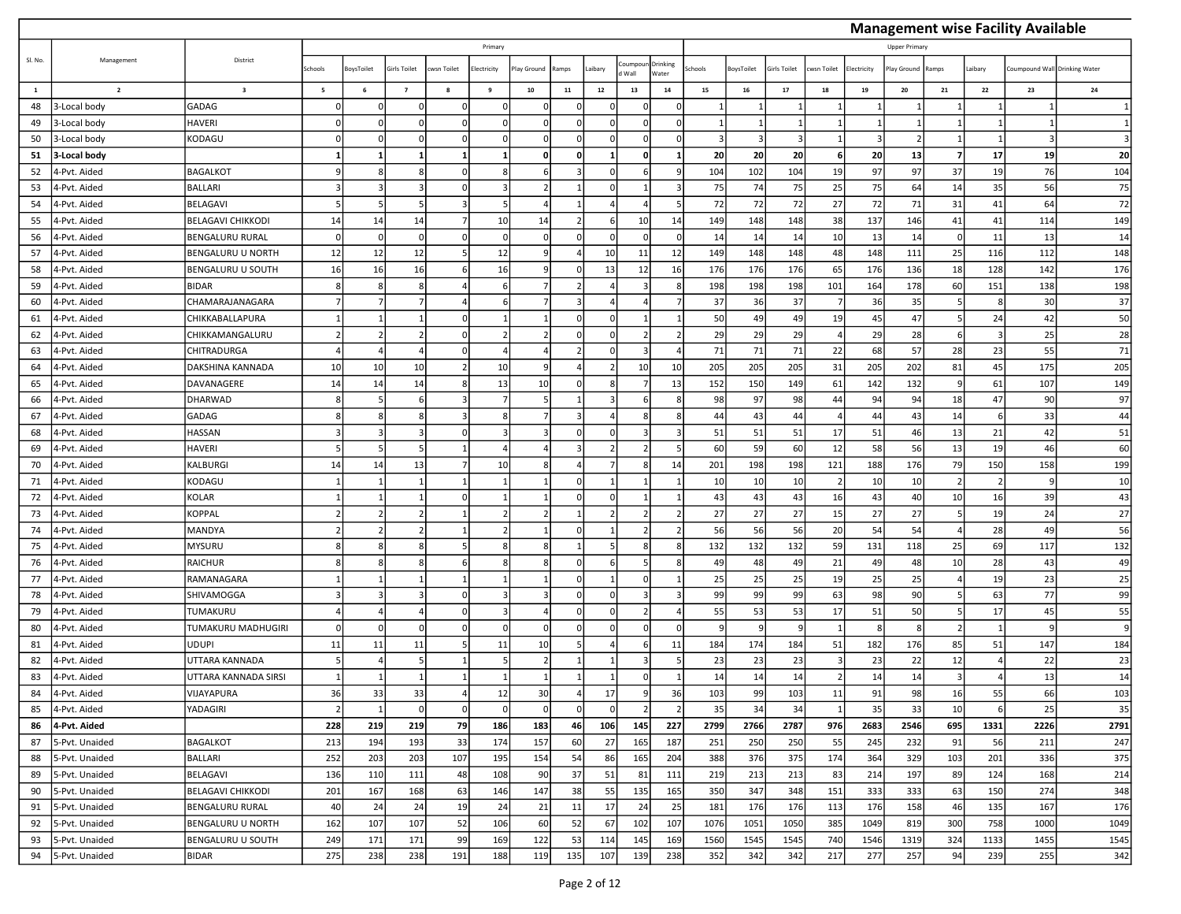|              |                |                          |                 |             |                         |             |                          |            |                |                |                |                          |              |            |             |             |             |                |       |         | <b>Management wise Facility Available</b> |        |
|--------------|----------------|--------------------------|-----------------|-------------|-------------------------|-------------|--------------------------|------------|----------------|----------------|----------------|--------------------------|--------------|------------|-------------|-------------|-------------|----------------|-------|---------|-------------------------------------------|--------|
|              |                |                          |                 |             |                         |             | Primary                  |            |                |                |                |                          |              |            |             |             |             | Upper Primary  |       |         |                                           |        |
| SI. No.      | Management     | District                 | Schools         | oysToilet   | irls Toilet             | cwsn Toilet | lectricity               | lay Ground | Ramps          | aibary         | oumpou<br>Wall | <b>Drinking</b><br>Vater | chools       | BoysToilet | irls Toilet | cwsn Toilet | Electricity | lay Ground     | Ramps | Laibary | Coumpound Wall Drinking Water             |        |
| $\mathbf{1}$ | $\overline{2}$ | $\overline{\mathbf{3}}$  | $5\overline{5}$ | 6           | $\overline{\mathbf{z}}$ | 8           | 9                        | 10         | 11             | 12             | 13             | ${\bf 14}$               | 15           | 16         | 17          | 18          | ${\bf 19}$  | 20             | 21    | 22      | 23                                        | 24     |
| 48           | 3-Local body   | GADAG                    |                 |             |                         |             | $\Omega$                 |            | $\Omega$       |                |                |                          |              |            |             |             |             |                |       |         |                                           |        |
| 49           | 3-Local body   | <b>HAVERI</b>            |                 | $\Omega$    | $\Omega$                |             | $\Omega$                 | $\Omega$   | $\Omega$       | C              |                | $\Omega$                 |              |            |             |             |             | -1             |       |         |                                           |        |
| 50           | 3-Local body   | KODAGU                   |                 | 0           | $\Omega$                |             | $\Omega$                 |            | 0              | n              |                |                          | 3            | -3         | -3 I        |             | 3           | $\overline{2}$ |       |         |                                           |        |
| 51           | 3-Local body   |                          |                 |             | 1                       |             |                          | $\Omega$   | 0              | 1              |                |                          | 20           | 20         | 20          |             | 20          | 13             |       | 17      | 19                                        | 20     |
| 52           | 4-Pvt. Aided   | <b>BAGALKOT</b>          |                 |             | 8                       |             | $\mathbf{R}$             |            | $\mathbf{a}$   | $\Omega$       |                | q                        | 104          | 102        | 104         | 19          | 97          | 97             | 37    | 19      | 76                                        | 104    |
| 53           | 4-Pvt. Aided   | <b>BALLARI</b>           |                 |             | 3                       |             | $\overline{\mathbf{3}}$  |            |                | n              |                |                          | 75           | 74         | 75          | 25          | 75          | 64             | 14    | 35      | 56                                        | 75     |
| 54           | 4-Pvt. Aided   | <b>BELAGAVI</b>          |                 |             | 5                       |             | 5                        |            |                |                |                | 5                        | 72           | 72         | 72          | 27          | 72          | 71             | 31    | 41      | 64                                        | 72     |
| 55           | 4-Pvt. Aided   | <b>BELAGAVI CHIKKODI</b> | 14              | 14          | 14                      |             | 10                       | 14         | $\overline{2}$ | 6              | 10             | 14                       | 149          | 148        | 148         | 38          | 137         | 146            | 41    | 41      | 114                                       | 149    |
| 56           | 4-Pvt. Aided   | <b>BENGALURU RURAL</b>   | $\Omega$        | $\mathbf 0$ | $\Omega$                |             | $\Omega$                 | $\Omega$   | $\mathbf 0$    | $\Omega$       | ſ              | $\Omega$                 | 14           | 14         | 14          | 10          | 13          | 14             |       | 11      | 13                                        | 14     |
| 57           | 4-Pvt. Aided   | <b>BENGALURU U NORTH</b> | 12              | 12          | 12                      |             | 12                       |            |                | 10             | 11             | 12                       | 149          | 148        | 148         | 48          | 148         | 111            | 25    | 116     | 112                                       | 148    |
| 58           | 4-Pvt. Aided   | <b>BENGALURU U SOUTH</b> | 16              | 16          | 16                      |             | 16                       |            | $\Omega$       | 13             | 12             | 16                       | 176          | 176        | 176         | 65          | 176         | 136            | 18    | 128     | 142                                       | 176    |
| 59           | 4-Pvt. Aided   | <b>BIDAR</b>             |                 | 8           | 8                       |             | -6                       |            | $\overline{2}$ |                |                | 8                        | 198          | 198        | 198         | 101         | 164         | 178            | 60    | 151     | 138                                       | 198    |
| 60           | 4-Pvt. Aided   | CHAMARAJANAGARA          |                 |             | $\overline{7}$          |             |                          |            | 3              |                |                |                          | 37           | 36         | 37          |             | 36          | 35             |       | -8      | 30                                        | 37     |
| 61           | 4-Pvt. Aided   | CHIKKABALLAPURA          |                 |             | 1                       |             | 1                        |            | $\mathbf 0$    | $\Omega$       |                |                          | 50           | 49         | 49          | 19          | 45          | 47             |       | 24      | 42                                        | 50     |
| 62           | 4-Pvt. Aided   | CHIKKAMANGALURU          |                 |             | $\overline{2}$          |             | $\overline{2}$           |            | $\Omega$       |                |                |                          | 29           | 29         | 29          |             | 29          | 28             |       |         | 25                                        | 28     |
| 63           | 4-Pvt. Aided   | CHITRADURGA              |                 |             | $\overline{a}$          |             | $\overline{4}$           |            | $\overline{2}$ | $\Omega$       |                |                          | 71           | 71         | 71          | 22          | 68          | 57             | 28    | 23      | 55                                        | 71     |
| 64           | 4-Pvt. Aided   | DAKSHINA KANNADA         | 10              | 10          | 10 <sup>1</sup>         |             | 10                       | q          | 4              | $\overline{2}$ | 10             | 10                       | 205          | 205        | 205         | 31          | 205         | 202            | 81    | 45      | 175                                       | 205    |
| 65           | 4-Pvt. Aided   | DAVANAGERE               | 14              | 14          | 14                      |             | 13                       | 10         | $\mathbf 0$    | 8              |                | 13                       | 152          | 150        | 149         | 61          | 142         | 132            |       | 61      | 107                                       | 149    |
| 66           | 4-Pvt. Aided   | <b>DHARWAD</b>           |                 |             | 6                       |             | $\overline{7}$           |            |                | В              |                | 8                        | 98           | 97         | 98          | 44          | 94          | 94             | 18    | 47      | 90                                        | 97     |
| 67           | 4-Pvt. Aided   | GADAG                    |                 | 8           | 8                       |             | -8                       |            | 3              |                |                |                          | 44           | 43         | 44          |             | 44          | 43             | 14    | - 6     | 33                                        | 44     |
| 68           | 4-Pvt. Aided   | HASSAN                   |                 |             | $\overline{3}$          |             | 3                        |            | $\Omega$       | $\Omega$       |                |                          | 51           | 51         | 51          | 17          | 51          | 46             | 13    | 21      | 42                                        | 51     |
| 69           | 4-Pvt. Aided   | <b>HAVERI</b>            |                 |             | $\overline{5}$          |             | $\overline{4}$           |            | $\overline{3}$ | $\mathcal{P}$  |                | 5                        | 60           | 59         | 60          | 12          | 58          | 56             | 13    | 19      | 46                                        | 60     |
| 70           | 4-Pvt. Aided   | KALBURGI                 | 14              | 14          | 13                      |             | 10                       |            | $\overline{a}$ |                | 8              | 14                       | 201          | 198        | 198         | 121         | 188         | 176            | 79    | 150     | 158                                       | 199    |
| 71           | 4-Pvt. Aided   | KODAGU                   |                 |             | 1                       |             |                          |            | $\Omega$       |                |                |                          | 10           | 10         | 10          |             | 10          | 10             |       |         |                                           | 10     |
| 72           | 4-Pvt. Aided   | KOLAR                    |                 |             | 1                       |             |                          |            | $\mathbf 0$    | $\Omega$       |                |                          | 43           | 43         | 43          | 16          | 43          | 40             | 10    | 16      | 39                                        | 43     |
| 73           | 4-Pvt. Aided   | KOPPAL                   |                 |             |                         |             |                          |            |                |                |                |                          | 27           | 27         | 27          | 15          | 27          | 27             |       | 19      | 24                                        | $27\,$ |
| 74           | 4-Pvt. Aided   | MANDYA                   |                 |             | $\overline{2}$          |             | $\overline{\phantom{a}}$ |            | $\Omega$       |                |                |                          | 56           | 56         | 56          | 20          | 54          | 54             |       | 28      | 49                                        | 56     |
| 75           | 4-Pvt. Aided   | <b>MYSURU</b>            |                 | 8           | $\mathbf{8}$            |             | -8                       |            | 1              | 5              |                | 8                        | 132          | 132        | 132         | 59          | 131         | 118            | 25    | 69      | 117                                       | 132    |
| 76           | 4-Pvt. Aided   | <b>RAICHUR</b>           |                 |             | 8                       |             | -8                       |            | $\Omega$       |                |                |                          | 49           | 48         | 49          | 21          | 49          | 48             | 10    | 28      | 43                                        | 49     |
| 77           | 4-Pvt. Aided   | RAMANAGARA               |                 |             | $\mathbf{1}$            |             |                          |            | $\Omega$       |                |                |                          | 25           | 25         | 25          | 19          | 25          | 25             |       | 19      | 23                                        | 25     |
| 78           | 4-Pvt. Aided   | SHIVAMOGGA               |                 |             | 3                       |             | -3                       |            | 0              | n              |                |                          | 99           | 99         | 99          | 63          | 98          | 90             |       | 63      | 77                                        | 99     |
| 79           | 4-Pvt. Aided   | TUMAKURU                 |                 |             | $\overline{a}$          |             | $\overline{3}$           |            | $\Omega$       | $\Omega$       |                |                          | 55           | 53         | 53          | 17          | 51          | 50             |       | 17      | 45                                        | 55     |
| 80           | 4-Pvt. Aided   | TUMAKURU MADHUGIRI       | $\Omega$        | $\Omega$    | $\Omega$                |             | $\Omega$                 |            | $\mathbf{0}$   | $\Omega$       | $\Omega$       | $\Omega$                 | $\mathsf{q}$ | -9         | q           |             | 8           | 8              |       |         |                                           |        |
| 81           | 4-Pvt. Aided   | <b>UDUPI</b>             | 11              | 11          | 11                      |             | 11                       | 10         | 5              |                | 6              | 11                       | 184          | 174        | 184         | 51          | 182         | 176            | 85    | 51      | 147                                       | 184    |
| 82           | 4-Pvt. Aided   | UTTARA KANNADA           |                 |             |                         |             |                          |            |                |                |                |                          | 23           | 23         | 23          |             | 23          | 22             | 12    |         | 22                                        | 23     |
| 83           | 4-Pvt. Aided   | UTTARA KANNADA SIRSI     |                 |             | $\mathbf{1}$            |             |                          |            |                |                |                |                          | 14           | 14         | 14          |             | 14          | 14             | 3     |         | 13                                        | 14     |
| 84           | 4-Pvt. Aided   | VIJAYAPURA               | 36              | 33          | 33                      |             | 12                       | 30         |                | $\mathbf{1}$   |                | 36                       | 103          | 99         | 103         | 11          | 91          | 98             | 1b    | 55      | bb                                        | 103    |
| 85           | 4-Pvt. Aided   | YADAGIRI                 |                 |             | $\Omega$                | $\Omega$    | $\Omega$                 | $\Omega$   | $\mathbf{0}$   | $\Omega$       |                |                          | 35           | 34         | 34          |             | 35          | 33             | 10    | -6      | 25                                        | 35     |
| 86           | 4-Pvt. Aided   |                          | 228             | 219         | 219                     | 79          | 186                      | 183        | 46             | 106            | 145            | 227                      | 2799         | 2766       | 2787        | 976         | 2683        | 2546           | 695   | 1331    | 2226                                      | 2791   |
| 87           | 5-Pvt. Unaided | <b>BAGALKOT</b>          | 213             | 194         | 193                     | 33          | 174                      | 157        | 60             | 27             | 165            | 187                      | 251          | 250        | 250         | 55          | 245         | 232            | 91    | 56      | 211                                       | 247    |
| 88           | 5-Pvt. Unaided | <b>BALLARI</b>           | 252             | 203         | 203                     | 107         | 195                      | 154        | 54             | 86             | 165            | 204                      | 388          | 376        | 375         | 174         | 364         | 329            | 103   | 201     | 336                                       | 375    |
| 89           | 5-Pvt. Unaided | BELAGAVI                 | 136             | 110         | 111                     | 48          | 108                      | 90         | 37             | 51             | 81             | 111                      | 219          | 213        | 213         | 83          | 214         | 197            | 89    | 124     | 168                                       | 214    |
| 90           | 5-Pvt. Unaided | <b>BELAGAVI CHIKKODI</b> | 201             | 167         | 168                     | 63          | 146                      | 147        | 38             | 55             | 135            | 165                      | 350          | 347        | 348         | 151         | 333         | 333            | 63    | 150     | 274                                       | 348    |
| 91           | 5-Pvt. Unaided | BENGALURU RURAL          | 40              | 24          | 24                      | 19          | 24                       | 21         | 11             | 17             | 24             | 25                       | 181          | 176        | 176         | 113         | 176         | 158            | 46    | 135     | 167                                       | 176    |
| 92           | 5-Pvt. Unaided | BENGALURU U NORTH        | 162             | 107         | 107                     | 52          | 106                      | 60         | 52             | 67             | 102            | 107                      | 1076         | 1051       | 1050        | 385         | 1049        | 819            | 300   | 758     | 1000                                      | 1049   |
| 93           | 5-Pvt. Unaided | BENGALURU U SOUTH        | 249             | 171         | 171                     | 99          | 169                      | 122        | 53             | 114            | 145            | 169                      | 1560         | 1545       | 1545        | 740         | 1546        | 1319           | 324   | 1133    | 1455                                      | 1545   |
| 94           | 5-Pvt. Unaided | <b>BIDAR</b>             | 275             | 238         | 238                     | 191         | 188                      | 119        | 135            | 107            | 139            | 238                      | 352          | 342        | 342         | 217         | 277         | 257            | 94    | 239     | 255                                       | 342    |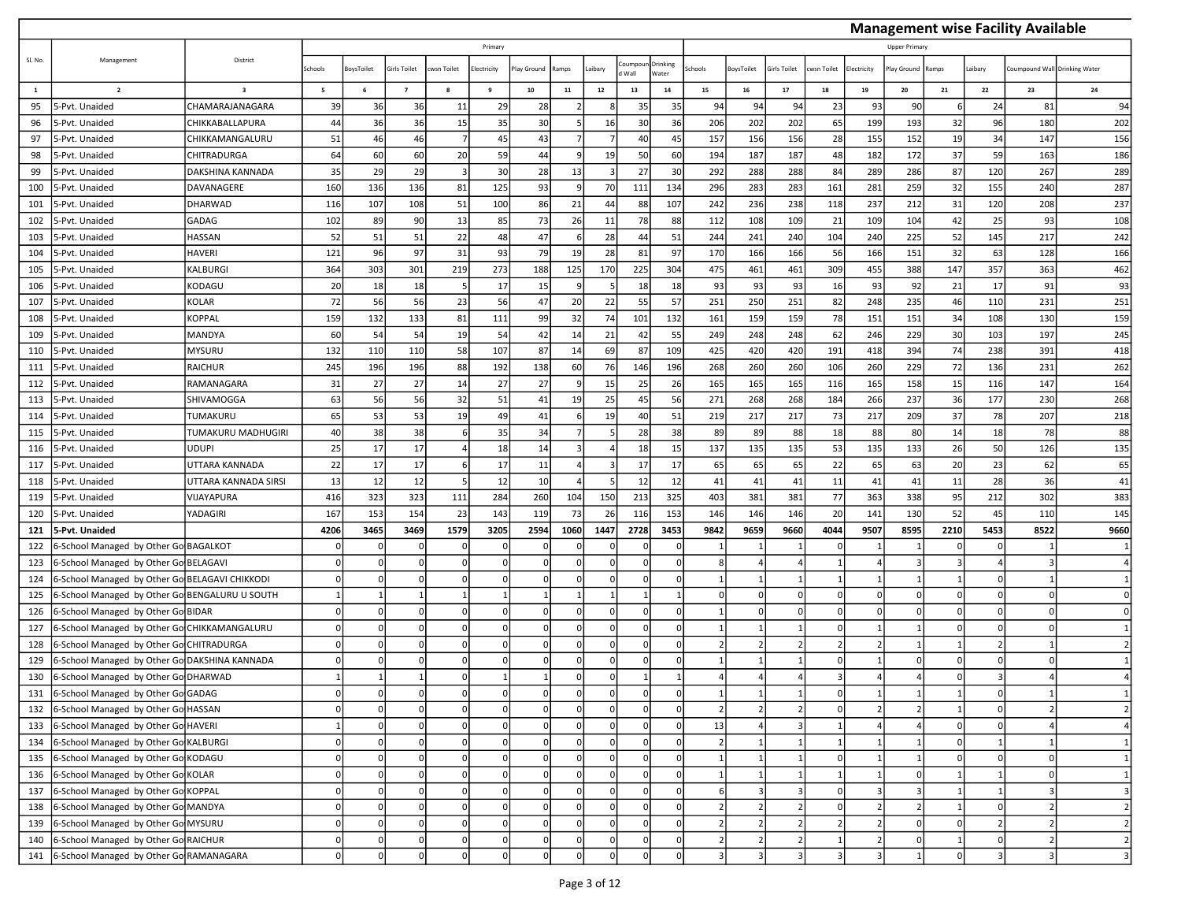|              |                                                |                         |         |                |                |            |             |             |                |              |                |                   |                |                |                |            |                |               |          |          | <b>Management wise Facility Available</b> |                |
|--------------|------------------------------------------------|-------------------------|---------|----------------|----------------|------------|-------------|-------------|----------------|--------------|----------------|-------------------|----------------|----------------|----------------|------------|----------------|---------------|----------|----------|-------------------------------------------|----------------|
|              |                                                |                         |         |                |                |            | Primary     |             |                |              |                |                   |                |                |                |            |                | Upper Primary |          |          |                                           |                |
| SI. No.      | Management                                     | District                | Schools | oysToilet      | Girls Toilet   | wsn Toilet | lectricity  | lay Ground  | Ramps          | aibary       | pumpoi<br>Wall | Drinking<br>Water | chools         | BoysToilet     | irls Toilet    | wsn Toilet | Electricity    | lay Ground    | Ramps    | Laibary  | Coumpound Wall Drinking Water             |                |
| $\mathbf{1}$ | $\overline{2}$                                 | $\overline{\mathbf{3}}$ | 5       | 6              | $\overline{7}$ | 8          | 9           | 10          | 11             | $12\,$       | 13             | $14\,$            | 15             | 16             | 17             | 18         | 19             | 20            | 21       | 22       | 23                                        | 24             |
| 95           | 5-Pvt. Unaided                                 | CHAMARAJANAGARA         | 39      | 36             | 36             | 11         | 29          | 28          |                |              | 35             | 35                | 94             | 94             | 94             | 23         | 93             | 90            |          | 24       | 81                                        | 94             |
| 96           | 5-Pvt. Unaided                                 | CHIKKABALLAPURA         | 44      | 36             | 36             | 15         | 35          | 30          | 5              | 16           | 30             | 36                | 206            | 202            | 202            | 65         | 199            | 193           | 32       | 96       | 180                                       | 202            |
| 97           | 5-Pvt. Unaided                                 | CHIKKAMANGALURU         | 51      | 46             | 46             |            | 45          | 43          | $\overline{7}$ |              | 40             | 45                | 157            | 156            | 156            | 28         | 155            | 152           | 19       | 34       | 147                                       | 156            |
| 98           | 5-Pvt. Unaided                                 | CHITRADURGA             | 64      | 60             | 60             | 20         | 59          | 44          | 9              | 19           | 50             | 60                | 194            | 187            | 187            | 48         | 182            | 172           | 37       | 59       | 163                                       | 186            |
| 99           | 5-Pvt. Unaided                                 | <b>DAKSHINA KANNADA</b> | 35      | 29             | 29             |            | 30          | 28          | 13             |              | 27             | 30                | 292            | 288            | 288            | 84         | 289            | 286           | 87       | 120      | 267                                       | 289            |
| 100          | 5-Pvt. Unaided                                 | DAVANAGERE              | 160     | 136            | 136            | 81         | 125         | 93          | 9              | 70           | 111            | 134               | 296            | 283            | 283            | 161        | 281            | 259           | 32       | 155      | 240                                       | 287            |
| 101          | 5-Pvt. Unaided                                 | DHARWAD                 | 116     | 107            | 108            | 51         | 100         | 86          | 21             | 44           | 88             | 107               | 242            | 236            | 238            | 118        | 237            | 212           | 31       | 120      | 208                                       | 237            |
| 102          | 5-Pvt. Unaided                                 | GADAG                   | 102     | 89             | 90             | 13         | 85          | 73          | 26             | 11           | 78             | 88                | 112            | 108            | 109            | 21         | 109            | 104           | 42       | 25       | 93                                        | 108            |
| 103          | 5-Pvt. Unaided                                 | HASSAN                  | 52      | 51             | 51             | 22         | 48          | 47          | 6              | 28           | 44             | 51                | 244            | 241            | 240            | 104        | 240            | 225           | 52       | 145      | 217                                       | 242            |
| 104          | 5-Pvt. Unaided                                 | <b>HAVERI</b>           | 121     | 96             | 97             | 31         | 93          | 79          | 19             | 28           | 81             | 97                | 170            | 166            | 166            | 56         | 166            | 151           | 32       | 63       | 128                                       | 166            |
| 105          | 5-Pvt. Unaided                                 | <b>KALBURGI</b>         | 364     | 303            | 301            | 219        | 273         | 188         | 125            | 170          | 225            | 304               | 475            | 461            | 461            | 309        | 455            | 388           | 147      | 357      | 363                                       | 462            |
| 106          | 5-Pvt. Unaided                                 | KODAGU                  | 20      | 18             | 18             |            | 17          | 15          | 9              |              | 18             | 18                | 93             | 93             | 93             | 16         | 93             | 92            | 21       | 17       | 91                                        | 93             |
| 107          | 5-Pvt. Unaided                                 | <b>KOLAR</b>            | 72      | 56             | 56             | 23         | 56          | 47          | 20             | 22           | 55             | 57                | 251            | 250            | 251            | 82         | 248            | 235           | 46       | 110      | 231                                       | 251            |
| 108          | 5-Pvt. Unaided                                 | <b>KOPPAL</b>           | 159     | 132            | 133            | 81         | 111         | 99          | 32             | 74           | 101            | 132               | 161            | 159            | 159            | 78         | 151            | 151           | 34       | 108      | 130                                       | 159            |
| 109          | 5-Pvt. Unaided                                 | MANDYA                  | 60      | 54             | 54             | 19         | 54          | 42          | 14             | 21           | 42             | 55                | 249            | 248            | 248            | 62         | 246            | 229           | 30       | 103      | 197                                       | 245            |
| 110          | 5-Pvt. Unaided                                 | <b>MYSURU</b>           | 132     | 110            | 110            | 58         | 107         | 87          | 14             | 69           | 87             | 109               | 425            | 420            | 420            | 191        | 418            | 394           | 74       | 238      | 391                                       | 418            |
| 111          | 5-Pvt. Unaided                                 | <b>RAICHUR</b>          | 245     | 196            | 196            | 88         | 192         | 138         | 60             | 76           | 146            | 196               | 268            | 260            | 260            | 106        | 260            | 229           | 72       | 136      | 231                                       | 262            |
| 112          | 5-Pvt. Unaided                                 | RAMANAGARA              | 31      | 27             | 27             | 14         | 27          | 27          | 9              | 15           | 25             | 26                | 165            | 165            | 165            | 116        | 165            | 158           | 15       | 116      | 147                                       | 164            |
| 113          | 5-Pvt. Unaided                                 | SHIVAMOGGA              | 63      | 56             | 56             | 32         | 51          | 41          | 19             | 25           | 45             | 56                | 271            | 268            | 268            | 184        | 266            | 237           | 36       | 177      | 230                                       | 268            |
| 114          | 5-Pvt. Unaided                                 | TUMAKURU                | 65      | 53             | 53             | 19         | 49          | 41          | 6              | 19           | 40             | 51                | 219            | 217            | 217            | 73         | 217            | 209           | 37       | 78       | 207                                       | 218            |
| 115          | 5-Pvt. Unaided                                 | TUMAKURU MADHUGIRI      | 40      | 38             | 38             |            | 35          | 34          | $\overline{7}$ |              | 28             | 38                | 89             | 89             | 88             | 18         | 88             | 80            | 14       | 18       | 78                                        | 88             |
| 116          | 5-Pvt. Unaided                                 | <b>UDUPI</b>            | 25      | 17             | 17             |            | 18          | 14          | $\overline{3}$ |              | 18             | 15                | 137            | 135            | 135            | 53         | 135            | 133           | 26       | 50       | 126                                       | 135            |
| 117          | 5-Pvt. Unaided                                 | UTTARA KANNADA          | 22      | 17             | 17             |            | 17          | 11          | 4              |              | 17             | 17                | 65             | 65             | 65             | 22         | 65             | 63            | 20       | 23       | 62                                        | 65             |
| 118          | 5-Pvt. Unaided                                 | UTTARA KANNADA SIRSI    | 13      | 12             | 12             |            | 12          | 10          |                |              | 12             | 12                | 41             | 41             | 41             | 11         | 41             | 41            | 11       | 28       | 36                                        | 41             |
| 119          | 5-Pvt. Unaided                                 | VIJAYAPURA              | 416     | 323            | 323            | 111        | 284         | 260         | 104            | 150          | 213            | 325               | 403            | 381            | 381            | 77         | 363            | 338           | 95       | 212      | 302                                       | 383            |
| 120          | 5-Pvt. Unaided                                 | YADAGIRI                | 167     | 153            | 154            | 23         | 143         | 119         | 73             | 26           | 116            | 153               | 146            | 146            | 146            | 20         | 141            | 130           | 52       | 45       | 110                                       | 145            |
| 121          | 5-Pvt. Unaided                                 |                         | 4206    | 3465           | 3469           | 1579       | 3205        | 2594        | 1060           | 1447         | 2728           | 3453              | 9842           | 9659           | 9660           | 4044       | 9507           | 8595          | 2210     | 5453     | 8522                                      | 9660           |
| 122          | 6-School Managed by Other Go BAGALKOT          |                         |         | $\Omega$       |                |            | $\Omega$    |             | n              |              |                |                   |                |                |                |            |                |               |          |          |                                           |                |
| 123          | 6-School Managed by Other Go BELAGAVI          |                         |         | $\Omega$       |                |            | $\Omega$    |             | $\Omega$       | C            |                |                   | 8              |                |                |            |                |               |          |          |                                           |                |
| 124          | 6-School Managed by Other Go BELAGAVI CHIKKODI |                         |         | $\Omega$       |                |            | $\Omega$    | $\Omega$    | $\Omega$       | $\Omega$     |                | $\Omega$          | 1              |                |                |            |                |               |          |          |                                           |                |
| 125          | 6-School Managed by Other Go BENGALURU U SOUTH |                         |         |                |                |            |             |             | 1              |              |                |                   | $\Omega$       |                | $\Omega$       |            |                |               |          |          |                                           |                |
| 126          | 6-School Managed by Other Go BIDAR             |                         |         | $\Omega$       |                |            | $\Omega$    | $\Omega$    | $\Omega$       | $\mathsf{C}$ |                | $\Omega$          | 1              |                | $\Omega$       |            |                |               |          |          |                                           |                |
| 127          | 6-School Managed by Other Go CHIKKAMANGALURU   |                         |         | $\Omega$       |                |            | $\Omega$    | $\Omega$    | $\Omega$       | $\mathsf{C}$ | n              | $\Omega$          | 1              |                |                |            |                |               |          |          |                                           |                |
| 128          | 6-School Managed by Other Gol CHITRADURGA      |                         |         | $\Omega$       |                |            | 0           | n           | $\Omega$       | $\Omega$     |                | $\Omega$          | 2 <sup>1</sup> | -2             | $\overline{2}$ |            | 2              |               |          | -2       |                                           |                |
| 129          | 6-School Managed by Other Gol DAKSHINA KANNADA |                         |         | 0              |                |            | $\Omega$    |             | $\Omega$       |              |                |                   | 1              |                |                |            |                |               |          |          |                                           |                |
| 130          | 6-School Managed by Other Go DHARWAD           |                         |         |                |                |            |             |             | $\Omega$       | C            |                |                   | 4              |                |                |            |                |               |          | 3        |                                           |                |
|              | 131 6-School Managed by Other Go GADAG         |                         |         |                |                |            |             |             | 0              |              |                |                   |                |                |                |            |                |               |          |          |                                           |                |
| 132          | 6-School Managed by Other Go HASSAN            |                         |         | $\Omega$       |                |            | $\mathbf 0$ | $\Omega$    | $\Omega$       |              |                | $\Omega$          | $\overline{2}$ |                |                |            |                |               |          |          |                                           |                |
| 133          | 6-School Managed by Other Go HAVERI            |                         |         | $\overline{0}$ |                |            | 0           | $\Omega$    | $\circ$        | $\Omega$     | U              | 0                 | 13             |                | 3              |            |                |               | $\Omega$ | $\Omega$ |                                           |                |
| 134          | 6-School Managed by Other Go KALBURGI          |                         |         | $\Omega$       |                |            | $\mathbf 0$ | $\Omega$    | $\Omega$       |              |                | $\Omega$          | $\overline{2}$ |                |                |            |                |               |          |          |                                           |                |
| 135          | 6-School Managed by Other Go KODAGU            |                         |         | $\Omega$       |                |            | 0           | $\Omega$    | 0              | $\mathsf{C}$ |                | $\Omega$          | 1              |                |                |            |                |               |          |          |                                           |                |
| 136          | 6-School Managed by Other Go KOLAR             |                         |         | $\Omega$       |                |            | 0           | $\Omega$    | 0              | $\Omega$     |                |                   | 1              |                |                |            |                |               |          |          |                                           |                |
| 137          | 6-School Managed by Other Go KOPPAL            |                         |         | $\Omega$       |                |            | $\Omega$    | $\Omega$    | $\Omega$       |              |                |                   | $6 \mid$       |                |                |            |                |               |          |          |                                           | 3              |
| 138          | 6-School Managed by Other Go MANDYA            |                         |         | $\Omega$       |                |            | 0           | $\Omega$    | $\Omega$       | $\Omega$     |                | $\Omega$          | $\overline{2}$ | $\overline{z}$ | $\overline{2}$ |            | $\overline{2}$ |               |          |          |                                           | $\overline{2}$ |
| 139          | 6-School Managed by Other Go MYSURU            |                         | n       | $\Omega$       |                |            | 0           | $\mathbf 0$ | $\mathbf{0}$   | $\Omega$     |                | $\Omega$          | $\overline{2}$ | $\overline{2}$ | $\overline{2}$ |            | $\overline{2}$ | $\Omega$      |          | -2       |                                           | $\overline{2}$ |
| 140          | 6-School Managed by Other Go RAICHUR           |                         |         | $\mathbf 0$    |                |            | $\mathbf 0$ | $\Omega$    | $\circ$        | C            |                | $\Omega$          | 2              | -2             | 2              |            | $\overline{2}$ |               |          | $\Omega$ |                                           | $\overline{2}$ |
| 141          | 6-School Managed by Other Go RAMANAGARA        |                         | n       | $\Omega$       |                |            | 0           | $\Omega$    | $\Omega$       |              |                |                   | $\overline{3}$ | 3              |                |            |                |               |          | 3        |                                           | $\overline{3}$ |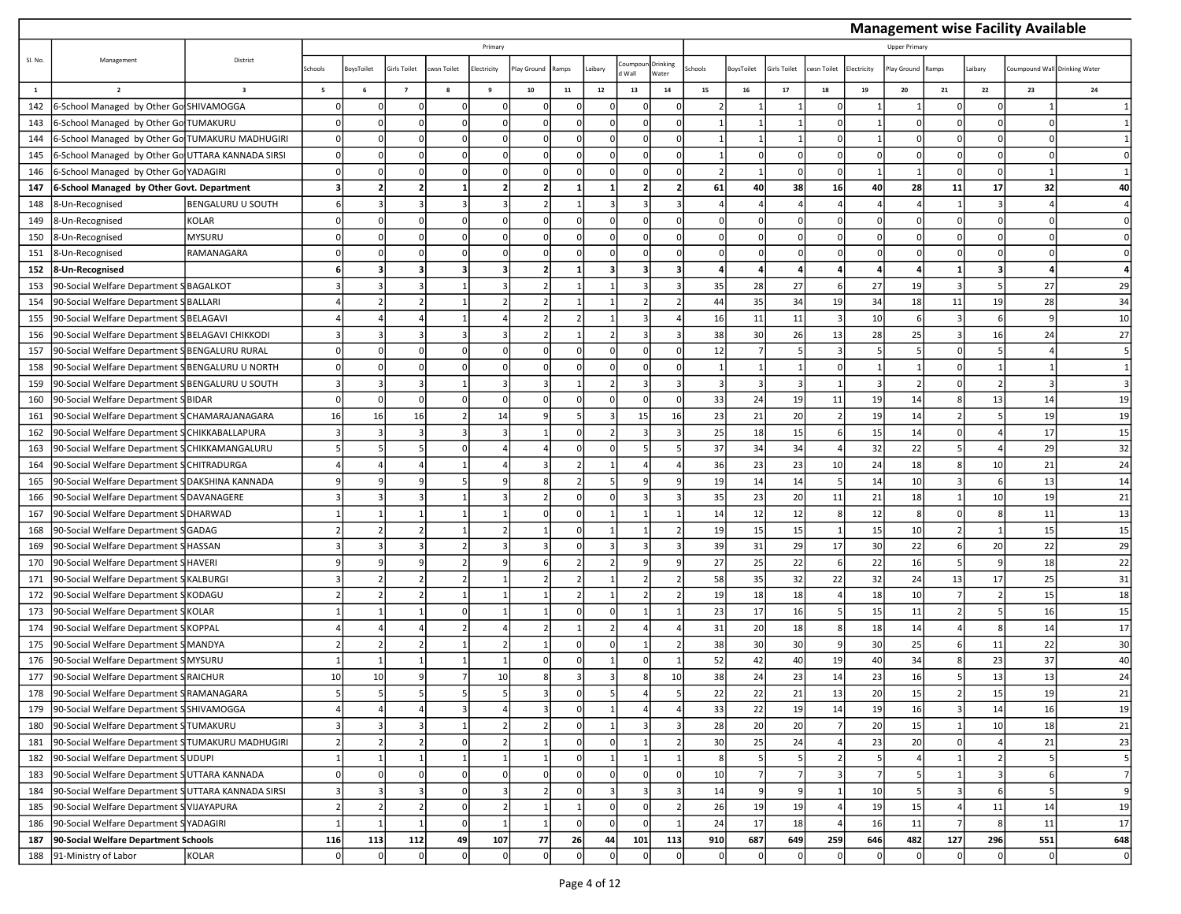|              |                                                    |                          |                          |                |                |            |                         |                |                |              |                |                   |                          |            |                |            |                |                    |       |                | <b>Management wise Facility Available</b> |                |
|--------------|----------------------------------------------------|--------------------------|--------------------------|----------------|----------------|------------|-------------------------|----------------|----------------|--------------|----------------|-------------------|--------------------------|------------|----------------|------------|----------------|--------------------|-------|----------------|-------------------------------------------|----------------|
|              |                                                    |                          |                          |                |                |            | Primary                 |                |                |              |                |                   |                          |            |                |            |                | <b>Upper Prima</b> |       |                |                                           |                |
| SI. No.      | Management                                         | District                 | Schools                  | oysToilet      | Girls Toilet   | wsn Toilet | lectricity              | lay Ground     | Ramps          | aibary       | pumpoi<br>Wall | Drinking<br>Water | chools                   | BoysToilet | irls Toilet    | wsn Toilet | Electricity    | lay Ground         | Ramps | Laibary        | Coumpound Wall Drinking Water             |                |
| $\mathbf{1}$ | $\overline{2}$                                     | $\overline{\mathbf{3}}$  | $\overline{\phantom{a}}$ | 6              | $\overline{7}$ | 8          | 9                       | 10             | 11             | $12\,$       | 13             | $14\,$            | 15                       | 16         | $\bf 17$       | 18         | 19             | 20                 | 21    | 22             | 23                                        | 24             |
| 142          | 6-School Managed by Other Go SHIVAMOGGA            |                          |                          |                |                |            | $\Omega$                |                | $\sqrt{2}$     |              |                |                   |                          |            |                |            |                |                    |       |                |                                           |                |
| 143          | 6-School Managed by Other Go TUMAKURU              |                          |                          | $\Omega$       |                |            | $\mathbf 0$             | $\Omega$       | $\Omega$       |              |                | $\Omega$          | 1                        |            |                |            |                | $\Omega$           |       |                |                                           |                |
| 144          | 6-School Managed by Other Go TUMAKURU MADHUGIRI    |                          |                          |                |                |            |                         |                | $\Omega$       | C            |                |                   |                          |            |                |            |                |                    |       |                |                                           |                |
| 145          | 6-School Managed by Other Go UTTARA KANNADA SIRSI  |                          |                          |                |                |            |                         |                |                |              |                |                   |                          |            | $\Omega$       |            |                |                    |       |                |                                           |                |
| 146          | 6-School Managed by Other Go YADAGIRI              |                          |                          | $\Omega$       |                |            | $\Omega$                |                | $\Omega$       | $\mathsf{C}$ |                | $\Omega$          | $\overline{\mathcal{L}}$ |            | $\Omega$       |            |                |                    |       |                |                                           |                |
| 147          | 6-School Managed by Other Govt. Department         |                          |                          |                |                |            | 2                       | .,             | 1              |              |                |                   | 61                       | 40         | 38             | <b>16</b>  | 40             | 28                 | 11    | 17             | 32                                        | 40             |
| 148          | 8-Un-Recognised                                    | <b>BENGALURU U SOUTH</b> |                          |                |                |            |                         |                | $\mathbf{1}$   |              |                |                   |                          |            |                |            |                |                    |       | 3              |                                           |                |
| 149          | 8-Un-Recognised                                    | <b>KOLAR</b>             |                          |                |                |            |                         | $\Omega$       | $\Omega$       |              |                |                   | $\Omega$                 |            | $\Omega$       |            |                |                    |       |                |                                           |                |
| 150          | 8-Un-Recognised                                    | <b>MYSURU</b>            |                          | $\Omega$       |                |            |                         | n              | $\Omega$       | C            |                |                   | $\Omega$                 |            | $\Omega$       |            |                | $\Omega$           |       |                |                                           |                |
| 151          | 8-Un-Recognised                                    | RAMANAGARA               |                          |                |                |            |                         |                | $\Omega$       |              |                |                   | $\Omega$                 |            | $\Omega$       |            |                |                    |       |                |                                           |                |
| 152          | 8-Un-Recognised                                    |                          |                          |                |                |            | $\overline{\mathbf{3}}$ | $\overline{2}$ | $\mathbf{1}$   |              | 3              |                   | 4                        |            |                |            |                |                    |       |                |                                           |                |
| 153          | 90-Social Welfare Department S BAGALKOT            |                          |                          |                |                |            | 3                       |                | $\mathbf{1}$   |              |                | з                 | 35                       | 28         | 27             |            | 27             | 19                 |       | -5             | 27                                        | 29             |
| 154          | 90-Social Welfare Department SBALLARI              |                          |                          |                |                |            |                         |                | $\mathbf{1}$   |              |                |                   | 44                       | 35         | 34             | 19         | 34             | 18                 | 11    | 19             | 28                                        | 34             |
| 155          | 90-Social Welfare Department SBELAGAVI             |                          |                          |                |                |            |                         | 2              | $\overline{2}$ |              |                |                   | 16                       | 11         | 11             |            | 10             | -6                 |       |                |                                           | 10             |
| 156          | 90-Social Welfare Department SBELAGAVI CHIKKODI    |                          |                          |                |                |            |                         |                | $\mathbf{1}$   |              |                |                   | 38                       | 30         | 26             | 13         | 28             | 25                 |       | 16             | 24                                        | 27             |
| 157          | 90-Social Welfare Department S BENGALURU RURAL     |                          |                          | $\Omega$       |                |            |                         |                | $\Omega$       | $\mathsf{C}$ |                | $\Omega$          | 12                       |            | $\overline{5}$ |            |                |                    |       |                |                                           |                |
| 158          | 90-Social Welfare Department SBENGALURU U NORTH    |                          |                          | $\Omega$       |                |            | $\Omega$                | n              | $\Omega$       | $\Omega$     |                |                   | 1                        | -1         | -1             |            |                |                    |       |                |                                           |                |
| 159          | 90-Social Welfare Department SBENGALURU U SOUTH    |                          |                          |                |                |            |                         |                |                |              |                |                   | $\overline{3}$           | 3          | 3              |            | 3              |                    |       |                |                                           |                |
| 160          | 90-Social Welfare Department SBIDAR                |                          |                          | $\Omega$       |                |            | $\Omega$                |                | $\Omega$       | C            |                | $\Omega$          | 33                       | 24         | 19             | 11         | 19             | 14                 |       | 13             | 14                                        | 19             |
| 161          | 90-Social Welfare Department SCHAMARAJANAGARA      |                          | 16                       | 16             | 16             |            | 14                      |                | 5              |              | 15             | 16                | 23                       | 21         | 20             |            | 19             | 14                 |       |                | 19                                        | 19             |
| 162          | 90-Social Welfare Department SCHIKKABALLAPURA      |                          |                          |                |                |            |                         |                | $\Omega$       |              |                |                   | 25                       | 18         | 15             |            | 15             | 14                 |       |                | 17                                        | 15             |
| 163          | 90-Social Welfare Department SCHIKKAMANGALURU      |                          |                          |                |                |            |                         |                | $\Omega$       | $\mathsf{C}$ |                |                   | 37                       | 34         | 34             |            | 32             | 22                 |       |                | 29                                        | 32             |
| 164          | 90-Social Welfare Department SCHITRADURGA          |                          |                          |                |                |            |                         | в              | $\overline{2}$ |              |                |                   | 36                       | 23         | 23             | 10         | 24             | 18                 |       | 10             | 21                                        | 24             |
| 165          | 90-Social Welfare Department S DAKSHINA KANNADA    |                          |                          |                |                |            |                         |                | $\overline{2}$ |              |                |                   | 19                       | 14         | 14             |            | 14             | 10                 |       |                | 13                                        | 14             |
| 166          | 90-Social Welfare Department S DAVANAGERE          |                          |                          |                |                |            |                         | $\overline{2}$ | 0              | $\Omega$     |                |                   | 35                       | 23         | 20             | 11         | 21             | 18                 |       | 10             | 19                                        | 21             |
| 167          | 90-Social Welfare Department S DHARWAD             |                          |                          |                |                |            |                         |                | $\sqrt{2}$     |              |                |                   | 14                       | 12         | 12             |            | 12             | ۶                  |       |                | 11                                        | 13             |
| 168          | 90-Social Welfare Department SGADAG                |                          |                          |                |                |            |                         |                | $\Omega$       |              |                |                   | 19                       | 15         | 15             |            | 15             | 10                 |       |                | 15                                        | 15             |
| 169          | 90-Social Welfare Department S HASSAN              |                          |                          |                |                |            |                         | 3              | $\Omega$       |              |                |                   | 39                       | 31         | 29             | 17         | 30             | 22                 |       | 20             | 22                                        | 29             |
| 170          | 90-Social Welfare Department SHAVERI               |                          |                          |                |                |            |                         |                |                |              |                |                   | 27                       | 25         | 22             |            | 22             | 16                 |       |                | 18                                        | 22             |
| 171          | 90-Social Welfare Department S                     | KALBURGI                 |                          |                |                |            |                         |                | $\overline{2}$ |              |                |                   | 58                       | 35         | 32             | 22         | 32             | 24                 | 13    | 17             | 25                                        | 31             |
| 172          | 90-Social Welfare Department SKODAGU               |                          |                          |                |                |            |                         |                | $\overline{2}$ |              |                |                   | 19                       | 18         | 18             |            | 18             | 10                 |       |                | 15                                        | 18             |
| 173          | 90-Social Welfare Department SKOLAR                |                          |                          |                |                |            |                         |                | $\Omega$       |              |                |                   | 23                       | 17         | 16             |            | 15             | 11                 |       |                | 16                                        | 15             |
| 174          | 90-Social Welfare Department SKOPPAL               |                          |                          |                |                |            |                         | $\mathcal{L}$  | $\mathbf{1}$   |              |                |                   | 31                       | 20         | 18             |            | 18             | 14                 |       | -8             | 14                                        | 17             |
| 175          | 90-Social Welfare Department S MANDYA              |                          |                          |                |                |            | $\overline{2}$          |                | $\Omega$       | $\Omega$     |                |                   | 38                       | 30         | 30             |            | 30             | 25                 |       | 11             | 22                                        | 30             |
| 176          | 90-Social Welfare Department S                     | <b>MYSURU</b>            |                          |                |                |            |                         |                | $\Omega$       |              |                |                   | 52                       | 42         | 40             | 19         | 40             | 34                 |       | 23             | 37                                        | 40             |
| 177          | 90-Social Welfare Department SRAICHUR              |                          | 10                       | 10             |                |            | 10                      | 8              | 3              | 3            |                | 10                | 38                       | 24         | 23             | 14         | 23             | 16                 |       | 13             | 13                                        | 24             |
| 178          | 90-Social Welfare Department SRAMANAGARA           |                          |                          |                |                |            |                         |                | U              |              |                |                   | 22                       | $^{22}$    | 21             | 13         | 20             | 15                 |       | 15             | 19                                        | 21             |
| 179          | 90-Social Welfare Department SSHIVAMOGGA           |                          |                          |                |                |            |                         | 3              | $\Omega$       |              |                |                   | 33                       | 22         | 19             | 14         | 19             | 16                 |       | 14             | 16                                        | 19             |
| 180          | 90-Social Welfare Department STUMAKURU             |                          |                          |                |                |            | 2                       | $\overline{2}$ | $\circ$        |              |                | 3                 | 28                       | 20         | 20             |            | 20             | 15                 |       | 10             | 18                                        | 21             |
| 181          | 90-Social Welfare Department STUMAKURU MADHUGIRI   |                          |                          |                |                |            | $\overline{2}$          | $\mathbf{1}$   | $\Omega$       |              |                |                   | 30                       | 25         | 24             |            | 23             | 20                 |       |                | 21                                        | 23             |
| 182          | 90-Social Welfare Department SUDUPI                |                          |                          |                |                |            |                         | $\mathbf{1}$   | $\Omega$       |              |                |                   | 8 <sup>1</sup>           | - 5        | 5              |            | 5              |                    |       | $\overline{z}$ |                                           | 5              |
| 183          | 90-Social Welfare Department SUTTARA KANNADA       |                          |                          | $\Omega$       |                |            |                         | $\Omega$       | 0              |              |                |                   | 10                       | -7         | 7              |            | $\overline{7}$ |                    |       |                |                                           | $\overline{7}$ |
| 184          | 90-Social Welfare Department SUTTARA KANNADA SIRSI |                          |                          |                |                |            |                         |                | $\Omega$       |              |                |                   | 14                       | q          | $\mathbf{q}$   |            | 10             |                    |       |                |                                           | 9              |
| 185          | 90-Social Welfare Department S VIJAYAPURA          |                          |                          |                |                |            | $\overline{2}$          | $\mathbf{1}$   | $1\vert$       | $\Omega$     |                |                   | 26                       | 19         | 19             |            | 19             | 15                 |       | 11             | 14                                        | 19             |
| 186          | 90-Social Welfare Department SYADAGIRI             |                          |                          | $\overline{1}$ |                | $\Omega$   | $\vert$ 1               | $\mathbf{1}$   | $\circ$        | $\Omega$     |                |                   | 24                       | 17         | 18             |            | 16             | 11                 |       | 8              | 11                                        | 17             |
| 187          | 90-Social Welfare Department Schools               |                          | 116                      | 113            | 112            | 49         | 107                     | 77             | 26             | 44           | 101            | 113               | 910                      | 687        | 649            | 259        | 646            | 482                | 127   | 296            | 551                                       | 648            |
| 188          | 91-Ministry of Labor                               | KOLAR                    |                          | $\Omega$       |                |            |                         | $\Omega$       | $\Omega$       |              |                | $\Omega$          | $\Omega$                 |            | $\overline{0}$ |            |                | $\Omega$           |       | $\Omega$       |                                           | $\pmb{0}$      |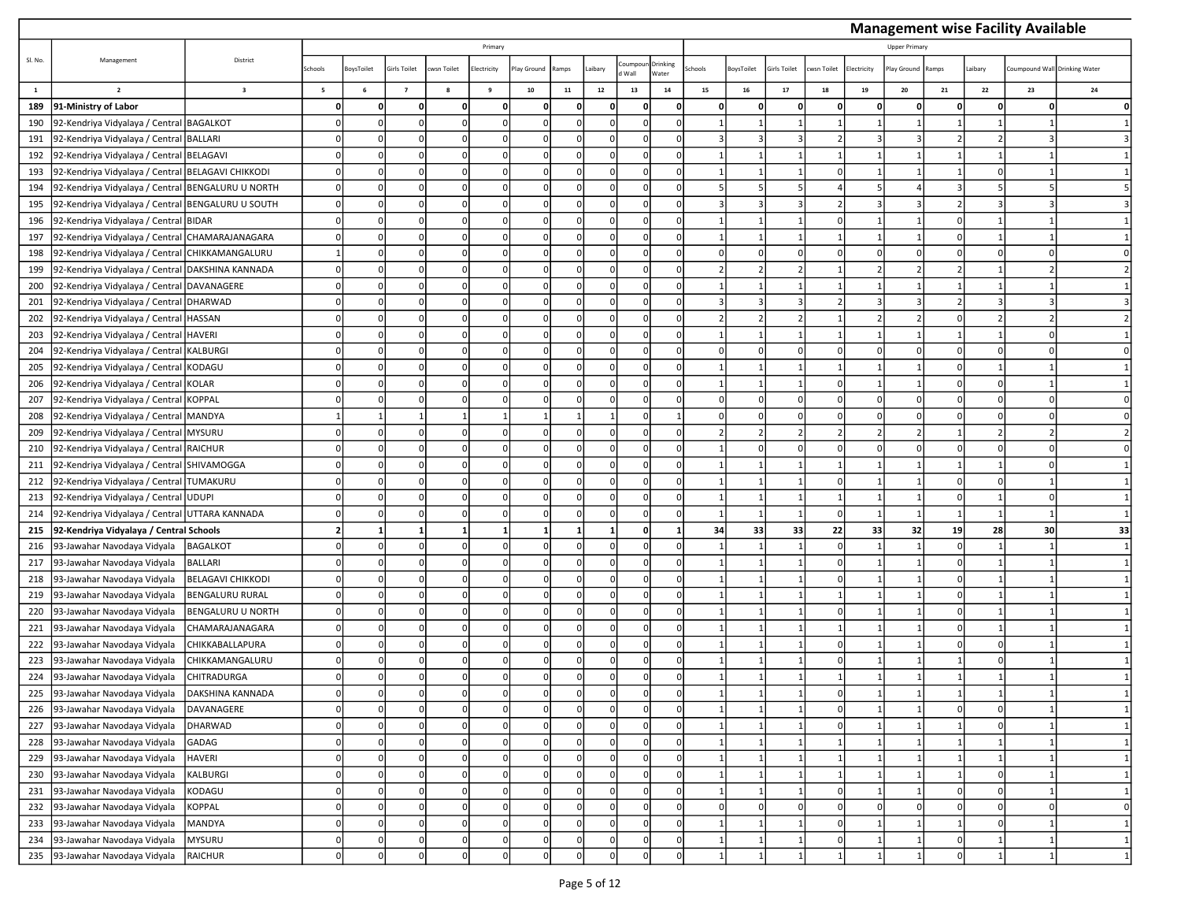|              |                                                   |                         |                          |                   |                |            |                 |              |            |              |                |                   |        |            |                |             |                |                     |       |          | <b>Management wise Facility Available</b> |    |
|--------------|---------------------------------------------------|-------------------------|--------------------------|-------------------|----------------|------------|-----------------|--------------|------------|--------------|----------------|-------------------|--------|------------|----------------|-------------|----------------|---------------------|-------|----------|-------------------------------------------|----|
|              |                                                   |                         |                          |                   |                |            | Primary         |              |            |              |                |                   |        |            |                |             |                | <b>Upper Primar</b> |       |          |                                           |    |
| Sl. No.      | Management                                        | District                | Schools                  | <b>BoysToilet</b> | Girls Toilet   | wsn Toilet | lectricity      | lay Ground   | Ramps      | Laibary      | oumpou<br>Wall | Drinking<br>Water | chools | BoysToilet | Sirls Toilet   | cwsn Toilet | Electricity    | lay Ground          | Ramps | Laibary  | Coumpound Wall Drinking Water             |    |
| $\mathbf{1}$ | $\overline{2}$                                    | $\overline{\mathbf{3}}$ | $\overline{\phantom{a}}$ | $\,$ 6            | $\overline{7}$ | 8          | 9               | ${\bf 10}$   | ${\bf 11}$ | $12\,$       | $13\,$         | ${\bf 14}$        | $15\,$ | ${\bf 16}$ | 17             | 18          | $\bf 19$       | 20                  | 21    | 22       | 23                                        | 24 |
| 189          | 91-Ministry of Labor                              |                         |                          |                   |                |            | $\mathbf{0}$    | C            | O          |              |                | 0                 |        | $\Omega$   | 0              |             | 0              |                     |       | $\Omega$ |                                           |    |
| 190          | 92-Kendriya Vidyalaya / Central BAGALKOT          |                         |                          |                   |                |            | 0               | ſ            |            |              |                | 0                 |        |            | $\mathbf{1}$   |             |                |                     |       |          |                                           |    |
| 191          | 92-Kendriya Vidyalaya / Central BALLARI           |                         |                          |                   |                |            | 0               | $\Omega$     | ŋ          | $\Omega$     |                | 0                 |        |            | 3              | 2           | 3              |                     |       |          |                                           |    |
| 192          | 92-Kendriya Vidyalaya / Central BELAGAVI          |                         |                          |                   |                |            | $\Omega$        | C            |            |              |                | $\Omega$          |        |            |                |             |                |                     |       |          |                                           |    |
| 193          | 92-Kendriya Vidyalaya / Central BELAGAVI CHIKKODI |                         |                          |                   |                |            | 0               | $\mathsf{C}$ | O          | $\sqrt{ }$   |                | 0                 |        |            |                | U           | $\overline{1}$ |                     |       |          |                                           |    |
| 194          | 92-Kendriya Vidyalaya / Central BENGALURU U NORTH |                         |                          |                   |                | n          | 0               | $\Omega$     | n          | <sup>n</sup> |                | 0                 |        |            | 5              |             | .5             |                     |       |          |                                           |    |
| 195          | 92-Kendriya Vidyalaya / Central                   | BENGALURU U SOUTH       |                          |                   |                |            | 0               | ſ            |            |              |                | 0                 |        |            |                |             | 3              |                     |       |          |                                           |    |
| 196          | 92-Kendriya Vidyalaya / Central BIDAR             |                         |                          |                   |                |            | $\Omega$        | $\Omega$     |            |              |                | 0                 |        |            |                |             |                |                     |       |          |                                           |    |
| 197          | 92-Kendriya Vidyalaya / Central CHAMARAJANAGARA   |                         |                          |                   |                |            | 0               | $\Omega$     | O          |              |                | $\Omega$          |        |            |                |             |                |                     |       |          |                                           |    |
| 198          | 92-Kendriya Vidyalaya / Central CHIKKAMANGALURU   |                         |                          |                   |                |            | 0               |              |            |              |                | $\Omega$          |        |            | O              |             | $\Omega$       |                     |       |          |                                           |    |
| 199          | 92-Kendriya Vidyalaya / Central DAKSHINA KANNADA  |                         |                          |                   | n              | C          | 0               | $\Omega$     | $\Omega$   | $\Omega$     |                | $\Omega$          |        |            | $\overline{2}$ |             | $\overline{2}$ |                     |       |          |                                           |    |
| 200          | 92-Kendriya Vidyalaya / Central DAVANAGERE        |                         |                          |                   |                |            | 0               | $\Omega$     | n          | $\Omega$     |                | 0                 |        |            | $\mathbf{1}$   |             | $\mathbf{1}$   |                     |       |          |                                           |    |
| 201          | 92-Kendriya Vidyalaya / Central                   | <b>DHARWAD</b>          |                          |                   |                |            | 0               | ŋ            |            |              |                | 0                 |        |            |                |             | 3              |                     |       |          |                                           |    |
| 202          | 92-Kendriya Vidyalaya / Central                   | <b>HASSAN</b>           |                          |                   |                |            | 0               | $\Omega$     |            | $\Omega$     |                | 0                 |        |            | $\overline{2}$ |             | 2              |                     |       |          |                                           |    |
| 203          | 92-Kendriya Vidyalaya / Central HAVERI            |                         |                          |                   |                |            | $\Omega$        | C            |            |              |                | $\Omega$          |        |            |                |             |                |                     |       |          |                                           |    |
| 204          | 92-Kendriya Vidyalaya / Central KALBURGI          |                         |                          |                   |                | $\sqrt{2}$ | 0               | $\Omega$     | O          | $\sqrt{ }$   |                | 0                 |        | $\Omega$   | $\Omega$       | $\Omega$    | $\Omega$       |                     |       |          |                                           |    |
| 205          | 92-Kendriya Vidyalaya / Central KODAGU            |                         |                          |                   |                |            | $\Omega$        | C            |            | n            |                | $\Omega$          |        |            | -1             |             |                |                     |       |          |                                           |    |
| 206          | 92-Kendriya Vidyalaya / Central                   | KOLAR                   |                          |                   |                |            | $\Omega$        | C            |            | $\Omega$     |                | $\Omega$          |        |            | 1              |             |                |                     |       |          |                                           |    |
| 207          | 92-Kendriya Vidyalaya / Central                   | <b>KOPPAL</b>           |                          |                   |                |            | $\Omega$        | $\Omega$     |            | $\Omega$     |                | 0                 |        | $\Omega$   | $\Omega$       | $\Omega$    | $\Omega$       | $\Omega$            |       |          | $\Omega$                                  |    |
| 208          | 92-Kendriya Vidyalaya / Central MANDYA            |                         |                          |                   |                |            | $1\vert$        |              |            |              |                | $\vert$ 1         |        | - 0        | $\Omega$       | O           | <sup>0</sup>   |                     |       |          |                                           |    |
| 209          | 92-Kendriya Vidyalaya / Central                   | <b>MYSURU</b>           |                          |                   |                |            | 0               | ſ            |            | $\sqrt{ }$   |                | 0                 |        |            |                |             | $\overline{2}$ |                     |       |          |                                           |    |
| 210          | 92-Kendriya Vidyalaya / Central RAICHUR           |                         |                          |                   |                |            | 0               | $\Omega$     | O          | $\Omega$     |                | 0                 |        |            | $\Omega$       | $\Omega$    | $\Omega$       |                     | n     |          | $\Omega$                                  |    |
| 211          | 92-Kendriya Vidyalaya / Central SHIVAMOGGA        |                         |                          |                   |                | C          | 0               | $\Omega$     | O          | $\Omega$     |                | 0                 |        |            | $\mathbf{1}$   | 1           | -1             |                     |       |          | $\Omega$                                  |    |
| 212          | 92-Kendriya Vidyalaya / Central                   | TUMAKURU                |                          |                   |                |            | $\Omega$        |              |            |              |                | $\mathbf 0$       |        |            |                | n           |                |                     |       |          |                                           |    |
| 213          | 92-Kendriya Vidyalaya / Central UDUPI             |                         |                          |                   |                | n          | 0               | $\Omega$     | 0          | $\Omega$     |                | 0                 |        |            | $\mathbf{1}$   | 1           | 1              |                     | ŋ     |          |                                           |    |
| 214          | 92-Kendriya Vidyalaya / Central UTTARA KANNADA    |                         |                          |                   |                |            | $\Omega$        | $\Omega$     |            |              |                | $\Omega$          |        |            | $\mathbf{1}$   |             |                |                     |       |          |                                           |    |
| 215          | 92-Kendriya Vidyalaya / Central Schools           |                         |                          |                   |                |            | $1\overline{ }$ |              |            |              |                | $\mathbf{1}$      | 34     | 33         | 33             | 22          | 33             | 32                  | 19    | 28       | 30                                        | 33 |
| 216          | 93-Jawahar Navodaya Vidyala                       | <b>BAGALKOT</b>         |                          |                   |                |            | $\Omega$        | $\Omega$     | O          | <sup>n</sup> |                | $\Omega$          |        |            | $\mathbf{1}$   | $\Omega$    |                |                     |       |          |                                           |    |
| 217          | 93-Jawahar Navodaya Vidyala                       | BALLARI                 |                          |                   |                |            | $\Omega$        |              |            |              |                | $\Omega$          |        |            |                |             |                |                     |       |          |                                           |    |
| 218          | 93-Jawahar Navodaya Vidyala                       | BELAGAVI CHIKKODI       |                          |                   |                |            | $\Omega$        | $\Omega$     | O          | $\Omega$     |                | $\Omega$          |        |            |                | $\Omega$    |                |                     |       |          |                                           |    |
| 219          | 93-Jawahar Navodaya Vidyala                       | BENGALURU RURAL         |                          |                   |                |            | $\Omega$        | ſ            |            |              |                | $\Omega$          |        |            |                |             |                |                     |       |          |                                           |    |
| 220          | 93-Jawahar Navodaya Vidyala                       | BENGALURU U NORTH       |                          |                   |                |            | $\Omega$        | $\mathsf{C}$ | n          |              |                | 0                 |        |            |                | n           |                |                     |       |          |                                           |    |
| 221          | 93-Jawahar Navodaya Vidyala                       | CHAMARAJANAGARA         |                          | $\Omega$          | $\Omega$       | $\Omega$   | 0l              | $\Omega$     | O          | $\Omega$     |                | 0l                |        |            | $\mathbf{1}$   | 1           |                |                     | n     |          |                                           |    |
| 222          | 93-Jawahar Navodaya Vidyala                       | CHIKKABALLAPURA         |                          |                   |                |            | $\Omega$        | $\Omega$     | n          |              |                | $\Omega$          |        |            | $\mathbf{1}$   | U           |                |                     |       |          |                                           |    |
| 223          | 93-Jawahar Navodaya Vidyala                       | CHIKKAMANGALURU         |                          |                   |                |            | $\Omega$        |              |            |              |                | $\Omega$          |        |            |                |             |                |                     |       |          |                                           |    |
| 224          | 93-Jawahar Navodaya Vidyala                       | CHITRADURGA             |                          |                   |                |            | $\Omega$        |              | O          |              |                | $\Omega$          |        |            |                |             |                |                     |       |          |                                           |    |
| 225          | 93-Jawahar Navodaya Vidyala                       | DAKSHINA KANNADA        |                          |                   |                |            |                 |              |            |              |                |                   |        |            |                |             |                |                     |       |          |                                           |    |
| 226          | 93-Jawahar Navodaya Vidyala                       | DAVANAGERE              |                          |                   | n              |            | $\Omega$        | $\Omega$     | n          |              |                | $\mathbf 0$       |        |            |                | $\Omega$    |                |                     | n     | $\Omega$ |                                           |    |
| 227          | 93-Jawahar Navodaya Vidyala                       | DHARWAD                 | 0                        | O                 | $\Omega$       | $\Omega$   | $\Omega$        | $\Omega$     | $\Omega$   | $\Omega$     | n              | 0                 |        |            | 1              | $\Omega$    | 1              |                     | 1     | $\Omega$ |                                           |    |
| 228          | 93-Jawahar Navodaya Vidyala                       | GADAG                   |                          |                   |                |            | $\mathbf 0$     | 0            | O          |              |                | 0                 |        |            |                |             |                |                     |       |          |                                           |    |
| 229          | 93-Jawahar Navodaya Vidyala                       | HAVERI                  |                          |                   |                | n          | $\mathbf{0}$    | $\Omega$     | U          |              |                | $\mathbf 0$       |        |            |                |             |                |                     |       |          |                                           |    |
| 230          | 93-Jawahar Navodaya Vidyala                       | KALBURGI                |                          |                   |                |            | $\overline{0}$  | $\Omega$     | ŋ          |              |                | 0                 |        |            |                |             |                |                     |       |          |                                           |    |
| 231          | 93-Jawahar Navodaya Vidyala                       | KODAGU                  |                          |                   |                |            | $\Omega$        |              |            |              |                | $\Omega$          |        |            |                |             |                |                     |       |          |                                           |    |
| 232          | 93-Jawahar Navodaya Vidyala                       | KOPPAL                  |                          |                   |                | $\Omega$   | $\mathbf{0}$    | $\Omega$     | O          | $\Omega$     |                | $\mathbf 0$       |        |            | $\Omega$       | $\Omega$    | $\mathbf 0$    |                     |       |          |                                           | 0  |
| 233          | 93-Jawahar Navodaya Vidyala                       | MANDYA                  | 0                        |                   |                |            | $\mathbf{0}$    | 0            | $\Omega$   | <sup>n</sup> |                | $\mathbf 0$       |        |            | 1              | $\Omega$    | 1              |                     |       | $\Omega$ |                                           |    |
| 234          | 93-Jawahar Navodaya Vidyala                       | MYSURU                  |                          |                   |                |            | $\mathbf 0$     |              |            |              |                | $\mathbf 0$       |        |            |                |             |                |                     |       |          |                                           |    |
| 235          | 93-Jawahar Navodaya Vidyala                       | RAICHUR                 |                          |                   |                |            | $\Omega$        |              |            |              |                |                   |        |            |                |             |                |                     |       |          |                                           |    |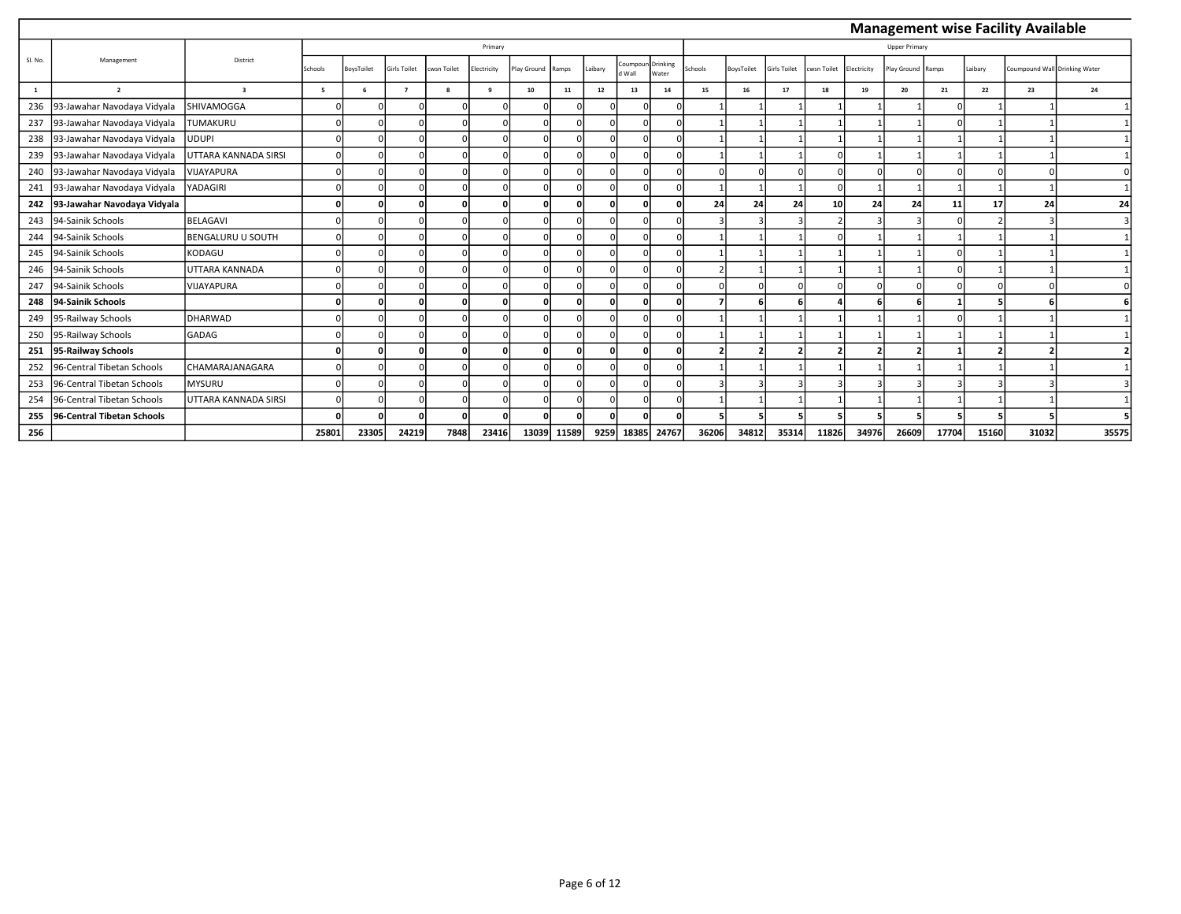|         |                             |                          |         |            |                     |             |            |            |          |         |                    |                   |                          |                          |              |             |             |                      |       |         | <b>Management wise Facility Available</b> |       |
|---------|-----------------------------|--------------------------|---------|------------|---------------------|-------------|------------|------------|----------|---------|--------------------|-------------------|--------------------------|--------------------------|--------------|-------------|-------------|----------------------|-------|---------|-------------------------------------------|-------|
|         |                             |                          |         |            |                     |             | Primary    |            |          |         |                    |                   |                          |                          |              |             |             | <b>Upper Primary</b> |       |         |                                           |       |
| SI. No. | Management                  | District                 | Schools | BoysToilet | <b>Girls Toilet</b> | cwsn Toilet | lectricity | lay Ground | Ramps    | Laibary | Coumpoun<br>d Wall | Drinking<br>Water | Schools                  | BoysToilet               | Girls Toilet | cwsn Toilet | Electricity | lay Ground           | Ramps | Laibary | Coumpound Wall Drinking Water             |       |
| 1       | $\overline{2}$              | $\overline{\mathbf{3}}$  | 5       | 6          | $\overline{z}$      | 8           | 9          | 10         | 11       | 12      | 13                 | 14                | 15                       | 16                       | 17           | 18          | 19          | 20                   | 21    | 22      | 23                                        | 24    |
| 236     | 93-Jawahar Navodaya Vidyala | SHIVAMOGGA               |         |            |                     |             |            |            | $\Omega$ |         |                    |                   |                          |                          |              |             |             |                      |       |         |                                           |       |
| 237     | 93-Jawahar Navodaya Vidyala | <b>TUMAKURU</b>          |         |            |                     |             |            |            | $\Omega$ |         |                    |                   |                          |                          |              |             |             |                      |       |         |                                           |       |
| 238     | 93-Jawahar Navodaya Vidyala | <b>UDUPI</b>             |         |            |                     |             |            |            | $\Omega$ |         |                    |                   |                          |                          |              |             |             |                      |       |         |                                           |       |
| 239     | 93-Jawahar Navodaya Vidyala | UTTARA KANNADA SIRSI     |         |            |                     |             |            |            |          |         |                    |                   |                          |                          |              |             |             |                      |       |         |                                           |       |
| 240     | 93-Jawahar Navodaya Vidyala | VIJAYAPURA               |         |            |                     |             |            |            |          |         |                    |                   |                          |                          |              |             |             |                      |       |         |                                           |       |
| 241     | 93-Jawahar Navodaya Vidyala | YADAGIRI                 |         |            |                     |             |            |            |          |         |                    |                   |                          |                          |              |             |             |                      |       |         |                                           |       |
| 242     | 93-Jawahar Navodaya Vidyala |                          |         | $\Omega$   |                     |             |            | $\Omega$   | O        |         |                    |                   | 24                       | 24                       | 24           | 10          | 24          | 24                   | 11    | 17      | 24                                        | 24    |
| 243     | 94-Sainik Schools           | <b>BELAGAVI</b>          |         |            |                     |             |            | $\Omega$   | $\Omega$ |         |                    | $\Omega$          |                          | 3                        |              |             |             |                      |       |         |                                           |       |
| 244     | 94-Sainik Schools           | <b>BENGALURU U SOUTH</b> |         |            |                     |             |            |            | $\Omega$ |         |                    |                   |                          |                          |              |             |             |                      |       |         |                                           |       |
| 245     | 94-Sainik Schools           | KODAGU                   |         |            |                     |             |            |            |          |         |                    |                   |                          |                          |              |             |             |                      |       |         |                                           |       |
| 246     | 94-Sainik Schools           | UTTARA KANNADA           |         |            |                     |             |            |            |          |         |                    |                   |                          |                          |              |             |             |                      |       |         |                                           |       |
| 247     | 94-Sainik Schools           | <b>VIJAYAPURA</b>        |         |            |                     |             |            |            | $\Omega$ |         |                    |                   |                          | $\Omega$                 |              |             |             |                      |       |         |                                           |       |
| 248     | 94-Sainik Schools           |                          |         |            |                     |             |            |            | 0        |         |                    |                   |                          |                          |              |             |             |                      |       |         |                                           |       |
| 249     | 95-Railway Schools          | <b>DHARWAD</b>           |         |            |                     |             |            |            |          |         |                    |                   |                          |                          |              |             |             |                      |       |         |                                           |       |
| 250     | 95-Railway Schools          | <b>GADAG</b>             |         |            |                     |             |            |            |          |         |                    | $\Omega$          |                          |                          |              |             |             |                      |       |         |                                           |       |
| 251     | 95-Railway Schools          |                          |         | $\Omega$   |                     |             |            |            | $\Omega$ |         |                    |                   | $\overline{\phantom{a}}$ | $\overline{\phantom{a}}$ | n,           |             | э           |                      |       |         |                                           |       |
| 252     | 96-Central Tibetan Schools  | CHAMARAJANAGARA          |         |            |                     |             |            | $\Omega$   | $\Omega$ |         |                    | $\Omega$          |                          |                          |              |             |             |                      |       |         |                                           |       |
| 253     | 96-Central Tibetan Schools  | <b>MYSURU</b>            |         |            |                     |             |            |            |          |         |                    |                   |                          |                          |              |             |             |                      |       |         |                                           |       |
| 254     | 96-Central Tibetan Schools  | UTTARA KANNADA SIRSI     |         |            |                     |             |            |            |          |         |                    |                   |                          |                          |              |             |             |                      |       |         |                                           |       |
| 255     | 96-Central Tibetan Schools  |                          |         |            |                     |             | n          |            | O        |         |                    |                   |                          |                          |              |             |             |                      |       |         |                                           |       |
| 256     |                             |                          | 25801   | 23305      | 24219               | 7848        | 23416      | 13039      | 11589    | 9259    | 18385              | 24767             | 36206                    | 34812                    | 35314        | 11826       | 34976       | 26609                | 17704 | 15160   | 31032                                     | 35575 |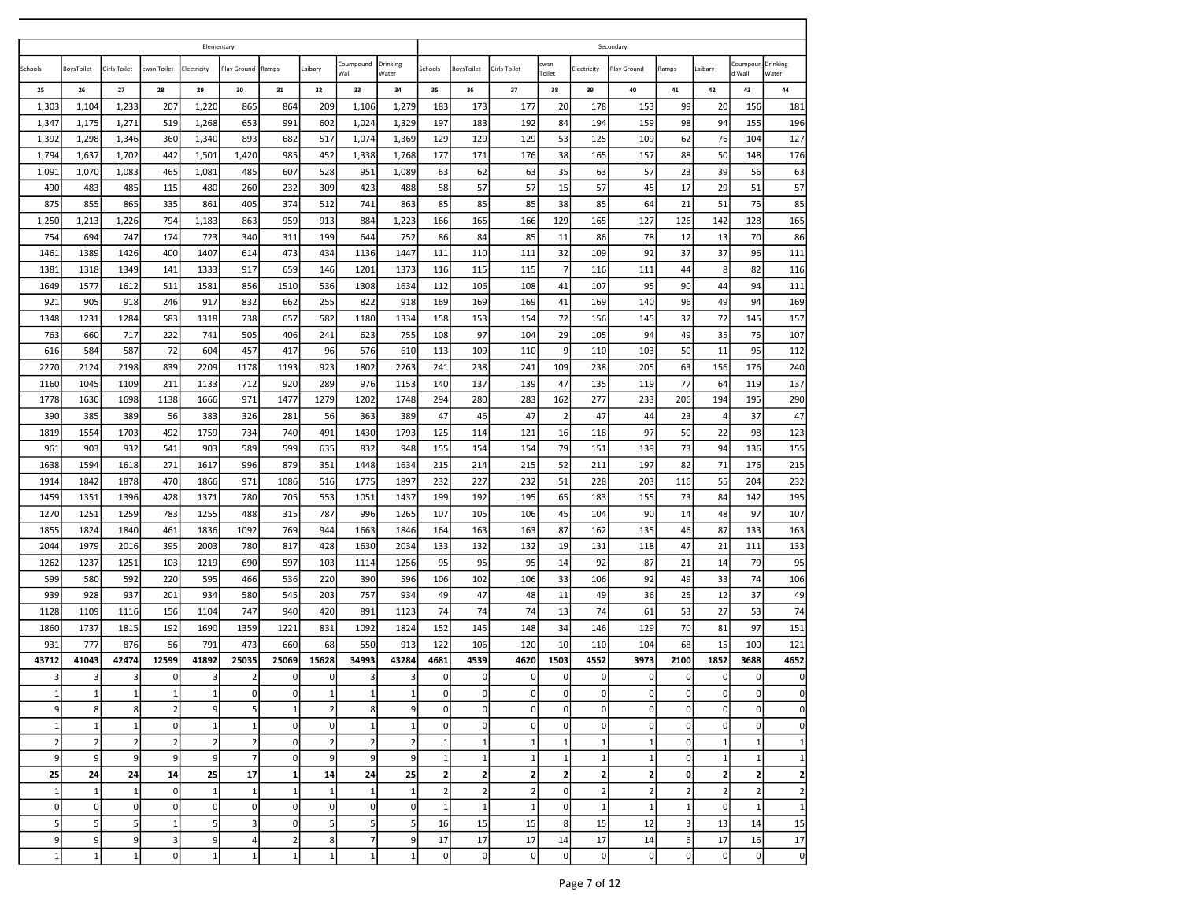|                 |                  |                     |                         | Elementary     |                 |                 |                |                   |                   |                |                |                     |                |                 | Secondary      |                |                |                     |                   |
|-----------------|------------------|---------------------|-------------------------|----------------|-----------------|-----------------|----------------|-------------------|-------------------|----------------|----------------|---------------------|----------------|-----------------|----------------|----------------|----------------|---------------------|-------------------|
| Schools         | BoysToilet       | <b>Girls Toilet</b> | cwsn Toilet             | Electricity    | Play Ground     | Ramps           | Laibary        | Coumpound<br>Wall | Drinking<br>Water | Schools        | BoysToilet     | <b>Girls Toilet</b> | cwsn<br>Toilet | Electricity     | Play Ground    | Ramps          | Laibary        | Coumpour<br>d Wall  | Drinking<br>Water |
| 25              | 26               | 27                  | 28                      | 29             | 30              | 31              | 32             | 33                | 34                | 35             | 36             | 37                  | 38             | 39              | 40             | 41             | 42             | 43                  | 44                |
| 1,303           | 1,104            | 1,233               | 207                     | 1,220          | 865             | 864             | 209            | 1,106             | 1,279             | 183            | 173            | 177                 | 20             | 178             | 153            | 99             | 20             | 156                 | 181               |
| 1,347           | 1,175            | 1,271               | 519                     | 1,268          | 653             | 991             | 602            | 1,024             | 1,329             | 197            | 183            | 192                 | 84             | 194             | 159            | 98             | 94             | 155                 | 196               |
| 1,392           | 1,298            | 1,346               | 360                     | 1,340          | 893             | 682             | 517            | 1,074             | 1,369             | 129            | 129            | 129                 | 53             | 125             | 109            | 62             | 76             | 104                 | 127               |
| 1,794           | 1,637            | 1,702               | 442                     | 1,501          | 1,420           | 985             | 452            | 1,338             | 1,768             | 177            | 171            | 176                 | 38             | 165             | 157            | 88             | 50             | 148                 | 176               |
| 1,091           | 1,070            | 1,083               | 465                     | 1,081          | 485             | 607             | 528            | 951               | 1,089             | 63             | 62             | 63                  | 35             | 63              | 57             | 23             | 39             | 56                  | 63                |
| 490             | 483              | 485                 | 115                     | 480            | 260             | 232             | 309            | 423               | 488               | 58             | 57             | 57                  | 15             | 57              | 45             | 17             | 29             | 51                  | 57                |
| 875             | 855              | 865                 | 335                     | 861            | 405             | 374             | 512            | 741               | 863               | 85             | 85             | 85                  | 38             | 85              | 64             | 21             | 51             | 75                  | 85                |
| 1,250           | 1,213            | 1,226               | 794                     | 1,183          | 863             | 959             | 913            | 884               | 1,223             | 166            | 165            | 166                 | 129            | 165             | 127            | 126            | 142            | 128                 | 165               |
| 754             | 694              | 747                 | 174                     | 723            | 340             | 311             | 199            | 644               | 752               | 86             | 84             | 85                  | 11             | 86              | 78             | 12             | 13             | 70                  | 86                |
| 1461            | 1389             | 1426                | 400                     | 1407           | 614             | 473             | 434            | 1136              | 1447              | 111            | 110            | 111                 | 32             | 109             | 92             | 37             | 37             | 96                  | 111               |
| 1381            | 1318             | 1349                | 141                     | 1333           | 917             | 659             | 146            | 1201              | 1373              | 116            | 115            | 115                 | $\overline{7}$ | 116             | 111            | 44             | 8              | 82                  | 116               |
| 1649            | 1577             | 1612                | 511                     | 1581           | 856             | 1510            | 536            | 1308              | 1634              | 112            | 106            | 108                 | 41             | 107             | 95             | 90             | 44             | 94                  | 111               |
| 921             | 905              | 918                 | 246                     | 917            | 832             | 662             | 255            | 822               | 918               | 169            | 169            | 169                 | 41             | 169             | 140            | 96             | 49             | 94                  | 169               |
| 1348            | 1231             | 1284                | 583                     | 1318           | 738             | 657             | 582            | 1180              | 1334              | 158            | 153            | 154                 | 72             | 156             | 145            | 32             | 72             | 145                 | 157               |
| 763             | 660              | 717                 | 222                     | 741            | 505             | 406             | 241            | 623               | 755               | 108            | 97             | 104                 | 29             | 105             | 94             | 49             | 35             | 75                  | 107               |
| 616             | 584              | 587                 | 72                      | 604            | 457             | 417             | 96             | 576               | 610               | 113            | 109            | 110                 | 9              | 110             | 103            | 50             | 11             | 95                  | 112               |
| 2270            | 2124             | 2198                | 839                     | 2209           | 1178            | 1193            | 923            | 1802              | 2263              | 241            | 238            | 241                 | 109            | 238             | 205            | 63             | 156            | 176                 | 240               |
| 1160            | 1045             | 1109                | 211                     | 1133           | 712             | 920             | 289            | 976               | 1153              | 140            | 137            | 139                 | 47             | 135             | 119            | 77             | 64             | 119                 | 137               |
| 1778            | 1630             | 1698                | 1138                    | 1666           | 971             | 1477            | 1279           | 1202              | 1748              | 294            | 280            | 283                 | 162            | 277             | 233            | 206            | 194            | 195                 | 290               |
| 390             | 385              | 389                 | 56                      | 383            | 326             | 281             | 56             | 363               | 389               | 47             | 46             | 47                  | $\overline{2}$ | 47              | 44             | 23             | 4              | 37                  | 47                |
| 1819            | 1554             | 1703                | 492                     | 1759           | 734             | 740             | 491            | 1430              | 1793              | 125            | 114            | 121                 | 16             | 118             | 97             | 50             | 22             | 98                  | 123               |
| 961             | 903              | 932                 | 541                     | 903            | 589             | 599             | 635            | 832               | 948               | 155            | 154            | 154                 | 79             | 151             | 139            | 73             | 94             | 136                 | 155               |
| 1638            | 1594             | 1618                | 271                     | 1617           | 996             | 879             | 351            | 1448              | 1634              | 215            | 214            | 215                 | 52             | 211             | 197            | 82             | 71             | 176                 | 215               |
| 1914            | 1842             | 1878                | 470                     | 1866           | 971             | 1086            | 516            | 1775              | 1897              | 232            | 227            | 232                 | 51             | 228             | 203            | 116            | 55             | 204                 | 232               |
| 1459            | 1351             | 1396                | 428                     | 1371           | 780             | 705             | 553            | 1051              | 1437              | 199            | 192            | 195                 | 65             | 183             | 155            | 73             | 84             | 142                 | 195               |
| 1270            | 1251             | 1259                | 783                     | 1255           | 488             | 315             | 787            | 996               | 1265              | 107            | 105            | 106                 | 45             | 104             | 90             | 14             | 48             | 97                  | 107               |
| 1855            | 1824             | 1840                | 461                     | 1836           | 1092            | 769             | 944            | 1663              | 1846              | 164            | 163            | 163                 | 87             | 162             | 135            | 46             | 87             | 133                 | 163               |
| 2044            | 1979             | 2016                | 395                     | 2003           | 780             | 817             | 428            | 1630              | 2034              | 133            | 132            | 132                 | 19             | 131             | 118            | 47             | 21             | 111                 | 133               |
| 1262            | 1237             | 1251                | 103                     | 1219           | 690             | 597             | 103            | 1114              | 1256              | 95             | 95             | 95                  | 14             | 92              | 87             | 21             | 14             | 79                  | 95                |
| 599             | 580              | 592                 | 220                     | 595            | 466             | 536             | 220            | 390               | 596               | 106            | 102            | 106                 | 33             | 106             | 92             | 49             | 33             | 74                  | 106               |
| 939             | 928              | 937                 | 201                     | 934            | 580             | 545             | 203            | 757               | 934               | 49<br>74       | 47             | 48                  | 11             | 49              | 36             | 25             | 12             | 37                  | 49                |
| 1128            | 1109             | 1116                | 156                     | 1104           | 747             | 940             | 420            | 891               | 1123              |                | 74             | 74                  | 13             | 74              | 61             | 53             | 27             | 53                  | 74                |
| 1860<br>931     | 1737<br>777      | 1815<br>876         | 192<br>56               | 1690<br>791    | 1359<br>473     | 1221<br>660     | 831<br>68      | 1092<br>550       | 1824<br>913       | 152<br>122     | 145<br>106     | 148<br>120          | 34<br>10       | 146<br>110      | 129<br>104     | 70<br>68       | 81<br>15       | 97<br>100           | 151<br>121        |
| 43712           | 41043            | 42474               | 12599                   | 41892          | 25035           | 25069           | 15628          | 34993             | 43284             | 4681           | 4539           | 4620                | 1503           |                 | 3973           | 2100           | 1852           | 3688                | 4652              |
| 3               | 3                | 3                   | 0                       | 3              | $\overline{2}$  | 0               | $\overline{0}$ | 3                 | 3                 | 0              | 0              | 0                   | 0              | 4552<br>0       | 0              | 0              | 0              | 0                   | $\Omega$          |
| $\mathbf{1}$    | $1\vert$         | 1                   | $1\vert$                | $\mathbf{1}$   | 0               | $\overline{0}$  | $1\vert$       | $\vert$ 1         | 1                 | 0              | $\overline{0}$ | $\overline{0}$      | $\overline{0}$ | $\overline{0}$  | 0              | $\Omega$       | 0              | $\overline{0}$      | 0                 |
| 9               | $\boldsymbol{8}$ | $\boldsymbol{8}$    | 2                       | 9              | 5               | $\mathbf{1}$    | $\overline{2}$ | 8                 | $\mathsf{g}$      | $\overline{0}$ | $\mathbf 0$    | $\mathbf 0$         | $\circ$        | $\mathbf{0}$    | 0              | $\mathbf{0}$   | $\overline{0}$ | $\mathsf{O}\xspace$ | 0                 |
| $1\overline{ }$ | 1                | $\mathbf 1$         | $\mathbf{0}$            | 1              | 1               | $\overline{0}$  | $\mathbf{0}$   | $\mathbf 1$       | $\mathbf 1$       | $\overline{0}$ | $\mathbf{0}$   | $\mathbf 0$         | 0              | $\circ$         | 0              | $\overline{0}$ | $\circ$        | $\mathsf{O}\xspace$ | 0                 |
| $\overline{2}$  | 2                | $\mathbf 2$         | $\overline{2}$          | $\overline{2}$ | $\overline{2}$  | $\mathbf{0}$    | $\overline{2}$ | $\overline{2}$    | $\mathbf 2$       | 1              | $\mathbf 1$    | $\mathbf 1$         | $\mathbf{1}$   | $1\overline{ }$ | $\mathbf{1}$   | $\overline{0}$ | $\mathbf 1$    | $\mathbf 1$         | $1\vert$          |
| 9               | 9                | 9                   | 9                       | $\overline{9}$ | $\overline{7}$  | $\mathbf{0}$    | 9              | 9                 | 9                 | $1\vert$       | $\mathbf 1$    | $\,1\,$             | $\mathbf{1}$   | $\mathbf 1$     | 1              | $\pmb{0}$      | $\mathbf{1}$   | $1\,$               | $1\vert$          |
| 25              | 24               | 24                  | 14                      | 25             | 17              | $1\overline{ }$ | 14             | 24                | 25                | $\mathbf{2}$   | $\mathbf{2}$   | $\mathbf{2}$        | $\mathbf{2}$   | $\overline{2}$  | $\mathbf{2}$   | $\mathbf{0}$   | $\mathbf 2$    | $\overline{2}$      | $\overline{2}$    |
| $\mathbf 1$     | 1                | $\mathbf{1}$        | $\overline{0}$          | 1              | $\mathbf 1$     | $1\overline{ }$ | 1              | $\mathbf{1}$      | 1                 | $\overline{2}$ | $\mathbf 2$    | $\overline{2}$      | 0              | $\overline{2}$  | $\overline{2}$ | $\overline{2}$ | $\mathbf 2$    | $\overline{2}$      | $\overline{2}$    |
| $\mathbf 0$     | $\overline{0}$   | $\mathbf 0$         | $\mathbf{0}$            | $\overline{0}$ | $\Omega$        | $\mathbf{0}$    | $\circ$        | $\mathbf 0$       | 0                 | $\mathbf{1}$   | $\mathbf 1$    | 1                   | $\mathbf 0$    | $\mathbf{1}$    | 1              | $\mathbf 1$    | $\mathbf 0$    | 1                   | 1                 |
| 5               | 5 <sup>1</sup>   | 5                   | $\mathbf 1$             | 5              | $\overline{3}$  | $\mathbf{0}$    | 5              | 5                 | 5                 | 16             | 15             | 15                  | 8              | 15              | 12             | 3              | 13             | 14                  | 15                |
| 9               | $\overline{9}$   | 9                   | $\overline{\mathbf{3}}$ | 9              | $\vert 4 \vert$ | $\overline{2}$  | 8 <sup>1</sup> | $\overline{7}$    | 9                 | 17             | 17             | 17                  | 14             | 17              | 14             | 6              | 17             | 16                  | 17                |
| $\mathbf{1}$    | $1\vert$         | $\mathbf{1}$        | $\Omega$                | $\mathbf 1$    | $\mathbf 1$     | $\mathbf{1}$    | 1              | $\mathbf{1}$      | $\mathbf 1$       | $\overline{0}$ | $\mathbf{0}$   | $\mathbf 0$         | $\pmb{0}$      | $\overline{0}$  | $\pmb{0}$      | $\pmb{0}$      | $\overline{0}$ | $\mathbf 0$         | $\circ$           |
|                 |                  |                     |                         |                |                 |                 |                |                   |                   |                |                |                     |                |                 |                |                |                |                     |                   |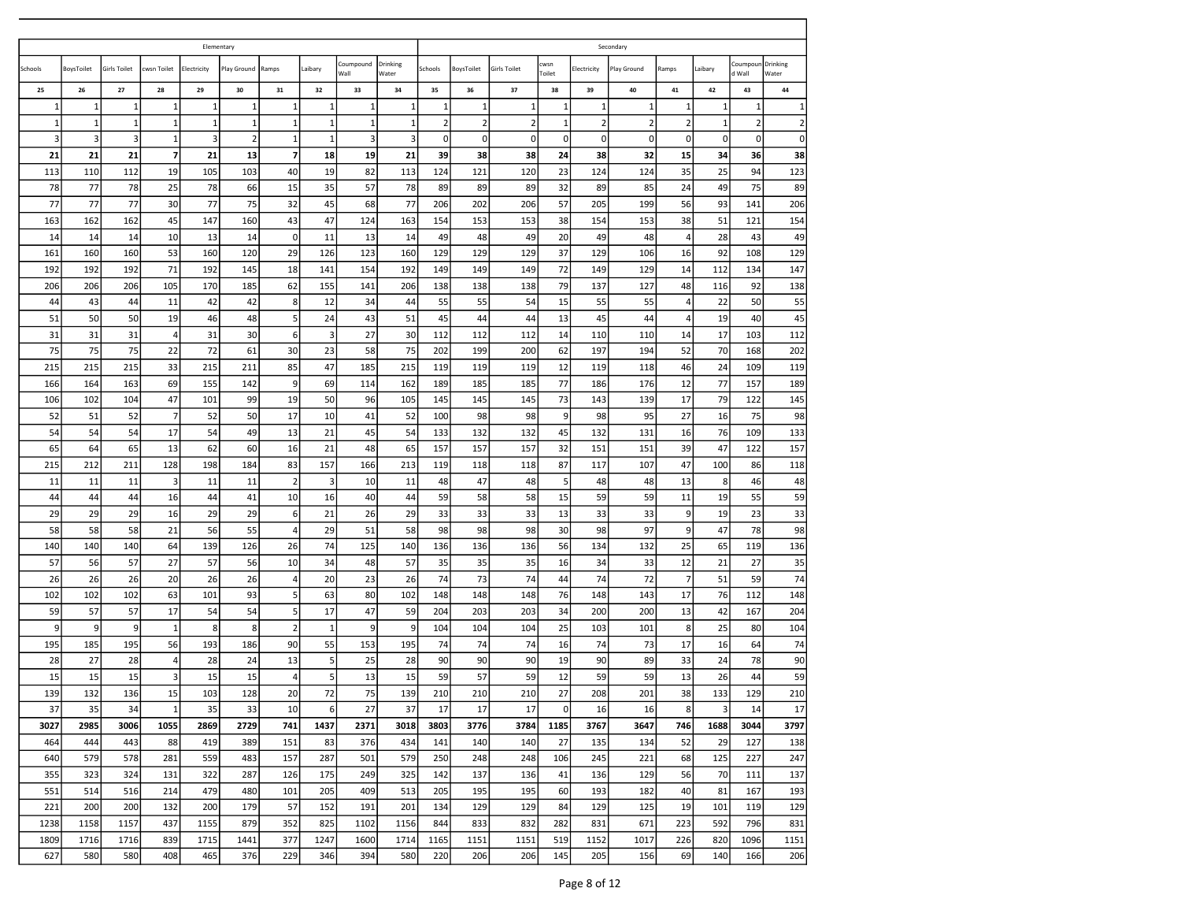|             |              |                     |                | Elementary     |                |                 |              |                   |                   |             |                |                     |                |                | Secondary      |                      |                         |                    |                   |
|-------------|--------------|---------------------|----------------|----------------|----------------|-----------------|--------------|-------------------|-------------------|-------------|----------------|---------------------|----------------|----------------|----------------|----------------------|-------------------------|--------------------|-------------------|
| Schools     | BoysToilet   | <b>Girls Toilet</b> | cwsn Toilet    | Electricity    | Play Ground    | Ramps           | Laibary      | Coumpound<br>Wall | Drinking<br>Water | Schools     | BoysToilet     | <b>Girls Toilet</b> | cwsn<br>Toilet | Electricity    | Play Ground    | Ramps                | Laibary                 | Coumpour<br>d Wall | Drinking<br>Water |
| 25          | 26           | 27                  | 28             | 29             | 30             | 31              | 32           | 33                | 34                | 35          | 36             | 37                  | 38             | 39             | 40             | 41                   | 42                      | 43                 | 44                |
| 1           | 1            | 1                   | 1              | $\mathbf{1}$   | 1              | 1               | 1            | $\mathbf{1}$      | 1                 | 1           | 1              | $\mathbf{1}$        | $\mathbf{1}$   | 1              | $\mathbf{1}$   | 1                    | 1                       | $\mathbf{1}$       | $\mathbf{1}$      |
| $\mathbf 1$ | $\mathbf{1}$ | $\mathbf 1$         | 1              | $\mathbf{1}$   | $\mathbf{1}$   | $\mathbf 1$     | $\mathbf{1}$ | $\mathbf{1}$      | 1                 | $\mathbf 2$ | $\overline{2}$ | $\overline{2}$      | $\mathbf{1}$   | $\overline{2}$ | $\overline{2}$ | $\overline{2}$       | $\mathbf{1}$            | $\overline{2}$     | $\overline{2}$    |
| 3           | 3            | 3                   | $\mathbf{1}$   | $\overline{3}$ | $\overline{2}$ | $\mathbf{1}$    | 1            | 3                 | 3                 | $\pmb{0}$   | $\mathbf 0$    | $\mathbf 0$         | 0              | $\mathbf 0$    | 0              | $\pmb{0}$            | $\mathbf 0$             | 0                  | $\overline{0}$    |
| 21          | 21           | 21                  | $\overline{7}$ | 21             | 13             | $\overline{7}$  | 18           | 19                | 21                | 39          | 38             | 38                  | 24             | 38             | 32             | 15                   | 34                      | 36                 | 38                |
| 113         | 110          | 112                 | 19             | 105            | 103            | 40              | 19           | 82                | 113               | 124         | 121            | 120                 | 23             | 124            | 124            | 35                   | 25                      | 94                 | 123               |
| 78          | 77           | 78                  | 25             | 78             | 66             | 15              | 35           | 57                | 78                | 89          | 89             | 89                  | 32             | 89             | 85             | 24                   | 49                      | 75                 | 89                |
| 77<br>163   | 77<br>162    | 77<br>162           | 30<br>45       | 77<br>147      | 75<br>160      | 32<br>43        | 45<br>47     | 68<br>124         | 77<br>163         | 206<br>154  | 202<br>153     | 206<br>153          | 57             | 205<br>154     | 199<br>153     | 56                   | 93<br>51                | 141<br>121         | 206<br>154        |
| 14          | 14           | 14                  | 10             | 13             | 14             | $\mathbf 0$     | 11           | 13                | 14                | 49          | 48             | 49                  | 38<br>20       | 49             | 48             | 38<br>$\overline{4}$ | 28                      | 43                 | 49                |
| 161         | 160          | 160                 | 53             | 160            | 120            | 29              | 126          | 123               | 160               | 129         | 129            | 129                 | 37             | 129            | 106            | 16                   | 92                      | 108                | 129               |
| 192         | 192          | 192                 | 71             | 192            | 145            | 18              | 141          | 154               | 192               | 149         | 149            | 149                 | 72             | 149            | 129            | 14                   | 112                     | 134                | 147               |
| 206         | 206          | 206                 | 105            | 170            | 185            | 62              | 155          | 141               | 206               | 138         | 138            | 138                 | 79             | 137            | 127            | 48                   | 116                     | 92                 | 138               |
| 44          | 43           | 44                  | 11             | 42             | 42             | 8               | 12           | 34                | 44                | 55          | 55             | 54                  | 15             | 55             | 55             | $\overline{4}$       | 22                      | 50                 | 55                |
| 51          | 50           | 50                  | 19             | 46             | 48             | 5 <sub>5</sub>  | 24           | 43                | 51                | 45          | 44             | 44                  | 13             | 45             | 44             | $\overline{4}$       | 19                      | 40                 | 45                |
| 31          | 31           | 31                  | 4              | 31             | 30             | 6               | 3            | 27                | 30                | 112         | 112            | 112                 | 14             | 110            | 110            | 14                   | 17                      | 103                | 112               |
| 75          | 75           | 75                  | 22             | 72             | 61             | 30              | 23           | 58                | 75                | 202         | 199            | 200                 | 62             | 197            | 194            | 52                   | 70                      | 168                | 202               |
| 215         | 215          | 215                 | 33             | 215            | 211            | 85              | 47           | 185               | 215               | 119         | 119            | 119                 | 12             | 119            | 118            | 46                   | 24                      | 109                | 119               |
| 166         | 164          | 163                 | 69             | 155            | 142            | $\overline{9}$  | 69           | 114               | 162               | 189         | 185            | 185                 | 77             | 186            | 176            | 12                   | 77                      | 157                | 189               |
| 106         | 102          | 104                 | 47             | 101            | 99             | 19              | 50           | 96                | 105               | 145         | 145            | 145                 | 73             | 143            | 139            | 17                   | 79                      | 122                | 145               |
| 52          | 51           | 52                  | $\overline{7}$ | 52             | 50             | 17              | 10           | 41                | 52                | 100         | 98             | 98                  | 9              | 98             | 95             | 27                   | 16                      | 75                 | 98                |
| 54          | 54           | 54                  | 17             | 54             | 49             | 13              | 21           | 45                | 54                | 133         | 132            | 132                 | 45             | 132            | 131            | 16                   | 76                      | 109                | 133               |
| 65          | 64           | 65                  | 13             | 62             | 60             | 16              | 21           | 48                | 65                | 157         | 157            | 157                 | 32             | 151            | 151            | 39                   | 47                      | 122                | 157               |
| 215         | 212          | 211                 | 128            | 198            | 184            | 83              | 157          | 166               | 213               | 119         | 118            | 118                 | 87             | 117            | 107            | 47                   | 100                     | 86                 | 118               |
| 11          | 11           | 11                  | 3              | 11             | 11             | $\overline{2}$  | 3            | 10                | 11                | 48          | 47             | 48                  | 5              | 48             | 48             | 13                   | 8                       | 46                 | 48                |
| 44          | 44           | 44                  | 16             | 44             | 41             | 10              | 16           | 40                | 44                | 59          | 58             | 58                  | 15             | 59             | 59             | 11                   | 19                      | 55                 | 59                |
| 29          | 29           | 29                  | 16             | 29             | 29             | 6               | 21           | 26                | 29                | 33          | 33             | 33                  | 13             | 33             | 33             | 9                    | 19                      | 23                 | 33                |
| 58          | 58           | 58                  | 21             | 56             | 55             | $\overline{4}$  | 29           | 51                | 58                | 98          | 98             | 98                  | 30             | 98             | 97             | 9                    | 47                      | 78                 | 98                |
| 140         | 140          | 140                 | 64             | 139            | 126            | 26              | 74           | 125               | 140               | 136         | 136            | 136                 | 56             | 134            | 132            | 25                   | 65                      | 119                | 136               |
| 57          | 56           | 57                  | 27             | 57             | 56             | 10              | 34           | 48                | 57                | 35          | 35             | 35                  | 16             | 34             | 33             | 12                   | 21                      | 27                 | 35                |
| 26          | 26           | 26                  | 20             | 26             | 26             | $\sqrt{4}$      | 20           | 23                | 26                | 74          | 73             | 74                  | 44             | 74             | 72             | $\overline{7}$       | 51                      | 59                 | 74                |
| 102         | 102          | 102                 | 63             | 101            | 93             | $5\overline{)}$ | 63           | 80                | 102               | 148         | 148            | 148                 | 76             | 148            | 143            | 17                   | 76                      | 112                | 148               |
| 59          | 57           | 57                  | 17             | 54             | 54             | $5\overline{a}$ | 17           | 47                | 59                | 204         | 203            | 203                 | 34             | 200            | 200            | 13                   | 42                      | 167                | 204               |
| 9           | 9            | 9                   | $\mathbf{1}$   | 8              | 8              | $\overline{2}$  | 1            | 9                 | 9                 | 104         | 104            | 104                 | 25             | 103            | 101            | 8                    | 25                      | 80                 | 104               |
| 195         | 185          | 195                 | 56             | 193            | 186            | 90              | 55           | 153               | 195               | 74          | 74             | 74                  | 16             | 74             | 73             | 17                   | 16                      | 64                 | 74                |
| 28          | 27           | 28                  | 4              | 28             | 24             | 13              | 5            | 25                | 28                | 90          | 90             | 90                  | 19             | 90             | 89             | 33                   | 24                      | 78                 | 90                |
| 15          | 15           | 15                  | 3              | 15             | 15             | 4               | 5            | 13                | 15                | 59          | 57             | 59                  | 12             | 59             | 59             | 13                   | 26                      | 44                 | 59                |
| 139         | 132          | 136                 | 15             | 103            | 128            | 20              | 72           | 75                | 139               | 210         | 210            | 210                 | 27             | 208            | 201            | 38                   | 133                     | 129                | 210               |
| 37          | 35           | 34                  | $\mathbf 1$    | 35             | 33             | 10              | 6            | 27                | 37                | 17          | 17             | 17                  | $\mathbf 0$    | 16             | 16             | 8                    | $\overline{\mathbf{3}}$ | 14                 | 17                |
| 3027        | 2985         | 3006                | 1055           | 2869           | 2729           | 741             | 1437         | 2371              | 3018              | 3803        | 3776           | 3784                | 1185           | 3767           | 3647           | 746                  | 1688                    | 3044               | 3797              |
| 464         | 444          | 443                 | 88             | 419            | 389            | 151             | 83           | 376               | 434               | 141         | 140            | 140                 | 27             | 135            | 134            | 52                   | 29                      | 127                | 138               |
| 640         | 579          | 578                 | 281            | 559            | 483            | 157             | 287          | 501               | 579               | 250         | 248            | 248                 | 106            | 245            | 221            | 68                   | 125                     | 227                | 247               |
| 355         | 323          | 324                 | 131            | 322            | 287            | 126             | 175          | 249               | 325               | 142         | 137            | 136                 | 41             | 136            | 129            | 56                   | 70                      | 111                | 137               |
| 551         | 514          | 516                 | 214            | 479            | 480            | 101             | 205          | 409               | 513               | 205         | 195            | 195                 | 60             | 193            | 182            | 40                   | 81                      | 167                | 193               |
| 221         | 200          | 200                 | 132            | 200            | 179            | 57              | 152          | 191               | 201               | 134         | 129            | 129                 | 84             | 129            | 125            | 19                   | 101                     | 119                | 129               |
| 1238        | 1158         | 1157                | 437            | 1155           | 879            | 352             | 825          | 1102              | 1156              | 844         | 833            | 832                 | 282            | 831            | 671            | 223                  | 592                     | 796                | 831               |
| 1809        | 1716         | 1716                | 839            | 1715           | 1441           | 377             | 1247         | 1600              | 1714              | 1165        | 1151           | 1151                | 519            | 1152           | 1017           | 226                  | 820                     | 1096               | 1151              |
| 627         | 580          | 580                 | 408            | 465            | 376            | 229             | 346          | 394               | 580               | 220         | 206            | 206                 | 145            | 205            | 156            | 69                   | 140                     | 166                | 206               |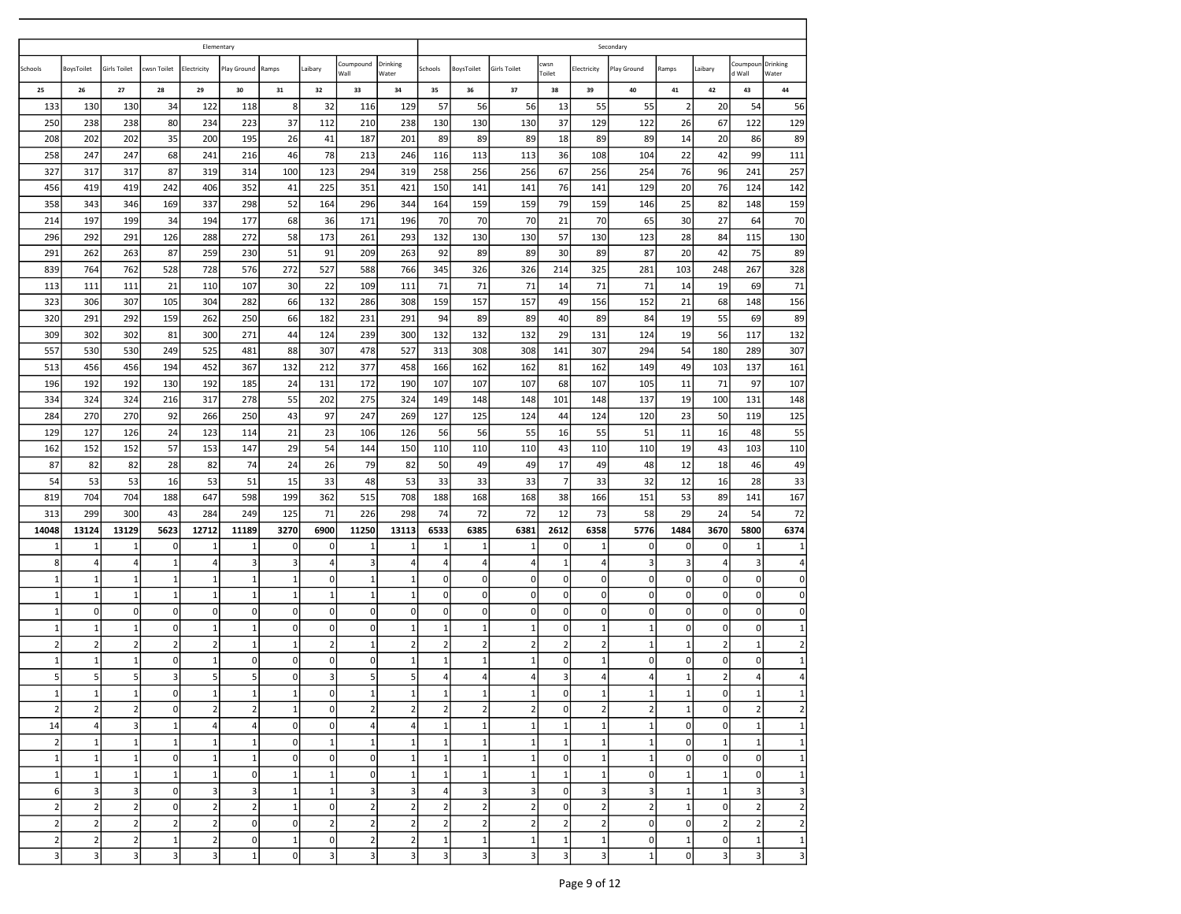| Elementary<br>Secondary<br>Drinking<br>Drinking<br>Coumpound<br>cwsn<br>Coumpour<br>Laibary<br><b>Girls Toilet</b><br>Schools<br>BoysToilet<br><b>Girls Toilet</b><br>:wsn Toilet<br>Electricity<br>Play Ground<br>Ramps<br>Schools<br>BoysToilet<br>Electricity<br>Play Ground<br>Ramps<br>Laibary<br>Wall<br>Water<br>Toilet<br>d Wall<br>Water<br>27<br>28<br>29<br>$31\,$<br>37<br>42<br>44<br>25<br>26<br>30<br>32<br>33<br>34<br>35<br>36<br>38<br>39<br>40<br>41<br>43<br>$\bf 8$<br>133<br>130<br>122<br>118<br>32<br>129<br>57<br>56<br>13<br>55<br>$\overline{2}$<br>20<br>54<br>130<br>34<br>116<br>56<br>55<br>37<br>26<br>129<br>250<br>238<br>80<br>223<br>112<br>210<br>238<br>130<br>130<br>37<br>129<br>122<br>67<br>122<br>238<br>234<br>130<br>89<br>208<br>202<br>202<br>35<br>200<br>195<br>26<br>41<br>187<br>201<br>89<br>89<br>89<br>18<br>89<br>89<br>14<br>20<br>86<br>22<br>111<br>258<br>247<br>68<br>46<br>78<br>213<br>113<br>108<br>104<br>42<br>99<br>247<br>241<br>216<br>246<br>116<br>113<br>36<br>87<br>76<br>257<br>327<br>317<br>123<br>294<br>319<br>256<br>67<br>256<br>254<br>96<br>241<br>317<br>319<br>314<br>100<br>258<br>256<br>142<br>76<br>20<br>456<br>419<br>419<br>242<br>406<br>352<br>41<br>225<br>351<br>421<br>141<br>141<br>129<br>76<br>124<br>150<br>141<br>25<br>159<br>358<br>346<br>52<br>159<br>79<br>159<br>82<br>343<br>169<br>337<br>298<br>164<br>296<br>344<br>164<br>159<br>146<br>148<br>70<br>30<br>214<br>197<br>199<br>34<br>194<br>177<br>68<br>36<br>171<br>196<br>70<br>70<br>70<br>21<br>70<br>65<br>27<br>64<br>28<br>130<br>296<br>292<br>291<br>126<br>288<br>272<br>58<br>173<br>261<br>293<br>132<br>130<br>130<br>57<br>130<br>123<br>115<br>84<br>89<br>291<br>262<br>263<br>87<br>259<br>230<br>51<br>91<br>209<br>263<br>92<br>89<br>89<br>30<br>89<br>87<br>20<br>42<br>75<br>328<br>839<br>764<br>762<br>528<br>728<br>576<br>272<br>527<br>588<br>766<br>345<br>326<br>326<br>214<br>325<br>281<br>103<br>248<br>267<br>71<br>71<br>21<br>107<br>30<br>22<br>109<br>71<br>71<br>71<br>71<br>113<br>111<br>111<br>110<br>111<br>14<br>14<br>19<br>69<br>21<br>156<br>307<br>157<br>152<br>323<br>306<br>105<br>304<br>282<br>66<br>132<br>286<br>308<br>159<br>157<br>49<br>156<br>68<br>148<br>89<br>19<br>320<br>291<br>292<br>159<br>262<br>250<br>66<br>182<br>231<br>291<br>94<br>89<br>89<br>40<br>89<br>84<br>55<br>69<br>19<br>132<br>309<br>302<br>300<br>271<br>124<br>239<br>300<br>132<br>132<br>132<br>29<br>131<br>124<br>117<br>302<br>81<br>44<br>56<br>307<br>249<br>478<br>527<br>54<br>557<br>530<br>530<br>525<br>481<br>88<br>307<br>313<br>308<br>308<br>141<br>307<br>294<br>180<br>289<br>161<br>513<br>456<br>456<br>452<br>132<br>377<br>458<br>81<br>162<br>49<br>137<br>194<br>367<br>212<br>166<br>162<br>162<br>149<br>103<br>71<br>97<br>107<br>196<br>192<br>192<br>130<br>192<br>185<br>24<br>131<br>172<br>190<br>107<br>107<br>107<br>68<br>107<br>105<br>11<br>55<br>19<br>334<br>324<br>278<br>202<br>275<br>324<br>101<br>137<br>100<br>131<br>148<br>324<br>216<br>317<br>149<br>148<br>148<br>148<br>23<br>125<br>270<br>270<br>92<br>266<br>43<br>97<br>247<br>269<br>125<br>124<br>119<br>284<br>250<br>127<br>124<br>44<br>120<br>50<br>55<br>11<br>129<br>127<br>126<br>24<br>123<br>114<br>21<br>23<br>106<br>126<br>56<br>56<br>55<br>55<br>51<br>16<br>48<br>16<br>57<br>19<br>110<br>162<br>152<br>152<br>153<br>147<br>29<br>54<br>144<br>150<br>110<br>110<br>110<br>43<br>110<br>110<br>43<br>103<br>49<br>87<br>82<br>26<br>79<br>17<br>49<br>12<br>82<br>28<br>82<br>74<br>24<br>82<br>50<br>49<br>18<br>49<br>48<br>46<br>33<br>54<br>53<br>16<br>53<br>51<br>15<br>48<br>53<br>$\overline{7}$<br>12<br>53<br>33<br>33<br>33<br>33<br>33<br>32<br>16<br>28<br>167<br>53<br>819<br>704<br>704<br>188<br>647<br>598<br>199<br>362<br>515<br>708<br>188<br>168<br>168<br>38<br>166<br>151<br>89<br>141<br>72<br>299<br>300<br>43<br>284<br>249<br>125<br>71<br>226<br>298<br>72<br>72<br>12<br>58<br>29<br>24<br>54<br>313<br>74<br>73<br>2612<br>3670<br>6374<br>14048<br>13124<br>13129<br>5623<br>12712<br>11189<br>3270<br>6900<br>11250<br>13113<br>6533<br>6385<br>6381<br>6358<br>5776<br>1484<br>5800<br>$\pmb{0}$<br>$\mathbf{1}$<br>$1\,$<br>$\mathbf 0$<br>$\mathbf{1}$<br>$\mathbf 0$<br>$\mathbf 0$<br>$\mathbf{1}$<br>$\mathbf{1}$<br>$\mathbf{1}$<br>0<br>$\,$ 1<br>0<br>$\mathbf 0$<br>$\mathbf{1}$<br>$\mathbf{1}$<br>1<br>1<br>$\mathbf{1}$<br>$\mathbf 1$<br>8<br>3<br>$\overline{\mathbf{3}}$<br>3<br>3<br>4<br>$\mathbf{1}$<br>$\sqrt{4}$<br>$\overline{4}$<br>$\overline{4}$<br>4<br>3<br>$\overline{4}$<br>$\vert$<br>$\overline{4}$<br>$\mathbf{1}$<br>3<br>$\overline{4}$<br>$\overline{4}$<br>4<br>$\mathbf 1$<br>0<br>$\mathbf 0$<br>$\mathbf 0$<br>$\Omega$<br>$\mathbf{1}$<br>$\mathbf 1$<br>$\mathbf{1}$<br>$\mathbf{1}$<br>0<br>$\mathbf{1}$<br>$\mathbf 0$<br>$\mathbf 0$<br>0<br>0<br>0<br>1<br>0<br>1<br>1<br>$\pmb{0}$<br>$\mathbf 0$<br>$\overline{0}$<br>$\mathbf 1$<br>$\mathbf 1$<br>$\mathbf{1}$<br>$\mathbf{1}$<br>1<br>$\Omega$<br>$\mathbf 0$<br>$\pmb{0}$<br>0<br>$\mathbf 0$<br>$\mathbf{1}$<br>$\mathbf{1}$<br>$\mathbf{1}$<br>$\mathbf{1}$<br>$\mathbf 0$<br>0<br>1<br>$\mathbf{1}$<br>$\mathbf{0}$<br>$\mathbf 0$<br>$\overline{0}$<br>0<br>$\mathbf 0$<br>$\mathbf 0$<br>$\mathbf 0$<br>$\overline{0}$<br> 0 <br>$\overline{0}$<br>$\mathbf 0$<br>$\overline{0}$<br>$\mathbf 0$<br>$\mathbf 0$<br>$\Omega$<br>0<br>$\overline{0}$<br>$\mathbf 0$<br>$\pmb{0}$<br>$\mathbf 1$<br>$\mathbf 0$<br>$\mathbf 0$<br>$\mathbf 1$<br>0<br>$\mathbf 0$<br>$\mathbf{0}$<br>$\mathbf 1$<br>$\mathbf{1}$<br>$\mathbf 0$<br>$\mathbf{1}$<br>0<br>0<br>$\mathbf{1}$<br>1<br>1<br>1<br>$\mathbf{1}$<br>1<br>1<br>$\overline{2}$<br>$\overline{2}$<br>$\overline{2}$<br>$\overline{2}$<br>$\overline{2}$<br>2<br>$\overline{2}$<br>$\overline{2}$<br>$\overline{2}$<br>$\overline{2}$<br>2<br>$\mathbf{1}$<br>$\overline{2}$<br>$\mathbf{1}$<br>$\overline{2}$<br>$\mathbf{1}$<br>$\overline{2}$<br>$\mathbf{1}$<br>1<br>$\mathbf{1}$<br>$\mathbf 1$<br>$\mathbf{1}$<br>$1\vert$<br>$\mathbf 1$<br>0<br>$\mathbf 0$<br>0<br>$\mathbf 0$<br>$\mathbf{1}$<br>$1\,$<br>$\mathbf{1}$<br>$\mathbf 0$<br>$\mathbf{1}$<br>$\mathbf 0$<br>0<br>0<br>$\mathbf 0$<br>0<br>1<br>1<br>5<br>5<br>3<br>5<br>$\mathbf 0$<br>5<br>5 <sup>1</sup><br>$\overline{4}$<br>3<br>$\overline{2}$<br>5 <sup>1</sup><br>3<br>4<br>$\overline{4}$<br>5<br>4<br>4<br>$\mathbf{1}$<br>4<br>4<br>1<br>$\overline{0}$<br>$\overline{0}$<br>$1\vert$<br>$\overline{0}$<br> 0 <br>1<br>1<br>1<br>1<br>$\mathbf{1}$<br>1<br>1<br>1<br>$\mathbf{1}$<br>$1\vert$<br> 1 <br>1<br>$\mathbf{1}$<br>1<br>$\overline{2}$<br>$\overline{2}$<br>$\overline{2}$<br>$\mathbf 2$<br>$\mathbf 0$<br>$\overline{2}$<br>$\mathbf 2$<br>$\overline{2}$<br>2<br>$\mathbf 2$<br>$\mathbf 1$<br>$\circ$<br>$\mathbf{0}$<br>$\overline{2}$<br>$\overline{2}$<br>$\mathbf 1$<br>$\overline{0}$<br>$\overline{2}$<br>$\overline{2}$<br>$\overline{2}$<br> 0 <br>$\overline{\mathbf{3}}$<br>$\mathbf 1$<br>4<br>$\mathbf{0}$<br>$\overline{4}$<br>4<br>$1\overline{ }$<br>14<br>$\overline{\mathbf{4}}$<br>$\circ$<br>1<br>$\mathbf{1}$<br>$\mathbf 1$<br>$\mathbf 1$<br>$\,1\,$<br>$\circ$<br>$\mathbf 1$<br>1<br>$\overline{4}$<br>$\mathbf 1$<br>$1\overline{ }$<br>$\mathbf{1}$<br>$\mathbf 1$<br>$\mathbf 1$<br>$\mathbf 0$<br>$\mathbf 1$<br>$\mathbf{1}$<br>$\mathbf{1}$<br>$\mathbf 1$<br>$\mathbf 1$<br>$1\overline{ }$<br>$\mathbf 1$<br> 0 <br>$\mathbf 1$<br>$\mathbf 1$<br>$\overline{2}$<br>1<br>$1\vert$<br>1<br>1<br>$\,1\,$<br>$\overline{0}$<br>$\mathbf{1}$<br>$\mathbf 1$<br>$\mathbf 0$<br>$\mathbf{0}$<br>$\mathbf 0$<br>$1\overline{ }$<br>$\mathbf 1$<br>$\mathbf{1}$<br>$\overline{0}$<br>$1\overline{ }$<br>$\mathbf 1$<br>$\Omega$<br>$\mathbf{0}$<br>$\mathbf{1}$<br>$\mathsf{O}\xspace$<br>$1\vert$<br>$\vert$ 1<br>1<br>$\mathbf 1$<br>$\,1\,$<br>1<br>$1\overline{ }$<br>$\mathbf{1}$<br>$\overline{0}$<br>1<br>1<br>$\mathbf 1$<br>$\,1\,$<br>$\mathbf 1$<br>$1\overline{ }$<br>$1\overline{ }$<br>1<br>$\overline{0}$<br>$\overline{0}$<br>$\mathbf 1$<br>$\mathsf{O}\xspace$<br>6<br>$\overline{\mathbf{3}}$<br>3<br>$\overline{3}$<br>$\overline{\mathbf{3}}$<br>$\mathbf{1}$<br>$\vert$ 3<br>$\mathbf{0}$<br>3<br>$\mathbf{1}$<br>1<br>$\overline{\mathbf{3}}$<br>$\vert$<br>$\overline{\mathbf{3}}$<br>$\mathbf{0}$<br>$\overline{\mathbf{3}}$<br>$\overline{\mathbf{3}}$<br>$\vert$ 1<br>$\overline{\mathbf{3}}$<br>$\overline{3}$<br>$\overline{2}$<br>$\mathbf 2$<br>2<br>$\overline{2}$<br>$\overline{2}$<br>$\overline{2}$<br>$\overline{2}$<br>$\overline{2}$<br>$\overline{2}$<br>$\mathsf{O}$<br>$\overline{2}$<br>$\mathbf{1}$<br>$\circ$<br>$\overline{2}$<br>$\mathbf 0$<br>$\overline{2}$<br>$\mathbf 1$<br> 0 <br>$\overline{2}$<br>$\overline{2}$<br>$\overline{2}$<br>$\overline{2}$<br>$\overline{2}$<br>$\overline{2}$<br>$\overline{2}$<br>$\overline{0}$<br>$\overline{2}$<br>$\overline{2}$<br>$\overline{2}$<br>2<br>$\mathbf{0}$<br>$\mathbf{0}$<br>$\overline{2}$<br>$\overline{2}$<br>$\overline{2}$<br>$\overline{2}$<br>$\overline{2}$<br>$\overline{2}$<br>$\mathbf 0$<br>$\overline{2}$<br>$\overline{2}$<br>$\overline{2}$<br>$\overline{2}$<br>$\mathbf 1$<br>$\overline{2}$<br>$\overline{2}$<br>$\,1\,$<br>$\mathbf 1$<br>$\,1\,$<br>$\mathbf{0}$<br>$\overline{2}$<br>$\,1\,$<br>$\mathbf{0}$<br>$\mathbf{1}$<br>$1\overline{ }$<br>$\circ$<br>$\mathbf 1$<br>$\,1\,$<br>1<br>$\overline{0}$<br>$\overline{\mathbf{3}}$<br>$\overline{\mathbf{3}}$<br>3<br>3<br>$\mathbf{1}$<br>$\overline{3}$<br>$\overline{\mathbf{3}}$<br>$\overline{3}$<br>$\overline{\mathbf{3}}$<br>$\overline{3}$<br>$\overline{0}$<br>3<br>$\overline{\mathbf{3}}$<br>$\overline{\mathbf{3}}$<br>$\mathbf{0}$<br>$\overline{\mathbf{3}}$<br>$\overline{3}$<br>$\mathbf{1}$<br>$\overline{3}$ |  |  |  |  |  |  |  |  |  |                |
|---------------------------------------------------------------------------------------------------------------------------------------------------------------------------------------------------------------------------------------------------------------------------------------------------------------------------------------------------------------------------------------------------------------------------------------------------------------------------------------------------------------------------------------------------------------------------------------------------------------------------------------------------------------------------------------------------------------------------------------------------------------------------------------------------------------------------------------------------------------------------------------------------------------------------------------------------------------------------------------------------------------------------------------------------------------------------------------------------------------------------------------------------------------------------------------------------------------------------------------------------------------------------------------------------------------------------------------------------------------------------------------------------------------------------------------------------------------------------------------------------------------------------------------------------------------------------------------------------------------------------------------------------------------------------------------------------------------------------------------------------------------------------------------------------------------------------------------------------------------------------------------------------------------------------------------------------------------------------------------------------------------------------------------------------------------------------------------------------------------------------------------------------------------------------------------------------------------------------------------------------------------------------------------------------------------------------------------------------------------------------------------------------------------------------------------------------------------------------------------------------------------------------------------------------------------------------------------------------------------------------------------------------------------------------------------------------------------------------------------------------------------------------------------------------------------------------------------------------------------------------------------------------------------------------------------------------------------------------------------------------------------------------------------------------------------------------------------------------------------------------------------------------------------------------------------------------------------------------------------------------------------------------------------------------------------------------------------------------------------------------------------------------------------------------------------------------------------------------------------------------------------------------------------------------------------------------------------------------------------------------------------------------------------------------------------------------------------------------------------------------------------------------------------------------------------------------------------------------------------------------------------------------------------------------------------------------------------------------------------------------------------------------------------------------------------------------------------------------------------------------------------------------------------------------------------------------------------------------------------------------------------------------------------------------------------------------------------------------------------------------------------------------------------------------------------------------------------------------------------------------------------------------------------------------------------------------------------------------------------------------------------------------------------------------------------------------------------------------------------------------------------------------------------------------------------------------------------------------------------------------------------------------------------------------------------------------------------------------------------------------------------------------------------------------------------------------------------------------------------------------------------------------------------------------------------------------------------------------------------------------------------------------------------------------------------------------------------------------------------------------------------------------------------------------------------------------------------------------------------------------------------------------------------------------------------------------------------------------------------------------------------------------------------------------------------------------------------------------------------------------------------------------------------------------------------------------------------------------------------------------------------------------------------------------------------------------------------------------------------------------------------------------------------------------------------------------------------------------------------------------------------------------------------------------------------------------------------------------------------------------------------------------------------------------------------------------------------------------------------------------------------------------------------------------------------------------------------------------------------------------------------------------------------------------------------------------------------------------------------------------------------------------------------------------------------------------------------------------------------------------------------------------------------------------------------------------------------------------------------------------------------------------------------------------------------------------------------------------------------------------------------------------------------------------------------------------------------------------------------------------------------------------------------------------------------------------------------------------------------------------------------------------------------------------------------------------------------------------------------------------------------------------------------------------------------------------------------------------------------------------------------------------------------------------------------------------------------------------------------------------------------------------------------------------------------------------------------------------------------------------------------------------------------------------------------------------------------------------------------------------------------------------------------------------------------------------------------------------------------------------------------------------------------------------------------------------------------------------------------------------------------------------------------------------------------------------------------------------------------------------------------------------------------------------------------------------------------------------------------------------------------------------------------------------------------------------------------------------------------------------------------------------------------------------------------------------------------------------------------------------------------------------------------------------------------------------------------------------------------------------------------------------------------------------------------------------------------------------------------------------------------------------------------------------------------------------------------------------------------------------------------------------------------------------------------------------------------------------------------------------------------------------------------------------------------------------------------------------------------------------------------------------------------------------------------------------------------------------------------------------------------------------------------------------------------------------------------------------------------------------------------------------------------------------------------------------------------------------------------------------------------------------------------------------------------------------------------------------------------------------------------------------------------------------------------------------------------------------------------------------------------------------------------------------------------------------------------|--|--|--|--|--|--|--|--|--|----------------|
|                                                                                                                                                                                                                                                                                                                                                                                                                                                                                                                                                                                                                                                                                                                                                                                                                                                                                                                                                                                                                                                                                                                                                                                                                                                                                                                                                                                                                                                                                                                                                                                                                                                                                                                                                                                                                                                                                                                                                                                                                                                                                                                                                                                                                                                                                                                                                                                                                                                                                                                                                                                                                                                                                                                                                                                                                                                                                                                                                                                                                                                                                                                                                                                                                                                                                                                                                                                                                                                                                                                                                                                                                                                                                                                                                                                                                                                                                                                                                                                                                                                                                                                                                                                                                                                                                                                                                                                                                                                                                                                                                                                                                                                                                                                                                                                                                                                                                                                                                                                                                                                                                                                                                                                                                                                                                                                                                                                                                                                                                                                                                                                                                                                                                                                                                                                                                                                                                                                                                                                                                                                                                                                                                                                                                                                                                                                                                                                                                                                                                                                                                                                                                                                                                                                                                                                                                                                                                                                                                                                                                                                                                                                                                                                                                                                                                                                                                                                                                                                                                                                                                                                                                                                                                                                                                                                                                                                                                                                                                                                                                                                                                                                                                                                                                                                                                                                                                                                                                                                                                                                                                                                                                                                                                                                                                                                                                                                                                                                                                                                                                                                                                                                                                                                                                                                                                                                                                                                                                                                                                                                                                                                                                                                                                                                                                                                                                                                                                                                                                               |  |  |  |  |  |  |  |  |  |                |
|                                                                                                                                                                                                                                                                                                                                                                                                                                                                                                                                                                                                                                                                                                                                                                                                                                                                                                                                                                                                                                                                                                                                                                                                                                                                                                                                                                                                                                                                                                                                                                                                                                                                                                                                                                                                                                                                                                                                                                                                                                                                                                                                                                                                                                                                                                                                                                                                                                                                                                                                                                                                                                                                                                                                                                                                                                                                                                                                                                                                                                                                                                                                                                                                                                                                                                                                                                                                                                                                                                                                                                                                                                                                                                                                                                                                                                                                                                                                                                                                                                                                                                                                                                                                                                                                                                                                                                                                                                                                                                                                                                                                                                                                                                                                                                                                                                                                                                                                                                                                                                                                                                                                                                                                                                                                                                                                                                                                                                                                                                                                                                                                                                                                                                                                                                                                                                                                                                                                                                                                                                                                                                                                                                                                                                                                                                                                                                                                                                                                                                                                                                                                                                                                                                                                                                                                                                                                                                                                                                                                                                                                                                                                                                                                                                                                                                                                                                                                                                                                                                                                                                                                                                                                                                                                                                                                                                                                                                                                                                                                                                                                                                                                                                                                                                                                                                                                                                                                                                                                                                                                                                                                                                                                                                                                                                                                                                                                                                                                                                                                                                                                                                                                                                                                                                                                                                                                                                                                                                                                                                                                                                                                                                                                                                                                                                                                                                                                                                                                                               |  |  |  |  |  |  |  |  |  |                |
|                                                                                                                                                                                                                                                                                                                                                                                                                                                                                                                                                                                                                                                                                                                                                                                                                                                                                                                                                                                                                                                                                                                                                                                                                                                                                                                                                                                                                                                                                                                                                                                                                                                                                                                                                                                                                                                                                                                                                                                                                                                                                                                                                                                                                                                                                                                                                                                                                                                                                                                                                                                                                                                                                                                                                                                                                                                                                                                                                                                                                                                                                                                                                                                                                                                                                                                                                                                                                                                                                                                                                                                                                                                                                                                                                                                                                                                                                                                                                                                                                                                                                                                                                                                                                                                                                                                                                                                                                                                                                                                                                                                                                                                                                                                                                                                                                                                                                                                                                                                                                                                                                                                                                                                                                                                                                                                                                                                                                                                                                                                                                                                                                                                                                                                                                                                                                                                                                                                                                                                                                                                                                                                                                                                                                                                                                                                                                                                                                                                                                                                                                                                                                                                                                                                                                                                                                                                                                                                                                                                                                                                                                                                                                                                                                                                                                                                                                                                                                                                                                                                                                                                                                                                                                                                                                                                                                                                                                                                                                                                                                                                                                                                                                                                                                                                                                                                                                                                                                                                                                                                                                                                                                                                                                                                                                                                                                                                                                                                                                                                                                                                                                                                                                                                                                                                                                                                                                                                                                                                                                                                                                                                                                                                                                                                                                                                                                                                                                                                                                               |  |  |  |  |  |  |  |  |  |                |
|                                                                                                                                                                                                                                                                                                                                                                                                                                                                                                                                                                                                                                                                                                                                                                                                                                                                                                                                                                                                                                                                                                                                                                                                                                                                                                                                                                                                                                                                                                                                                                                                                                                                                                                                                                                                                                                                                                                                                                                                                                                                                                                                                                                                                                                                                                                                                                                                                                                                                                                                                                                                                                                                                                                                                                                                                                                                                                                                                                                                                                                                                                                                                                                                                                                                                                                                                                                                                                                                                                                                                                                                                                                                                                                                                                                                                                                                                                                                                                                                                                                                                                                                                                                                                                                                                                                                                                                                                                                                                                                                                                                                                                                                                                                                                                                                                                                                                                                                                                                                                                                                                                                                                                                                                                                                                                                                                                                                                                                                                                                                                                                                                                                                                                                                                                                                                                                                                                                                                                                                                                                                                                                                                                                                                                                                                                                                                                                                                                                                                                                                                                                                                                                                                                                                                                                                                                                                                                                                                                                                                                                                                                                                                                                                                                                                                                                                                                                                                                                                                                                                                                                                                                                                                                                                                                                                                                                                                                                                                                                                                                                                                                                                                                                                                                                                                                                                                                                                                                                                                                                                                                                                                                                                                                                                                                                                                                                                                                                                                                                                                                                                                                                                                                                                                                                                                                                                                                                                                                                                                                                                                                                                                                                                                                                                                                                                                                                                                                                                                               |  |  |  |  |  |  |  |  |  | 56             |
|                                                                                                                                                                                                                                                                                                                                                                                                                                                                                                                                                                                                                                                                                                                                                                                                                                                                                                                                                                                                                                                                                                                                                                                                                                                                                                                                                                                                                                                                                                                                                                                                                                                                                                                                                                                                                                                                                                                                                                                                                                                                                                                                                                                                                                                                                                                                                                                                                                                                                                                                                                                                                                                                                                                                                                                                                                                                                                                                                                                                                                                                                                                                                                                                                                                                                                                                                                                                                                                                                                                                                                                                                                                                                                                                                                                                                                                                                                                                                                                                                                                                                                                                                                                                                                                                                                                                                                                                                                                                                                                                                                                                                                                                                                                                                                                                                                                                                                                                                                                                                                                                                                                                                                                                                                                                                                                                                                                                                                                                                                                                                                                                                                                                                                                                                                                                                                                                                                                                                                                                                                                                                                                                                                                                                                                                                                                                                                                                                                                                                                                                                                                                                                                                                                                                                                                                                                                                                                                                                                                                                                                                                                                                                                                                                                                                                                                                                                                                                                                                                                                                                                                                                                                                                                                                                                                                                                                                                                                                                                                                                                                                                                                                                                                                                                                                                                                                                                                                                                                                                                                                                                                                                                                                                                                                                                                                                                                                                                                                                                                                                                                                                                                                                                                                                                                                                                                                                                                                                                                                                                                                                                                                                                                                                                                                                                                                                                                                                                                                                               |  |  |  |  |  |  |  |  |  |                |
|                                                                                                                                                                                                                                                                                                                                                                                                                                                                                                                                                                                                                                                                                                                                                                                                                                                                                                                                                                                                                                                                                                                                                                                                                                                                                                                                                                                                                                                                                                                                                                                                                                                                                                                                                                                                                                                                                                                                                                                                                                                                                                                                                                                                                                                                                                                                                                                                                                                                                                                                                                                                                                                                                                                                                                                                                                                                                                                                                                                                                                                                                                                                                                                                                                                                                                                                                                                                                                                                                                                                                                                                                                                                                                                                                                                                                                                                                                                                                                                                                                                                                                                                                                                                                                                                                                                                                                                                                                                                                                                                                                                                                                                                                                                                                                                                                                                                                                                                                                                                                                                                                                                                                                                                                                                                                                                                                                                                                                                                                                                                                                                                                                                                                                                                                                                                                                                                                                                                                                                                                                                                                                                                                                                                                                                                                                                                                                                                                                                                                                                                                                                                                                                                                                                                                                                                                                                                                                                                                                                                                                                                                                                                                                                                                                                                                                                                                                                                                                                                                                                                                                                                                                                                                                                                                                                                                                                                                                                                                                                                                                                                                                                                                                                                                                                                                                                                                                                                                                                                                                                                                                                                                                                                                                                                                                                                                                                                                                                                                                                                                                                                                                                                                                                                                                                                                                                                                                                                                                                                                                                                                                                                                                                                                                                                                                                                                                                                                                                                                               |  |  |  |  |  |  |  |  |  |                |
|                                                                                                                                                                                                                                                                                                                                                                                                                                                                                                                                                                                                                                                                                                                                                                                                                                                                                                                                                                                                                                                                                                                                                                                                                                                                                                                                                                                                                                                                                                                                                                                                                                                                                                                                                                                                                                                                                                                                                                                                                                                                                                                                                                                                                                                                                                                                                                                                                                                                                                                                                                                                                                                                                                                                                                                                                                                                                                                                                                                                                                                                                                                                                                                                                                                                                                                                                                                                                                                                                                                                                                                                                                                                                                                                                                                                                                                                                                                                                                                                                                                                                                                                                                                                                                                                                                                                                                                                                                                                                                                                                                                                                                                                                                                                                                                                                                                                                                                                                                                                                                                                                                                                                                                                                                                                                                                                                                                                                                                                                                                                                                                                                                                                                                                                                                                                                                                                                                                                                                                                                                                                                                                                                                                                                                                                                                                                                                                                                                                                                                                                                                                                                                                                                                                                                                                                                                                                                                                                                                                                                                                                                                                                                                                                                                                                                                                                                                                                                                                                                                                                                                                                                                                                                                                                                                                                                                                                                                                                                                                                                                                                                                                                                                                                                                                                                                                                                                                                                                                                                                                                                                                                                                                                                                                                                                                                                                                                                                                                                                                                                                                                                                                                                                                                                                                                                                                                                                                                                                                                                                                                                                                                                                                                                                                                                                                                                                                                                                                                                               |  |  |  |  |  |  |  |  |  |                |
|                                                                                                                                                                                                                                                                                                                                                                                                                                                                                                                                                                                                                                                                                                                                                                                                                                                                                                                                                                                                                                                                                                                                                                                                                                                                                                                                                                                                                                                                                                                                                                                                                                                                                                                                                                                                                                                                                                                                                                                                                                                                                                                                                                                                                                                                                                                                                                                                                                                                                                                                                                                                                                                                                                                                                                                                                                                                                                                                                                                                                                                                                                                                                                                                                                                                                                                                                                                                                                                                                                                                                                                                                                                                                                                                                                                                                                                                                                                                                                                                                                                                                                                                                                                                                                                                                                                                                                                                                                                                                                                                                                                                                                                                                                                                                                                                                                                                                                                                                                                                                                                                                                                                                                                                                                                                                                                                                                                                                                                                                                                                                                                                                                                                                                                                                                                                                                                                                                                                                                                                                                                                                                                                                                                                                                                                                                                                                                                                                                                                                                                                                                                                                                                                                                                                                                                                                                                                                                                                                                                                                                                                                                                                                                                                                                                                                                                                                                                                                                                                                                                                                                                                                                                                                                                                                                                                                                                                                                                                                                                                                                                                                                                                                                                                                                                                                                                                                                                                                                                                                                                                                                                                                                                                                                                                                                                                                                                                                                                                                                                                                                                                                                                                                                                                                                                                                                                                                                                                                                                                                                                                                                                                                                                                                                                                                                                                                                                                                                                                                               |  |  |  |  |  |  |  |  |  |                |
|                                                                                                                                                                                                                                                                                                                                                                                                                                                                                                                                                                                                                                                                                                                                                                                                                                                                                                                                                                                                                                                                                                                                                                                                                                                                                                                                                                                                                                                                                                                                                                                                                                                                                                                                                                                                                                                                                                                                                                                                                                                                                                                                                                                                                                                                                                                                                                                                                                                                                                                                                                                                                                                                                                                                                                                                                                                                                                                                                                                                                                                                                                                                                                                                                                                                                                                                                                                                                                                                                                                                                                                                                                                                                                                                                                                                                                                                                                                                                                                                                                                                                                                                                                                                                                                                                                                                                                                                                                                                                                                                                                                                                                                                                                                                                                                                                                                                                                                                                                                                                                                                                                                                                                                                                                                                                                                                                                                                                                                                                                                                                                                                                                                                                                                                                                                                                                                                                                                                                                                                                                                                                                                                                                                                                                                                                                                                                                                                                                                                                                                                                                                                                                                                                                                                                                                                                                                                                                                                                                                                                                                                                                                                                                                                                                                                                                                                                                                                                                                                                                                                                                                                                                                                                                                                                                                                                                                                                                                                                                                                                                                                                                                                                                                                                                                                                                                                                                                                                                                                                                                                                                                                                                                                                                                                                                                                                                                                                                                                                                                                                                                                                                                                                                                                                                                                                                                                                                                                                                                                                                                                                                                                                                                                                                                                                                                                                                                                                                                                                               |  |  |  |  |  |  |  |  |  |                |
|                                                                                                                                                                                                                                                                                                                                                                                                                                                                                                                                                                                                                                                                                                                                                                                                                                                                                                                                                                                                                                                                                                                                                                                                                                                                                                                                                                                                                                                                                                                                                                                                                                                                                                                                                                                                                                                                                                                                                                                                                                                                                                                                                                                                                                                                                                                                                                                                                                                                                                                                                                                                                                                                                                                                                                                                                                                                                                                                                                                                                                                                                                                                                                                                                                                                                                                                                                                                                                                                                                                                                                                                                                                                                                                                                                                                                                                                                                                                                                                                                                                                                                                                                                                                                                                                                                                                                                                                                                                                                                                                                                                                                                                                                                                                                                                                                                                                                                                                                                                                                                                                                                                                                                                                                                                                                                                                                                                                                                                                                                                                                                                                                                                                                                                                                                                                                                                                                                                                                                                                                                                                                                                                                                                                                                                                                                                                                                                                                                                                                                                                                                                                                                                                                                                                                                                                                                                                                                                                                                                                                                                                                                                                                                                                                                                                                                                                                                                                                                                                                                                                                                                                                                                                                                                                                                                                                                                                                                                                                                                                                                                                                                                                                                                                                                                                                                                                                                                                                                                                                                                                                                                                                                                                                                                                                                                                                                                                                                                                                                                                                                                                                                                                                                                                                                                                                                                                                                                                                                                                                                                                                                                                                                                                                                                                                                                                                                                                                                                                                               |  |  |  |  |  |  |  |  |  |                |
|                                                                                                                                                                                                                                                                                                                                                                                                                                                                                                                                                                                                                                                                                                                                                                                                                                                                                                                                                                                                                                                                                                                                                                                                                                                                                                                                                                                                                                                                                                                                                                                                                                                                                                                                                                                                                                                                                                                                                                                                                                                                                                                                                                                                                                                                                                                                                                                                                                                                                                                                                                                                                                                                                                                                                                                                                                                                                                                                                                                                                                                                                                                                                                                                                                                                                                                                                                                                                                                                                                                                                                                                                                                                                                                                                                                                                                                                                                                                                                                                                                                                                                                                                                                                                                                                                                                                                                                                                                                                                                                                                                                                                                                                                                                                                                                                                                                                                                                                                                                                                                                                                                                                                                                                                                                                                                                                                                                                                                                                                                                                                                                                                                                                                                                                                                                                                                                                                                                                                                                                                                                                                                                                                                                                                                                                                                                                                                                                                                                                                                                                                                                                                                                                                                                                                                                                                                                                                                                                                                                                                                                                                                                                                                                                                                                                                                                                                                                                                                                                                                                                                                                                                                                                                                                                                                                                                                                                                                                                                                                                                                                                                                                                                                                                                                                                                                                                                                                                                                                                                                                                                                                                                                                                                                                                                                                                                                                                                                                                                                                                                                                                                                                                                                                                                                                                                                                                                                                                                                                                                                                                                                                                                                                                                                                                                                                                                                                                                                                                                               |  |  |  |  |  |  |  |  |  |                |
|                                                                                                                                                                                                                                                                                                                                                                                                                                                                                                                                                                                                                                                                                                                                                                                                                                                                                                                                                                                                                                                                                                                                                                                                                                                                                                                                                                                                                                                                                                                                                                                                                                                                                                                                                                                                                                                                                                                                                                                                                                                                                                                                                                                                                                                                                                                                                                                                                                                                                                                                                                                                                                                                                                                                                                                                                                                                                                                                                                                                                                                                                                                                                                                                                                                                                                                                                                                                                                                                                                                                                                                                                                                                                                                                                                                                                                                                                                                                                                                                                                                                                                                                                                                                                                                                                                                                                                                                                                                                                                                                                                                                                                                                                                                                                                                                                                                                                                                                                                                                                                                                                                                                                                                                                                                                                                                                                                                                                                                                                                                                                                                                                                                                                                                                                                                                                                                                                                                                                                                                                                                                                                                                                                                                                                                                                                                                                                                                                                                                                                                                                                                                                                                                                                                                                                                                                                                                                                                                                                                                                                                                                                                                                                                                                                                                                                                                                                                                                                                                                                                                                                                                                                                                                                                                                                                                                                                                                                                                                                                                                                                                                                                                                                                                                                                                                                                                                                                                                                                                                                                                                                                                                                                                                                                                                                                                                                                                                                                                                                                                                                                                                                                                                                                                                                                                                                                                                                                                                                                                                                                                                                                                                                                                                                                                                                                                                                                                                                                                                               |  |  |  |  |  |  |  |  |  |                |
|                                                                                                                                                                                                                                                                                                                                                                                                                                                                                                                                                                                                                                                                                                                                                                                                                                                                                                                                                                                                                                                                                                                                                                                                                                                                                                                                                                                                                                                                                                                                                                                                                                                                                                                                                                                                                                                                                                                                                                                                                                                                                                                                                                                                                                                                                                                                                                                                                                                                                                                                                                                                                                                                                                                                                                                                                                                                                                                                                                                                                                                                                                                                                                                                                                                                                                                                                                                                                                                                                                                                                                                                                                                                                                                                                                                                                                                                                                                                                                                                                                                                                                                                                                                                                                                                                                                                                                                                                                                                                                                                                                                                                                                                                                                                                                                                                                                                                                                                                                                                                                                                                                                                                                                                                                                                                                                                                                                                                                                                                                                                                                                                                                                                                                                                                                                                                                                                                                                                                                                                                                                                                                                                                                                                                                                                                                                                                                                                                                                                                                                                                                                                                                                                                                                                                                                                                                                                                                                                                                                                                                                                                                                                                                                                                                                                                                                                                                                                                                                                                                                                                                                                                                                                                                                                                                                                                                                                                                                                                                                                                                                                                                                                                                                                                                                                                                                                                                                                                                                                                                                                                                                                                                                                                                                                                                                                                                                                                                                                                                                                                                                                                                                                                                                                                                                                                                                                                                                                                                                                                                                                                                                                                                                                                                                                                                                                                                                                                                                                                               |  |  |  |  |  |  |  |  |  |                |
|                                                                                                                                                                                                                                                                                                                                                                                                                                                                                                                                                                                                                                                                                                                                                                                                                                                                                                                                                                                                                                                                                                                                                                                                                                                                                                                                                                                                                                                                                                                                                                                                                                                                                                                                                                                                                                                                                                                                                                                                                                                                                                                                                                                                                                                                                                                                                                                                                                                                                                                                                                                                                                                                                                                                                                                                                                                                                                                                                                                                                                                                                                                                                                                                                                                                                                                                                                                                                                                                                                                                                                                                                                                                                                                                                                                                                                                                                                                                                                                                                                                                                                                                                                                                                                                                                                                                                                                                                                                                                                                                                                                                                                                                                                                                                                                                                                                                                                                                                                                                                                                                                                                                                                                                                                                                                                                                                                                                                                                                                                                                                                                                                                                                                                                                                                                                                                                                                                                                                                                                                                                                                                                                                                                                                                                                                                                                                                                                                                                                                                                                                                                                                                                                                                                                                                                                                                                                                                                                                                                                                                                                                                                                                                                                                                                                                                                                                                                                                                                                                                                                                                                                                                                                                                                                                                                                                                                                                                                                                                                                                                                                                                                                                                                                                                                                                                                                                                                                                                                                                                                                                                                                                                                                                                                                                                                                                                                                                                                                                                                                                                                                                                                                                                                                                                                                                                                                                                                                                                                                                                                                                                                                                                                                                                                                                                                                                                                                                                                                                               |  |  |  |  |  |  |  |  |  |                |
|                                                                                                                                                                                                                                                                                                                                                                                                                                                                                                                                                                                                                                                                                                                                                                                                                                                                                                                                                                                                                                                                                                                                                                                                                                                                                                                                                                                                                                                                                                                                                                                                                                                                                                                                                                                                                                                                                                                                                                                                                                                                                                                                                                                                                                                                                                                                                                                                                                                                                                                                                                                                                                                                                                                                                                                                                                                                                                                                                                                                                                                                                                                                                                                                                                                                                                                                                                                                                                                                                                                                                                                                                                                                                                                                                                                                                                                                                                                                                                                                                                                                                                                                                                                                                                                                                                                                                                                                                                                                                                                                                                                                                                                                                                                                                                                                                                                                                                                                                                                                                                                                                                                                                                                                                                                                                                                                                                                                                                                                                                                                                                                                                                                                                                                                                                                                                                                                                                                                                                                                                                                                                                                                                                                                                                                                                                                                                                                                                                                                                                                                                                                                                                                                                                                                                                                                                                                                                                                                                                                                                                                                                                                                                                                                                                                                                                                                                                                                                                                                                                                                                                                                                                                                                                                                                                                                                                                                                                                                                                                                                                                                                                                                                                                                                                                                                                                                                                                                                                                                                                                                                                                                                                                                                                                                                                                                                                                                                                                                                                                                                                                                                                                                                                                                                                                                                                                                                                                                                                                                                                                                                                                                                                                                                                                                                                                                                                                                                                                                                               |  |  |  |  |  |  |  |  |  |                |
|                                                                                                                                                                                                                                                                                                                                                                                                                                                                                                                                                                                                                                                                                                                                                                                                                                                                                                                                                                                                                                                                                                                                                                                                                                                                                                                                                                                                                                                                                                                                                                                                                                                                                                                                                                                                                                                                                                                                                                                                                                                                                                                                                                                                                                                                                                                                                                                                                                                                                                                                                                                                                                                                                                                                                                                                                                                                                                                                                                                                                                                                                                                                                                                                                                                                                                                                                                                                                                                                                                                                                                                                                                                                                                                                                                                                                                                                                                                                                                                                                                                                                                                                                                                                                                                                                                                                                                                                                                                                                                                                                                                                                                                                                                                                                                                                                                                                                                                                                                                                                                                                                                                                                                                                                                                                                                                                                                                                                                                                                                                                                                                                                                                                                                                                                                                                                                                                                                                                                                                                                                                                                                                                                                                                                                                                                                                                                                                                                                                                                                                                                                                                                                                                                                                                                                                                                                                                                                                                                                                                                                                                                                                                                                                                                                                                                                                                                                                                                                                                                                                                                                                                                                                                                                                                                                                                                                                                                                                                                                                                                                                                                                                                                                                                                                                                                                                                                                                                                                                                                                                                                                                                                                                                                                                                                                                                                                                                                                                                                                                                                                                                                                                                                                                                                                                                                                                                                                                                                                                                                                                                                                                                                                                                                                                                                                                                                                                                                                                                                               |  |  |  |  |  |  |  |  |  |                |
|                                                                                                                                                                                                                                                                                                                                                                                                                                                                                                                                                                                                                                                                                                                                                                                                                                                                                                                                                                                                                                                                                                                                                                                                                                                                                                                                                                                                                                                                                                                                                                                                                                                                                                                                                                                                                                                                                                                                                                                                                                                                                                                                                                                                                                                                                                                                                                                                                                                                                                                                                                                                                                                                                                                                                                                                                                                                                                                                                                                                                                                                                                                                                                                                                                                                                                                                                                                                                                                                                                                                                                                                                                                                                                                                                                                                                                                                                                                                                                                                                                                                                                                                                                                                                                                                                                                                                                                                                                                                                                                                                                                                                                                                                                                                                                                                                                                                                                                                                                                                                                                                                                                                                                                                                                                                                                                                                                                                                                                                                                                                                                                                                                                                                                                                                                                                                                                                                                                                                                                                                                                                                                                                                                                                                                                                                                                                                                                                                                                                                                                                                                                                                                                                                                                                                                                                                                                                                                                                                                                                                                                                                                                                                                                                                                                                                                                                                                                                                                                                                                                                                                                                                                                                                                                                                                                                                                                                                                                                                                                                                                                                                                                                                                                                                                                                                                                                                                                                                                                                                                                                                                                                                                                                                                                                                                                                                                                                                                                                                                                                                                                                                                                                                                                                                                                                                                                                                                                                                                                                                                                                                                                                                                                                                                                                                                                                                                                                                                                                                               |  |  |  |  |  |  |  |  |  |                |
|                                                                                                                                                                                                                                                                                                                                                                                                                                                                                                                                                                                                                                                                                                                                                                                                                                                                                                                                                                                                                                                                                                                                                                                                                                                                                                                                                                                                                                                                                                                                                                                                                                                                                                                                                                                                                                                                                                                                                                                                                                                                                                                                                                                                                                                                                                                                                                                                                                                                                                                                                                                                                                                                                                                                                                                                                                                                                                                                                                                                                                                                                                                                                                                                                                                                                                                                                                                                                                                                                                                                                                                                                                                                                                                                                                                                                                                                                                                                                                                                                                                                                                                                                                                                                                                                                                                                                                                                                                                                                                                                                                                                                                                                                                                                                                                                                                                                                                                                                                                                                                                                                                                                                                                                                                                                                                                                                                                                                                                                                                                                                                                                                                                                                                                                                                                                                                                                                                                                                                                                                                                                                                                                                                                                                                                                                                                                                                                                                                                                                                                                                                                                                                                                                                                                                                                                                                                                                                                                                                                                                                                                                                                                                                                                                                                                                                                                                                                                                                                                                                                                                                                                                                                                                                                                                                                                                                                                                                                                                                                                                                                                                                                                                                                                                                                                                                                                                                                                                                                                                                                                                                                                                                                                                                                                                                                                                                                                                                                                                                                                                                                                                                                                                                                                                                                                                                                                                                                                                                                                                                                                                                                                                                                                                                                                                                                                                                                                                                                                                               |  |  |  |  |  |  |  |  |  |                |
|                                                                                                                                                                                                                                                                                                                                                                                                                                                                                                                                                                                                                                                                                                                                                                                                                                                                                                                                                                                                                                                                                                                                                                                                                                                                                                                                                                                                                                                                                                                                                                                                                                                                                                                                                                                                                                                                                                                                                                                                                                                                                                                                                                                                                                                                                                                                                                                                                                                                                                                                                                                                                                                                                                                                                                                                                                                                                                                                                                                                                                                                                                                                                                                                                                                                                                                                                                                                                                                                                                                                                                                                                                                                                                                                                                                                                                                                                                                                                                                                                                                                                                                                                                                                                                                                                                                                                                                                                                                                                                                                                                                                                                                                                                                                                                                                                                                                                                                                                                                                                                                                                                                                                                                                                                                                                                                                                                                                                                                                                                                                                                                                                                                                                                                                                                                                                                                                                                                                                                                                                                                                                                                                                                                                                                                                                                                                                                                                                                                                                                                                                                                                                                                                                                                                                                                                                                                                                                                                                                                                                                                                                                                                                                                                                                                                                                                                                                                                                                                                                                                                                                                                                                                                                                                                                                                                                                                                                                                                                                                                                                                                                                                                                                                                                                                                                                                                                                                                                                                                                                                                                                                                                                                                                                                                                                                                                                                                                                                                                                                                                                                                                                                                                                                                                                                                                                                                                                                                                                                                                                                                                                                                                                                                                                                                                                                                                                                                                                                                                               |  |  |  |  |  |  |  |  |  |                |
|                                                                                                                                                                                                                                                                                                                                                                                                                                                                                                                                                                                                                                                                                                                                                                                                                                                                                                                                                                                                                                                                                                                                                                                                                                                                                                                                                                                                                                                                                                                                                                                                                                                                                                                                                                                                                                                                                                                                                                                                                                                                                                                                                                                                                                                                                                                                                                                                                                                                                                                                                                                                                                                                                                                                                                                                                                                                                                                                                                                                                                                                                                                                                                                                                                                                                                                                                                                                                                                                                                                                                                                                                                                                                                                                                                                                                                                                                                                                                                                                                                                                                                                                                                                                                                                                                                                                                                                                                                                                                                                                                                                                                                                                                                                                                                                                                                                                                                                                                                                                                                                                                                                                                                                                                                                                                                                                                                                                                                                                                                                                                                                                                                                                                                                                                                                                                                                                                                                                                                                                                                                                                                                                                                                                                                                                                                                                                                                                                                                                                                                                                                                                                                                                                                                                                                                                                                                                                                                                                                                                                                                                                                                                                                                                                                                                                                                                                                                                                                                                                                                                                                                                                                                                                                                                                                                                                                                                                                                                                                                                                                                                                                                                                                                                                                                                                                                                                                                                                                                                                                                                                                                                                                                                                                                                                                                                                                                                                                                                                                                                                                                                                                                                                                                                                                                                                                                                                                                                                                                                                                                                                                                                                                                                                                                                                                                                                                                                                                                                                               |  |  |  |  |  |  |  |  |  |                |
|                                                                                                                                                                                                                                                                                                                                                                                                                                                                                                                                                                                                                                                                                                                                                                                                                                                                                                                                                                                                                                                                                                                                                                                                                                                                                                                                                                                                                                                                                                                                                                                                                                                                                                                                                                                                                                                                                                                                                                                                                                                                                                                                                                                                                                                                                                                                                                                                                                                                                                                                                                                                                                                                                                                                                                                                                                                                                                                                                                                                                                                                                                                                                                                                                                                                                                                                                                                                                                                                                                                                                                                                                                                                                                                                                                                                                                                                                                                                                                                                                                                                                                                                                                                                                                                                                                                                                                                                                                                                                                                                                                                                                                                                                                                                                                                                                                                                                                                                                                                                                                                                                                                                                                                                                                                                                                                                                                                                                                                                                                                                                                                                                                                                                                                                                                                                                                                                                                                                                                                                                                                                                                                                                                                                                                                                                                                                                                                                                                                                                                                                                                                                                                                                                                                                                                                                                                                                                                                                                                                                                                                                                                                                                                                                                                                                                                                                                                                                                                                                                                                                                                                                                                                                                                                                                                                                                                                                                                                                                                                                                                                                                                                                                                                                                                                                                                                                                                                                                                                                                                                                                                                                                                                                                                                                                                                                                                                                                                                                                                                                                                                                                                                                                                                                                                                                                                                                                                                                                                                                                                                                                                                                                                                                                                                                                                                                                                                                                                                                                               |  |  |  |  |  |  |  |  |  |                |
|                                                                                                                                                                                                                                                                                                                                                                                                                                                                                                                                                                                                                                                                                                                                                                                                                                                                                                                                                                                                                                                                                                                                                                                                                                                                                                                                                                                                                                                                                                                                                                                                                                                                                                                                                                                                                                                                                                                                                                                                                                                                                                                                                                                                                                                                                                                                                                                                                                                                                                                                                                                                                                                                                                                                                                                                                                                                                                                                                                                                                                                                                                                                                                                                                                                                                                                                                                                                                                                                                                                                                                                                                                                                                                                                                                                                                                                                                                                                                                                                                                                                                                                                                                                                                                                                                                                                                                                                                                                                                                                                                                                                                                                                                                                                                                                                                                                                                                                                                                                                                                                                                                                                                                                                                                                                                                                                                                                                                                                                                                                                                                                                                                                                                                                                                                                                                                                                                                                                                                                                                                                                                                                                                                                                                                                                                                                                                                                                                                                                                                                                                                                                                                                                                                                                                                                                                                                                                                                                                                                                                                                                                                                                                                                                                                                                                                                                                                                                                                                                                                                                                                                                                                                                                                                                                                                                                                                                                                                                                                                                                                                                                                                                                                                                                                                                                                                                                                                                                                                                                                                                                                                                                                                                                                                                                                                                                                                                                                                                                                                                                                                                                                                                                                                                                                                                                                                                                                                                                                                                                                                                                                                                                                                                                                                                                                                                                                                                                                                                                               |  |  |  |  |  |  |  |  |  |                |
|                                                                                                                                                                                                                                                                                                                                                                                                                                                                                                                                                                                                                                                                                                                                                                                                                                                                                                                                                                                                                                                                                                                                                                                                                                                                                                                                                                                                                                                                                                                                                                                                                                                                                                                                                                                                                                                                                                                                                                                                                                                                                                                                                                                                                                                                                                                                                                                                                                                                                                                                                                                                                                                                                                                                                                                                                                                                                                                                                                                                                                                                                                                                                                                                                                                                                                                                                                                                                                                                                                                                                                                                                                                                                                                                                                                                                                                                                                                                                                                                                                                                                                                                                                                                                                                                                                                                                                                                                                                                                                                                                                                                                                                                                                                                                                                                                                                                                                                                                                                                                                                                                                                                                                                                                                                                                                                                                                                                                                                                                                                                                                                                                                                                                                                                                                                                                                                                                                                                                                                                                                                                                                                                                                                                                                                                                                                                                                                                                                                                                                                                                                                                                                                                                                                                                                                                                                                                                                                                                                                                                                                                                                                                                                                                                                                                                                                                                                                                                                                                                                                                                                                                                                                                                                                                                                                                                                                                                                                                                                                                                                                                                                                                                                                                                                                                                                                                                                                                                                                                                                                                                                                                                                                                                                                                                                                                                                                                                                                                                                                                                                                                                                                                                                                                                                                                                                                                                                                                                                                                                                                                                                                                                                                                                                                                                                                                                                                                                                                                                               |  |  |  |  |  |  |  |  |  |                |
|                                                                                                                                                                                                                                                                                                                                                                                                                                                                                                                                                                                                                                                                                                                                                                                                                                                                                                                                                                                                                                                                                                                                                                                                                                                                                                                                                                                                                                                                                                                                                                                                                                                                                                                                                                                                                                                                                                                                                                                                                                                                                                                                                                                                                                                                                                                                                                                                                                                                                                                                                                                                                                                                                                                                                                                                                                                                                                                                                                                                                                                                                                                                                                                                                                                                                                                                                                                                                                                                                                                                                                                                                                                                                                                                                                                                                                                                                                                                                                                                                                                                                                                                                                                                                                                                                                                                                                                                                                                                                                                                                                                                                                                                                                                                                                                                                                                                                                                                                                                                                                                                                                                                                                                                                                                                                                                                                                                                                                                                                                                                                                                                                                                                                                                                                                                                                                                                                                                                                                                                                                                                                                                                                                                                                                                                                                                                                                                                                                                                                                                                                                                                                                                                                                                                                                                                                                                                                                                                                                                                                                                                                                                                                                                                                                                                                                                                                                                                                                                                                                                                                                                                                                                                                                                                                                                                                                                                                                                                                                                                                                                                                                                                                                                                                                                                                                                                                                                                                                                                                                                                                                                                                                                                                                                                                                                                                                                                                                                                                                                                                                                                                                                                                                                                                                                                                                                                                                                                                                                                                                                                                                                                                                                                                                                                                                                                                                                                                                                                                               |  |  |  |  |  |  |  |  |  |                |
|                                                                                                                                                                                                                                                                                                                                                                                                                                                                                                                                                                                                                                                                                                                                                                                                                                                                                                                                                                                                                                                                                                                                                                                                                                                                                                                                                                                                                                                                                                                                                                                                                                                                                                                                                                                                                                                                                                                                                                                                                                                                                                                                                                                                                                                                                                                                                                                                                                                                                                                                                                                                                                                                                                                                                                                                                                                                                                                                                                                                                                                                                                                                                                                                                                                                                                                                                                                                                                                                                                                                                                                                                                                                                                                                                                                                                                                                                                                                                                                                                                                                                                                                                                                                                                                                                                                                                                                                                                                                                                                                                                                                                                                                                                                                                                                                                                                                                                                                                                                                                                                                                                                                                                                                                                                                                                                                                                                                                                                                                                                                                                                                                                                                                                                                                                                                                                                                                                                                                                                                                                                                                                                                                                                                                                                                                                                                                                                                                                                                                                                                                                                                                                                                                                                                                                                                                                                                                                                                                                                                                                                                                                                                                                                                                                                                                                                                                                                                                                                                                                                                                                                                                                                                                                                                                                                                                                                                                                                                                                                                                                                                                                                                                                                                                                                                                                                                                                                                                                                                                                                                                                                                                                                                                                                                                                                                                                                                                                                                                                                                                                                                                                                                                                                                                                                                                                                                                                                                                                                                                                                                                                                                                                                                                                                                                                                                                                                                                                                                                               |  |  |  |  |  |  |  |  |  |                |
|                                                                                                                                                                                                                                                                                                                                                                                                                                                                                                                                                                                                                                                                                                                                                                                                                                                                                                                                                                                                                                                                                                                                                                                                                                                                                                                                                                                                                                                                                                                                                                                                                                                                                                                                                                                                                                                                                                                                                                                                                                                                                                                                                                                                                                                                                                                                                                                                                                                                                                                                                                                                                                                                                                                                                                                                                                                                                                                                                                                                                                                                                                                                                                                                                                                                                                                                                                                                                                                                                                                                                                                                                                                                                                                                                                                                                                                                                                                                                                                                                                                                                                                                                                                                                                                                                                                                                                                                                                                                                                                                                                                                                                                                                                                                                                                                                                                                                                                                                                                                                                                                                                                                                                                                                                                                                                                                                                                                                                                                                                                                                                                                                                                                                                                                                                                                                                                                                                                                                                                                                                                                                                                                                                                                                                                                                                                                                                                                                                                                                                                                                                                                                                                                                                                                                                                                                                                                                                                                                                                                                                                                                                                                                                                                                                                                                                                                                                                                                                                                                                                                                                                                                                                                                                                                                                                                                                                                                                                                                                                                                                                                                                                                                                                                                                                                                                                                                                                                                                                                                                                                                                                                                                                                                                                                                                                                                                                                                                                                                                                                                                                                                                                                                                                                                                                                                                                                                                                                                                                                                                                                                                                                                                                                                                                                                                                                                                                                                                                                                               |  |  |  |  |  |  |  |  |  |                |
|                                                                                                                                                                                                                                                                                                                                                                                                                                                                                                                                                                                                                                                                                                                                                                                                                                                                                                                                                                                                                                                                                                                                                                                                                                                                                                                                                                                                                                                                                                                                                                                                                                                                                                                                                                                                                                                                                                                                                                                                                                                                                                                                                                                                                                                                                                                                                                                                                                                                                                                                                                                                                                                                                                                                                                                                                                                                                                                                                                                                                                                                                                                                                                                                                                                                                                                                                                                                                                                                                                                                                                                                                                                                                                                                                                                                                                                                                                                                                                                                                                                                                                                                                                                                                                                                                                                                                                                                                                                                                                                                                                                                                                                                                                                                                                                                                                                                                                                                                                                                                                                                                                                                                                                                                                                                                                                                                                                                                                                                                                                                                                                                                                                                                                                                                                                                                                                                                                                                                                                                                                                                                                                                                                                                                                                                                                                                                                                                                                                                                                                                                                                                                                                                                                                                                                                                                                                                                                                                                                                                                                                                                                                                                                                                                                                                                                                                                                                                                                                                                                                                                                                                                                                                                                                                                                                                                                                                                                                                                                                                                                                                                                                                                                                                                                                                                                                                                                                                                                                                                                                                                                                                                                                                                                                                                                                                                                                                                                                                                                                                                                                                                                                                                                                                                                                                                                                                                                                                                                                                                                                                                                                                                                                                                                                                                                                                                                                                                                                                                               |  |  |  |  |  |  |  |  |  |                |
|                                                                                                                                                                                                                                                                                                                                                                                                                                                                                                                                                                                                                                                                                                                                                                                                                                                                                                                                                                                                                                                                                                                                                                                                                                                                                                                                                                                                                                                                                                                                                                                                                                                                                                                                                                                                                                                                                                                                                                                                                                                                                                                                                                                                                                                                                                                                                                                                                                                                                                                                                                                                                                                                                                                                                                                                                                                                                                                                                                                                                                                                                                                                                                                                                                                                                                                                                                                                                                                                                                                                                                                                                                                                                                                                                                                                                                                                                                                                                                                                                                                                                                                                                                                                                                                                                                                                                                                                                                                                                                                                                                                                                                                                                                                                                                                                                                                                                                                                                                                                                                                                                                                                                                                                                                                                                                                                                                                                                                                                                                                                                                                                                                                                                                                                                                                                                                                                                                                                                                                                                                                                                                                                                                                                                                                                                                                                                                                                                                                                                                                                                                                                                                                                                                                                                                                                                                                                                                                                                                                                                                                                                                                                                                                                                                                                                                                                                                                                                                                                                                                                                                                                                                                                                                                                                                                                                                                                                                                                                                                                                                                                                                                                                                                                                                                                                                                                                                                                                                                                                                                                                                                                                                                                                                                                                                                                                                                                                                                                                                                                                                                                                                                                                                                                                                                                                                                                                                                                                                                                                                                                                                                                                                                                                                                                                                                                                                                                                                                                                               |  |  |  |  |  |  |  |  |  |                |
|                                                                                                                                                                                                                                                                                                                                                                                                                                                                                                                                                                                                                                                                                                                                                                                                                                                                                                                                                                                                                                                                                                                                                                                                                                                                                                                                                                                                                                                                                                                                                                                                                                                                                                                                                                                                                                                                                                                                                                                                                                                                                                                                                                                                                                                                                                                                                                                                                                                                                                                                                                                                                                                                                                                                                                                                                                                                                                                                                                                                                                                                                                                                                                                                                                                                                                                                                                                                                                                                                                                                                                                                                                                                                                                                                                                                                                                                                                                                                                                                                                                                                                                                                                                                                                                                                                                                                                                                                                                                                                                                                                                                                                                                                                                                                                                                                                                                                                                                                                                                                                                                                                                                                                                                                                                                                                                                                                                                                                                                                                                                                                                                                                                                                                                                                                                                                                                                                                                                                                                                                                                                                                                                                                                                                                                                                                                                                                                                                                                                                                                                                                                                                                                                                                                                                                                                                                                                                                                                                                                                                                                                                                                                                                                                                                                                                                                                                                                                                                                                                                                                                                                                                                                                                                                                                                                                                                                                                                                                                                                                                                                                                                                                                                                                                                                                                                                                                                                                                                                                                                                                                                                                                                                                                                                                                                                                                                                                                                                                                                                                                                                                                                                                                                                                                                                                                                                                                                                                                                                                                                                                                                                                                                                                                                                                                                                                                                                                                                                                                               |  |  |  |  |  |  |  |  |  |                |
|                                                                                                                                                                                                                                                                                                                                                                                                                                                                                                                                                                                                                                                                                                                                                                                                                                                                                                                                                                                                                                                                                                                                                                                                                                                                                                                                                                                                                                                                                                                                                                                                                                                                                                                                                                                                                                                                                                                                                                                                                                                                                                                                                                                                                                                                                                                                                                                                                                                                                                                                                                                                                                                                                                                                                                                                                                                                                                                                                                                                                                                                                                                                                                                                                                                                                                                                                                                                                                                                                                                                                                                                                                                                                                                                                                                                                                                                                                                                                                                                                                                                                                                                                                                                                                                                                                                                                                                                                                                                                                                                                                                                                                                                                                                                                                                                                                                                                                                                                                                                                                                                                                                                                                                                                                                                                                                                                                                                                                                                                                                                                                                                                                                                                                                                                                                                                                                                                                                                                                                                                                                                                                                                                                                                                                                                                                                                                                                                                                                                                                                                                                                                                                                                                                                                                                                                                                                                                                                                                                                                                                                                                                                                                                                                                                                                                                                                                                                                                                                                                                                                                                                                                                                                                                                                                                                                                                                                                                                                                                                                                                                                                                                                                                                                                                                                                                                                                                                                                                                                                                                                                                                                                                                                                                                                                                                                                                                                                                                                                                                                                                                                                                                                                                                                                                                                                                                                                                                                                                                                                                                                                                                                                                                                                                                                                                                                                                                                                                                                                               |  |  |  |  |  |  |  |  |  |                |
|                                                                                                                                                                                                                                                                                                                                                                                                                                                                                                                                                                                                                                                                                                                                                                                                                                                                                                                                                                                                                                                                                                                                                                                                                                                                                                                                                                                                                                                                                                                                                                                                                                                                                                                                                                                                                                                                                                                                                                                                                                                                                                                                                                                                                                                                                                                                                                                                                                                                                                                                                                                                                                                                                                                                                                                                                                                                                                                                                                                                                                                                                                                                                                                                                                                                                                                                                                                                                                                                                                                                                                                                                                                                                                                                                                                                                                                                                                                                                                                                                                                                                                                                                                                                                                                                                                                                                                                                                                                                                                                                                                                                                                                                                                                                                                                                                                                                                                                                                                                                                                                                                                                                                                                                                                                                                                                                                                                                                                                                                                                                                                                                                                                                                                                                                                                                                                                                                                                                                                                                                                                                                                                                                                                                                                                                                                                                                                                                                                                                                                                                                                                                                                                                                                                                                                                                                                                                                                                                                                                                                                                                                                                                                                                                                                                                                                                                                                                                                                                                                                                                                                                                                                                                                                                                                                                                                                                                                                                                                                                                                                                                                                                                                                                                                                                                                                                                                                                                                                                                                                                                                                                                                                                                                                                                                                                                                                                                                                                                                                                                                                                                                                                                                                                                                                                                                                                                                                                                                                                                                                                                                                                                                                                                                                                                                                                                                                                                                                                                                               |  |  |  |  |  |  |  |  |  |                |
|                                                                                                                                                                                                                                                                                                                                                                                                                                                                                                                                                                                                                                                                                                                                                                                                                                                                                                                                                                                                                                                                                                                                                                                                                                                                                                                                                                                                                                                                                                                                                                                                                                                                                                                                                                                                                                                                                                                                                                                                                                                                                                                                                                                                                                                                                                                                                                                                                                                                                                                                                                                                                                                                                                                                                                                                                                                                                                                                                                                                                                                                                                                                                                                                                                                                                                                                                                                                                                                                                                                                                                                                                                                                                                                                                                                                                                                                                                                                                                                                                                                                                                                                                                                                                                                                                                                                                                                                                                                                                                                                                                                                                                                                                                                                                                                                                                                                                                                                                                                                                                                                                                                                                                                                                                                                                                                                                                                                                                                                                                                                                                                                                                                                                                                                                                                                                                                                                                                                                                                                                                                                                                                                                                                                                                                                                                                                                                                                                                                                                                                                                                                                                                                                                                                                                                                                                                                                                                                                                                                                                                                                                                                                                                                                                                                                                                                                                                                                                                                                                                                                                                                                                                                                                                                                                                                                                                                                                                                                                                                                                                                                                                                                                                                                                                                                                                                                                                                                                                                                                                                                                                                                                                                                                                                                                                                                                                                                                                                                                                                                                                                                                                                                                                                                                                                                                                                                                                                                                                                                                                                                                                                                                                                                                                                                                                                                                                                                                                                                                               |  |  |  |  |  |  |  |  |  |                |
|                                                                                                                                                                                                                                                                                                                                                                                                                                                                                                                                                                                                                                                                                                                                                                                                                                                                                                                                                                                                                                                                                                                                                                                                                                                                                                                                                                                                                                                                                                                                                                                                                                                                                                                                                                                                                                                                                                                                                                                                                                                                                                                                                                                                                                                                                                                                                                                                                                                                                                                                                                                                                                                                                                                                                                                                                                                                                                                                                                                                                                                                                                                                                                                                                                                                                                                                                                                                                                                                                                                                                                                                                                                                                                                                                                                                                                                                                                                                                                                                                                                                                                                                                                                                                                                                                                                                                                                                                                                                                                                                                                                                                                                                                                                                                                                                                                                                                                                                                                                                                                                                                                                                                                                                                                                                                                                                                                                                                                                                                                                                                                                                                                                                                                                                                                                                                                                                                                                                                                                                                                                                                                                                                                                                                                                                                                                                                                                                                                                                                                                                                                                                                                                                                                                                                                                                                                                                                                                                                                                                                                                                                                                                                                                                                                                                                                                                                                                                                                                                                                                                                                                                                                                                                                                                                                                                                                                                                                                                                                                                                                                                                                                                                                                                                                                                                                                                                                                                                                                                                                                                                                                                                                                                                                                                                                                                                                                                                                                                                                                                                                                                                                                                                                                                                                                                                                                                                                                                                                                                                                                                                                                                                                                                                                                                                                                                                                                                                                                                                               |  |  |  |  |  |  |  |  |  |                |
|                                                                                                                                                                                                                                                                                                                                                                                                                                                                                                                                                                                                                                                                                                                                                                                                                                                                                                                                                                                                                                                                                                                                                                                                                                                                                                                                                                                                                                                                                                                                                                                                                                                                                                                                                                                                                                                                                                                                                                                                                                                                                                                                                                                                                                                                                                                                                                                                                                                                                                                                                                                                                                                                                                                                                                                                                                                                                                                                                                                                                                                                                                                                                                                                                                                                                                                                                                                                                                                                                                                                                                                                                                                                                                                                                                                                                                                                                                                                                                                                                                                                                                                                                                                                                                                                                                                                                                                                                                                                                                                                                                                                                                                                                                                                                                                                                                                                                                                                                                                                                                                                                                                                                                                                                                                                                                                                                                                                                                                                                                                                                                                                                                                                                                                                                                                                                                                                                                                                                                                                                                                                                                                                                                                                                                                                                                                                                                                                                                                                                                                                                                                                                                                                                                                                                                                                                                                                                                                                                                                                                                                                                                                                                                                                                                                                                                                                                                                                                                                                                                                                                                                                                                                                                                                                                                                                                                                                                                                                                                                                                                                                                                                                                                                                                                                                                                                                                                                                                                                                                                                                                                                                                                                                                                                                                                                                                                                                                                                                                                                                                                                                                                                                                                                                                                                                                                                                                                                                                                                                                                                                                                                                                                                                                                                                                                                                                                                                                                                                                               |  |  |  |  |  |  |  |  |  |                |
|                                                                                                                                                                                                                                                                                                                                                                                                                                                                                                                                                                                                                                                                                                                                                                                                                                                                                                                                                                                                                                                                                                                                                                                                                                                                                                                                                                                                                                                                                                                                                                                                                                                                                                                                                                                                                                                                                                                                                                                                                                                                                                                                                                                                                                                                                                                                                                                                                                                                                                                                                                                                                                                                                                                                                                                                                                                                                                                                                                                                                                                                                                                                                                                                                                                                                                                                                                                                                                                                                                                                                                                                                                                                                                                                                                                                                                                                                                                                                                                                                                                                                                                                                                                                                                                                                                                                                                                                                                                                                                                                                                                                                                                                                                                                                                                                                                                                                                                                                                                                                                                                                                                                                                                                                                                                                                                                                                                                                                                                                                                                                                                                                                                                                                                                                                                                                                                                                                                                                                                                                                                                                                                                                                                                                                                                                                                                                                                                                                                                                                                                                                                                                                                                                                                                                                                                                                                                                                                                                                                                                                                                                                                                                                                                                                                                                                                                                                                                                                                                                                                                                                                                                                                                                                                                                                                                                                                                                                                                                                                                                                                                                                                                                                                                                                                                                                                                                                                                                                                                                                                                                                                                                                                                                                                                                                                                                                                                                                                                                                                                                                                                                                                                                                                                                                                                                                                                                                                                                                                                                                                                                                                                                                                                                                                                                                                                                                                                                                                                                               |  |  |  |  |  |  |  |  |  |                |
|                                                                                                                                                                                                                                                                                                                                                                                                                                                                                                                                                                                                                                                                                                                                                                                                                                                                                                                                                                                                                                                                                                                                                                                                                                                                                                                                                                                                                                                                                                                                                                                                                                                                                                                                                                                                                                                                                                                                                                                                                                                                                                                                                                                                                                                                                                                                                                                                                                                                                                                                                                                                                                                                                                                                                                                                                                                                                                                                                                                                                                                                                                                                                                                                                                                                                                                                                                                                                                                                                                                                                                                                                                                                                                                                                                                                                                                                                                                                                                                                                                                                                                                                                                                                                                                                                                                                                                                                                                                                                                                                                                                                                                                                                                                                                                                                                                                                                                                                                                                                                                                                                                                                                                                                                                                                                                                                                                                                                                                                                                                                                                                                                                                                                                                                                                                                                                                                                                                                                                                                                                                                                                                                                                                                                                                                                                                                                                                                                                                                                                                                                                                                                                                                                                                                                                                                                                                                                                                                                                                                                                                                                                                                                                                                                                                                                                                                                                                                                                                                                                                                                                                                                                                                                                                                                                                                                                                                                                                                                                                                                                                                                                                                                                                                                                                                                                                                                                                                                                                                                                                                                                                                                                                                                                                                                                                                                                                                                                                                                                                                                                                                                                                                                                                                                                                                                                                                                                                                                                                                                                                                                                                                                                                                                                                                                                                                                                                                                                                                                               |  |  |  |  |  |  |  |  |  |                |
|                                                                                                                                                                                                                                                                                                                                                                                                                                                                                                                                                                                                                                                                                                                                                                                                                                                                                                                                                                                                                                                                                                                                                                                                                                                                                                                                                                                                                                                                                                                                                                                                                                                                                                                                                                                                                                                                                                                                                                                                                                                                                                                                                                                                                                                                                                                                                                                                                                                                                                                                                                                                                                                                                                                                                                                                                                                                                                                                                                                                                                                                                                                                                                                                                                                                                                                                                                                                                                                                                                                                                                                                                                                                                                                                                                                                                                                                                                                                                                                                                                                                                                                                                                                                                                                                                                                                                                                                                                                                                                                                                                                                                                                                                                                                                                                                                                                                                                                                                                                                                                                                                                                                                                                                                                                                                                                                                                                                                                                                                                                                                                                                                                                                                                                                                                                                                                                                                                                                                                                                                                                                                                                                                                                                                                                                                                                                                                                                                                                                                                                                                                                                                                                                                                                                                                                                                                                                                                                                                                                                                                                                                                                                                                                                                                                                                                                                                                                                                                                                                                                                                                                                                                                                                                                                                                                                                                                                                                                                                                                                                                                                                                                                                                                                                                                                                                                                                                                                                                                                                                                                                                                                                                                                                                                                                                                                                                                                                                                                                                                                                                                                                                                                                                                                                                                                                                                                                                                                                                                                                                                                                                                                                                                                                                                                                                                                                                                                                                                                                               |  |  |  |  |  |  |  |  |  |                |
|                                                                                                                                                                                                                                                                                                                                                                                                                                                                                                                                                                                                                                                                                                                                                                                                                                                                                                                                                                                                                                                                                                                                                                                                                                                                                                                                                                                                                                                                                                                                                                                                                                                                                                                                                                                                                                                                                                                                                                                                                                                                                                                                                                                                                                                                                                                                                                                                                                                                                                                                                                                                                                                                                                                                                                                                                                                                                                                                                                                                                                                                                                                                                                                                                                                                                                                                                                                                                                                                                                                                                                                                                                                                                                                                                                                                                                                                                                                                                                                                                                                                                                                                                                                                                                                                                                                                                                                                                                                                                                                                                                                                                                                                                                                                                                                                                                                                                                                                                                                                                                                                                                                                                                                                                                                                                                                                                                                                                                                                                                                                                                                                                                                                                                                                                                                                                                                                                                                                                                                                                                                                                                                                                                                                                                                                                                                                                                                                                                                                                                                                                                                                                                                                                                                                                                                                                                                                                                                                                                                                                                                                                                                                                                                                                                                                                                                                                                                                                                                                                                                                                                                                                                                                                                                                                                                                                                                                                                                                                                                                                                                                                                                                                                                                                                                                                                                                                                                                                                                                                                                                                                                                                                                                                                                                                                                                                                                                                                                                                                                                                                                                                                                                                                                                                                                                                                                                                                                                                                                                                                                                                                                                                                                                                                                                                                                                                                                                                                                                                               |  |  |  |  |  |  |  |  |  |                |
|                                                                                                                                                                                                                                                                                                                                                                                                                                                                                                                                                                                                                                                                                                                                                                                                                                                                                                                                                                                                                                                                                                                                                                                                                                                                                                                                                                                                                                                                                                                                                                                                                                                                                                                                                                                                                                                                                                                                                                                                                                                                                                                                                                                                                                                                                                                                                                                                                                                                                                                                                                                                                                                                                                                                                                                                                                                                                                                                                                                                                                                                                                                                                                                                                                                                                                                                                                                                                                                                                                                                                                                                                                                                                                                                                                                                                                                                                                                                                                                                                                                                                                                                                                                                                                                                                                                                                                                                                                                                                                                                                                                                                                                                                                                                                                                                                                                                                                                                                                                                                                                                                                                                                                                                                                                                                                                                                                                                                                                                                                                                                                                                                                                                                                                                                                                                                                                                                                                                                                                                                                                                                                                                                                                                                                                                                                                                                                                                                                                                                                                                                                                                                                                                                                                                                                                                                                                                                                                                                                                                                                                                                                                                                                                                                                                                                                                                                                                                                                                                                                                                                                                                                                                                                                                                                                                                                                                                                                                                                                                                                                                                                                                                                                                                                                                                                                                                                                                                                                                                                                                                                                                                                                                                                                                                                                                                                                                                                                                                                                                                                                                                                                                                                                                                                                                                                                                                                                                                                                                                                                                                                                                                                                                                                                                                                                                                                                                                                                                                                               |  |  |  |  |  |  |  |  |  |                |
|                                                                                                                                                                                                                                                                                                                                                                                                                                                                                                                                                                                                                                                                                                                                                                                                                                                                                                                                                                                                                                                                                                                                                                                                                                                                                                                                                                                                                                                                                                                                                                                                                                                                                                                                                                                                                                                                                                                                                                                                                                                                                                                                                                                                                                                                                                                                                                                                                                                                                                                                                                                                                                                                                                                                                                                                                                                                                                                                                                                                                                                                                                                                                                                                                                                                                                                                                                                                                                                                                                                                                                                                                                                                                                                                                                                                                                                                                                                                                                                                                                                                                                                                                                                                                                                                                                                                                                                                                                                                                                                                                                                                                                                                                                                                                                                                                                                                                                                                                                                                                                                                                                                                                                                                                                                                                                                                                                                                                                                                                                                                                                                                                                                                                                                                                                                                                                                                                                                                                                                                                                                                                                                                                                                                                                                                                                                                                                                                                                                                                                                                                                                                                                                                                                                                                                                                                                                                                                                                                                                                                                                                                                                                                                                                                                                                                                                                                                                                                                                                                                                                                                                                                                                                                                                                                                                                                                                                                                                                                                                                                                                                                                                                                                                                                                                                                                                                                                                                                                                                                                                                                                                                                                                                                                                                                                                                                                                                                                                                                                                                                                                                                                                                                                                                                                                                                                                                                                                                                                                                                                                                                                                                                                                                                                                                                                                                                                                                                                                                                               |  |  |  |  |  |  |  |  |  |                |
|                                                                                                                                                                                                                                                                                                                                                                                                                                                                                                                                                                                                                                                                                                                                                                                                                                                                                                                                                                                                                                                                                                                                                                                                                                                                                                                                                                                                                                                                                                                                                                                                                                                                                                                                                                                                                                                                                                                                                                                                                                                                                                                                                                                                                                                                                                                                                                                                                                                                                                                                                                                                                                                                                                                                                                                                                                                                                                                                                                                                                                                                                                                                                                                                                                                                                                                                                                                                                                                                                                                                                                                                                                                                                                                                                                                                                                                                                                                                                                                                                                                                                                                                                                                                                                                                                                                                                                                                                                                                                                                                                                                                                                                                                                                                                                                                                                                                                                                                                                                                                                                                                                                                                                                                                                                                                                                                                                                                                                                                                                                                                                                                                                                                                                                                                                                                                                                                                                                                                                                                                                                                                                                                                                                                                                                                                                                                                                                                                                                                                                                                                                                                                                                                                                                                                                                                                                                                                                                                                                                                                                                                                                                                                                                                                                                                                                                                                                                                                                                                                                                                                                                                                                                                                                                                                                                                                                                                                                                                                                                                                                                                                                                                                                                                                                                                                                                                                                                                                                                                                                                                                                                                                                                                                                                                                                                                                                                                                                                                                                                                                                                                                                                                                                                                                                                                                                                                                                                                                                                                                                                                                                                                                                                                                                                                                                                                                                                                                                                                                               |  |  |  |  |  |  |  |  |  |                |
|                                                                                                                                                                                                                                                                                                                                                                                                                                                                                                                                                                                                                                                                                                                                                                                                                                                                                                                                                                                                                                                                                                                                                                                                                                                                                                                                                                                                                                                                                                                                                                                                                                                                                                                                                                                                                                                                                                                                                                                                                                                                                                                                                                                                                                                                                                                                                                                                                                                                                                                                                                                                                                                                                                                                                                                                                                                                                                                                                                                                                                                                                                                                                                                                                                                                                                                                                                                                                                                                                                                                                                                                                                                                                                                                                                                                                                                                                                                                                                                                                                                                                                                                                                                                                                                                                                                                                                                                                                                                                                                                                                                                                                                                                                                                                                                                                                                                                                                                                                                                                                                                                                                                                                                                                                                                                                                                                                                                                                                                                                                                                                                                                                                                                                                                                                                                                                                                                                                                                                                                                                                                                                                                                                                                                                                                                                                                                                                                                                                                                                                                                                                                                                                                                                                                                                                                                                                                                                                                                                                                                                                                                                                                                                                                                                                                                                                                                                                                                                                                                                                                                                                                                                                                                                                                                                                                                                                                                                                                                                                                                                                                                                                                                                                                                                                                                                                                                                                                                                                                                                                                                                                                                                                                                                                                                                                                                                                                                                                                                                                                                                                                                                                                                                                                                                                                                                                                                                                                                                                                                                                                                                                                                                                                                                                                                                                                                                                                                                                                                               |  |  |  |  |  |  |  |  |  |                |
|                                                                                                                                                                                                                                                                                                                                                                                                                                                                                                                                                                                                                                                                                                                                                                                                                                                                                                                                                                                                                                                                                                                                                                                                                                                                                                                                                                                                                                                                                                                                                                                                                                                                                                                                                                                                                                                                                                                                                                                                                                                                                                                                                                                                                                                                                                                                                                                                                                                                                                                                                                                                                                                                                                                                                                                                                                                                                                                                                                                                                                                                                                                                                                                                                                                                                                                                                                                                                                                                                                                                                                                                                                                                                                                                                                                                                                                                                                                                                                                                                                                                                                                                                                                                                                                                                                                                                                                                                                                                                                                                                                                                                                                                                                                                                                                                                                                                                                                                                                                                                                                                                                                                                                                                                                                                                                                                                                                                                                                                                                                                                                                                                                                                                                                                                                                                                                                                                                                                                                                                                                                                                                                                                                                                                                                                                                                                                                                                                                                                                                                                                                                                                                                                                                                                                                                                                                                                                                                                                                                                                                                                                                                                                                                                                                                                                                                                                                                                                                                                                                                                                                                                                                                                                                                                                                                                                                                                                                                                                                                                                                                                                                                                                                                                                                                                                                                                                                                                                                                                                                                                                                                                                                                                                                                                                                                                                                                                                                                                                                                                                                                                                                                                                                                                                                                                                                                                                                                                                                                                                                                                                                                                                                                                                                                                                                                                                                                                                                                                                               |  |  |  |  |  |  |  |  |  |                |
|                                                                                                                                                                                                                                                                                                                                                                                                                                                                                                                                                                                                                                                                                                                                                                                                                                                                                                                                                                                                                                                                                                                                                                                                                                                                                                                                                                                                                                                                                                                                                                                                                                                                                                                                                                                                                                                                                                                                                                                                                                                                                                                                                                                                                                                                                                                                                                                                                                                                                                                                                                                                                                                                                                                                                                                                                                                                                                                                                                                                                                                                                                                                                                                                                                                                                                                                                                                                                                                                                                                                                                                                                                                                                                                                                                                                                                                                                                                                                                                                                                                                                                                                                                                                                                                                                                                                                                                                                                                                                                                                                                                                                                                                                                                                                                                                                                                                                                                                                                                                                                                                                                                                                                                                                                                                                                                                                                                                                                                                                                                                                                                                                                                                                                                                                                                                                                                                                                                                                                                                                                                                                                                                                                                                                                                                                                                                                                                                                                                                                                                                                                                                                                                                                                                                                                                                                                                                                                                                                                                                                                                                                                                                                                                                                                                                                                                                                                                                                                                                                                                                                                                                                                                                                                                                                                                                                                                                                                                                                                                                                                                                                                                                                                                                                                                                                                                                                                                                                                                                                                                                                                                                                                                                                                                                                                                                                                                                                                                                                                                                                                                                                                                                                                                                                                                                                                                                                                                                                                                                                                                                                                                                                                                                                                                                                                                                                                                                                                                                                               |  |  |  |  |  |  |  |  |  | 1              |
|                                                                                                                                                                                                                                                                                                                                                                                                                                                                                                                                                                                                                                                                                                                                                                                                                                                                                                                                                                                                                                                                                                                                                                                                                                                                                                                                                                                                                                                                                                                                                                                                                                                                                                                                                                                                                                                                                                                                                                                                                                                                                                                                                                                                                                                                                                                                                                                                                                                                                                                                                                                                                                                                                                                                                                                                                                                                                                                                                                                                                                                                                                                                                                                                                                                                                                                                                                                                                                                                                                                                                                                                                                                                                                                                                                                                                                                                                                                                                                                                                                                                                                                                                                                                                                                                                                                                                                                                                                                                                                                                                                                                                                                                                                                                                                                                                                                                                                                                                                                                                                                                                                                                                                                                                                                                                                                                                                                                                                                                                                                                                                                                                                                                                                                                                                                                                                                                                                                                                                                                                                                                                                                                                                                                                                                                                                                                                                                                                                                                                                                                                                                                                                                                                                                                                                                                                                                                                                                                                                                                                                                                                                                                                                                                                                                                                                                                                                                                                                                                                                                                                                                                                                                                                                                                                                                                                                                                                                                                                                                                                                                                                                                                                                                                                                                                                                                                                                                                                                                                                                                                                                                                                                                                                                                                                                                                                                                                                                                                                                                                                                                                                                                                                                                                                                                                                                                                                                                                                                                                                                                                                                                                                                                                                                                                                                                                                                                                                                                                                               |  |  |  |  |  |  |  |  |  |                |
|                                                                                                                                                                                                                                                                                                                                                                                                                                                                                                                                                                                                                                                                                                                                                                                                                                                                                                                                                                                                                                                                                                                                                                                                                                                                                                                                                                                                                                                                                                                                                                                                                                                                                                                                                                                                                                                                                                                                                                                                                                                                                                                                                                                                                                                                                                                                                                                                                                                                                                                                                                                                                                                                                                                                                                                                                                                                                                                                                                                                                                                                                                                                                                                                                                                                                                                                                                                                                                                                                                                                                                                                                                                                                                                                                                                                                                                                                                                                                                                                                                                                                                                                                                                                                                                                                                                                                                                                                                                                                                                                                                                                                                                                                                                                                                                                                                                                                                                                                                                                                                                                                                                                                                                                                                                                                                                                                                                                                                                                                                                                                                                                                                                                                                                                                                                                                                                                                                                                                                                                                                                                                                                                                                                                                                                                                                                                                                                                                                                                                                                                                                                                                                                                                                                                                                                                                                                                                                                                                                                                                                                                                                                                                                                                                                                                                                                                                                                                                                                                                                                                                                                                                                                                                                                                                                                                                                                                                                                                                                                                                                                                                                                                                                                                                                                                                                                                                                                                                                                                                                                                                                                                                                                                                                                                                                                                                                                                                                                                                                                                                                                                                                                                                                                                                                                                                                                                                                                                                                                                                                                                                                                                                                                                                                                                                                                                                                                                                                                                                               |  |  |  |  |  |  |  |  |  |                |
|                                                                                                                                                                                                                                                                                                                                                                                                                                                                                                                                                                                                                                                                                                                                                                                                                                                                                                                                                                                                                                                                                                                                                                                                                                                                                                                                                                                                                                                                                                                                                                                                                                                                                                                                                                                                                                                                                                                                                                                                                                                                                                                                                                                                                                                                                                                                                                                                                                                                                                                                                                                                                                                                                                                                                                                                                                                                                                                                                                                                                                                                                                                                                                                                                                                                                                                                                                                                                                                                                                                                                                                                                                                                                                                                                                                                                                                                                                                                                                                                                                                                                                                                                                                                                                                                                                                                                                                                                                                                                                                                                                                                                                                                                                                                                                                                                                                                                                                                                                                                                                                                                                                                                                                                                                                                                                                                                                                                                                                                                                                                                                                                                                                                                                                                                                                                                                                                                                                                                                                                                                                                                                                                                                                                                                                                                                                                                                                                                                                                                                                                                                                                                                                                                                                                                                                                                                                                                                                                                                                                                                                                                                                                                                                                                                                                                                                                                                                                                                                                                                                                                                                                                                                                                                                                                                                                                                                                                                                                                                                                                                                                                                                                                                                                                                                                                                                                                                                                                                                                                                                                                                                                                                                                                                                                                                                                                                                                                                                                                                                                                                                                                                                                                                                                                                                                                                                                                                                                                                                                                                                                                                                                                                                                                                                                                                                                                                                                                                                                                               |  |  |  |  |  |  |  |  |  |                |
|                                                                                                                                                                                                                                                                                                                                                                                                                                                                                                                                                                                                                                                                                                                                                                                                                                                                                                                                                                                                                                                                                                                                                                                                                                                                                                                                                                                                                                                                                                                                                                                                                                                                                                                                                                                                                                                                                                                                                                                                                                                                                                                                                                                                                                                                                                                                                                                                                                                                                                                                                                                                                                                                                                                                                                                                                                                                                                                                                                                                                                                                                                                                                                                                                                                                                                                                                                                                                                                                                                                                                                                                                                                                                                                                                                                                                                                                                                                                                                                                                                                                                                                                                                                                                                                                                                                                                                                                                                                                                                                                                                                                                                                                                                                                                                                                                                                                                                                                                                                                                                                                                                                                                                                                                                                                                                                                                                                                                                                                                                                                                                                                                                                                                                                                                                                                                                                                                                                                                                                                                                                                                                                                                                                                                                                                                                                                                                                                                                                                                                                                                                                                                                                                                                                                                                                                                                                                                                                                                                                                                                                                                                                                                                                                                                                                                                                                                                                                                                                                                                                                                                                                                                                                                                                                                                                                                                                                                                                                                                                                                                                                                                                                                                                                                                                                                                                                                                                                                                                                                                                                                                                                                                                                                                                                                                                                                                                                                                                                                                                                                                                                                                                                                                                                                                                                                                                                                                                                                                                                                                                                                                                                                                                                                                                                                                                                                                                                                                                                                               |  |  |  |  |  |  |  |  |  |                |
|                                                                                                                                                                                                                                                                                                                                                                                                                                                                                                                                                                                                                                                                                                                                                                                                                                                                                                                                                                                                                                                                                                                                                                                                                                                                                                                                                                                                                                                                                                                                                                                                                                                                                                                                                                                                                                                                                                                                                                                                                                                                                                                                                                                                                                                                                                                                                                                                                                                                                                                                                                                                                                                                                                                                                                                                                                                                                                                                                                                                                                                                                                                                                                                                                                                                                                                                                                                                                                                                                                                                                                                                                                                                                                                                                                                                                                                                                                                                                                                                                                                                                                                                                                                                                                                                                                                                                                                                                                                                                                                                                                                                                                                                                                                                                                                                                                                                                                                                                                                                                                                                                                                                                                                                                                                                                                                                                                                                                                                                                                                                                                                                                                                                                                                                                                                                                                                                                                                                                                                                                                                                                                                                                                                                                                                                                                                                                                                                                                                                                                                                                                                                                                                                                                                                                                                                                                                                                                                                                                                                                                                                                                                                                                                                                                                                                                                                                                                                                                                                                                                                                                                                                                                                                                                                                                                                                                                                                                                                                                                                                                                                                                                                                                                                                                                                                                                                                                                                                                                                                                                                                                                                                                                                                                                                                                                                                                                                                                                                                                                                                                                                                                                                                                                                                                                                                                                                                                                                                                                                                                                                                                                                                                                                                                                                                                                                                                                                                                                                                               |  |  |  |  |  |  |  |  |  | $\overline{3}$ |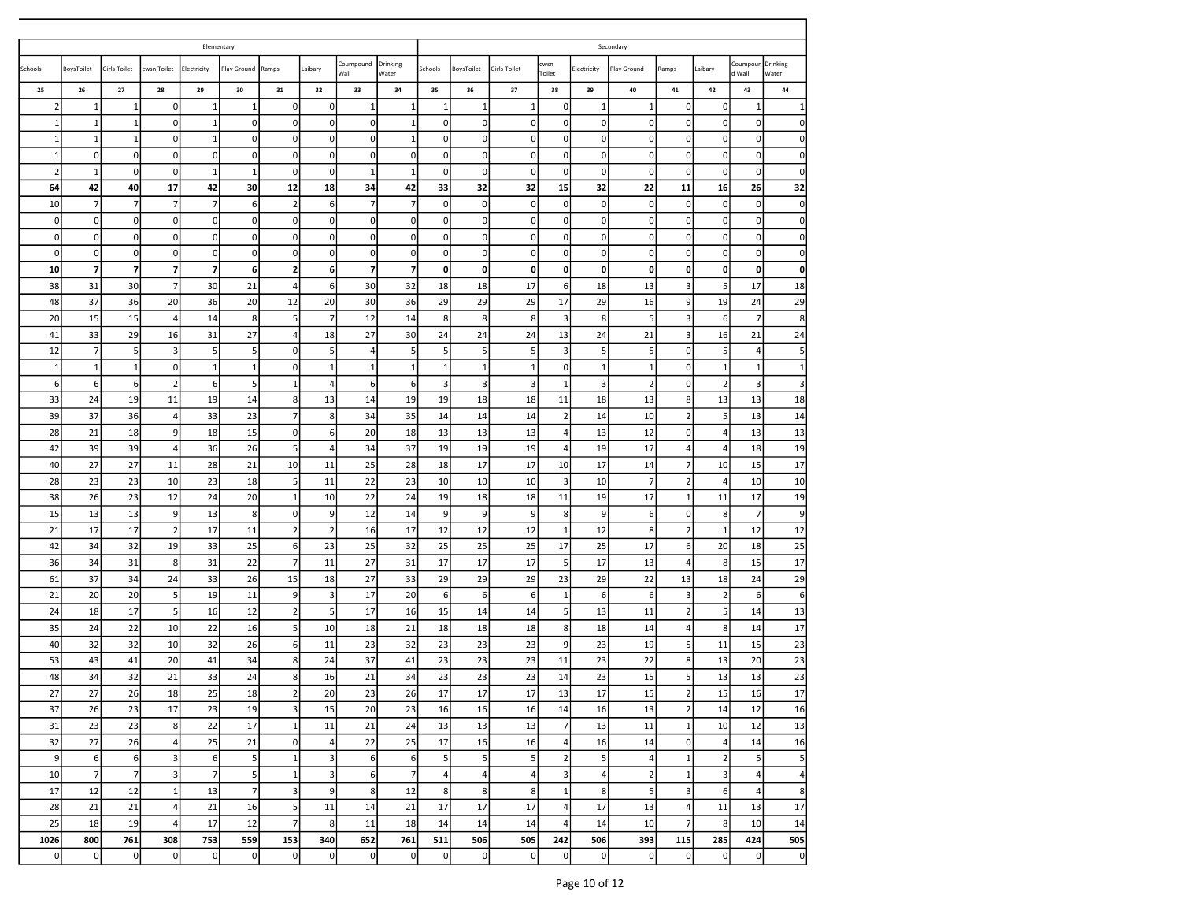|                   |                            |                          |                         | Elementary                     |                |                             |                         |                     |                         |                         |                                    |                         |                         |                         | Secondary      |                            |                            |                         |                      |
|-------------------|----------------------------|--------------------------|-------------------------|--------------------------------|----------------|-----------------------------|-------------------------|---------------------|-------------------------|-------------------------|------------------------------------|-------------------------|-------------------------|-------------------------|----------------|----------------------------|----------------------------|-------------------------|----------------------|
| Schools           | BoysToilet                 | <b>Girls Toilet</b>      | cwsn Toilet             | Electricity                    | Play Ground    | Ramps                       | Laibary                 | Coumpound<br>Wall   | Drinking<br>Water       | Schools                 | BoysToilet                         | Girls Toilet            | cwsn<br>Toilet          | Electricity             | Play Ground    | Ramps                      | Laibary                    | Coumpour<br>d Wall      | Drinking<br>Water    |
| 25                | 26                         | 27                       | 28                      | 29                             | 30             | 31                          | 32                      | 33                  | 34                      | 35                      | 36                                 | 37                      | 38                      | 39                      | 40             | 41                         | 42                         | 43                      | 44                   |
| $\overline{2}$    | 1                          | 1                        | 0                       | 1                              | 1              | $\mathbf 0$                 | $\mathbf 0$             | -1                  | 1                       | 1                       | 1                                  | -1                      | $\Omega$                | 1                       | 1              | 0                          | $\mathbf 0$                | 1                       | 1                    |
| $\mathbf{1}$      | 1                          | $\mathbf{1}$             | 0                       | 1                              | $\mathbf 0$    | 0                           | $\mathbf 0$             | 0                   | $\mathbf{1}$            | 0                       | $\mathbf 0$                        | 0                       | $\Omega$                | $\mathbf{0}$            | $\Omega$       | 0                          | $\mathbf 0$                | 0                       | $\Omega$             |
| $\mathbf{1}$      | 1                          | $\mathbf{1}$             | 0                       | $\mathbf 1$                    | $\mathbf 0$    | 0                           | $\mathbf 0$             | 0                   | $1\,$                   | 0                       | $\mathbf 0$                        | 0                       | $\Omega$                | $\mathbf 0$             | $\Omega$       | $\mathbf 0$                | $\mathbf 0$                | $\mathbf 0$             | $\overline{0}$       |
| $\mathbf{1}$      | $\overline{0}$             | 0                        | 0                       | $\mathbf{0}$                   | 0              | $\mathbf 0$                 | $\mathbf 0$             | 0                   | 0                       | 0                       | $\pmb{0}$                          | 0                       | $\Omega$                | $\mathbf 0$             | 0              | 0                          | 0                          | 0                       | $\Omega$             |
| $\overline{2}$    | 1                          | $\mathbf 0$              | 0                       | $\mathbf{1}$                   | $\mathbf{1}$   | $\mathbf 0$                 | $\mathbf 0$             | $\mathbf{1}$        | $\mathbf{1}$            | 0                       | $\mathbf 0$                        | $\mathbf 0$             | $\Omega$                | $\mathbf{0}$            | 0              | $\mathbf 0$                | $\mathbf 0$                | 0                       | $\Omega$             |
| 64                | 42                         | 40                       | 17                      | 42                             | 30             | 12                          | 18                      | 34                  | 42                      | 33                      | 32                                 | 32                      | 15                      | 32                      | 22             | 11                         | 16                         | 26                      | 32                   |
| 10<br>$\mathbf 0$ | $\overline{7}$<br>$\Omega$ | $\overline{7}$<br>0      | $\overline{7}$<br>0     | $\overline{7}$<br>$\mathbf{0}$ | 6<br>0         | $\overline{2}$<br>$\pmb{0}$ | 6<br>$\mathbf 0$        | $\overline{7}$<br>O | $\overline{7}$<br> 0    | 0<br>0                  | $\mathsf{O}\xspace$<br>$\mathbf 0$ | 0<br>0                  | $\Omega$<br>$\Omega$    | $\mathbf 0$<br>0        | $\Omega$<br>0  | $\mathbf 0$<br>$\mathbf 0$ | $\mathbf 0$<br>$\mathbf 0$ | $\mathbf 0$<br>0        | $\Omega$<br>$\Omega$ |
| $\mathbf 0$       | $\overline{0}$             | $\mathbf 0$              | $\mathbf 0$             | $\mathbf{0}$                   | $\mathbf 0$    | $\mathbf 0$                 | $\mathbf 0$             | 0                   | 0                       | 0                       | $\pmb{0}$                          | $\mathbf 0$             | $\Omega$                | $\mathbf 0$             | $\Omega$       | $\mathbf 0$                | $\mathbf 0$                | $\mathbf 0$             | $\mathbf{0}$         |
| $\mathbf 0$       | $\Omega$                   | $\pmb{0}$                | 0                       | $\mathbf{0}$                   | $\mathbf 0$    | $\mathbf 0$                 | $\mathbf 0$             | $\mathbf 0$         | 0                       | 0                       | $\mathbf 0$                        | $\mathbf 0$             | $\Omega$                | $\mathbf 0$             | $\Omega$       | $\mathbf 0$                | 0                          | $\mathbf 0$             | $\Omega$             |
| 10                | $\overline{7}$             | $\overline{\phantom{a}}$ | 7                       | 7                              | 6              | $\overline{\mathbf{2}}$     | 6                       | $\overline{7}$      | $\overline{\mathbf{z}}$ | 0                       | $\mathbf 0$                        | 0                       | 0                       | 0                       | 0              | 0                          | 0                          | 0                       | $\mathbf{0}$         |
| 38                | 31                         | 30                       | $\overline{7}$          | 30                             | 21             | 4                           | 6                       | 30                  | 32                      | 18                      | 18                                 | 17                      | $6 \mid$                | 18                      | 13             | $\overline{3}$             | 5                          | 17                      | 18                   |
| 48                | 37                         | 36                       | 20                      | 36                             | 20             | 12                          | 20                      | 30                  | 36                      | 29                      | 29                                 | 29                      | 17                      | 29                      | 16             | 9                          | 19                         | 24                      | 29                   |
| 20                | 15                         | 15                       | 4                       | 14                             | 8              | 5                           | $\overline{7}$          | 12                  | 14                      | 8                       | 8                                  | 8                       | 3                       | 8                       | 5              | 3                          | 6                          | $\overline{7}$          | 8 <sup>1</sup>       |
| 41                | 33                         | 29                       | 16                      | 31                             | 27             | 4                           | 18                      | 27                  | 30                      | 24                      | 24                                 | 24                      | 13                      | 24                      | 21             | 3                          | 16                         | 21                      | 24                   |
| 12                | $\overline{7}$             | 5                        | 3                       | 5                              | 5              | $\mathbf 0$                 | 5                       | $\overline{4}$      | 5                       | 5                       | 5                                  | 5                       | 3                       | 5                       | 5              | $\mathbf 0$                | 5                          | $\overline{4}$          | 5 <sup>1</sup>       |
| $\mathbf{1}$      | $1\,$                      | $\mathbf{1}$             | $\mathbf{0}$            | $\mathbf 1$                    | $\mathbf{1}$   | $\mathbf 0$                 | $\mathbf{1}$            | $\mathbf{1}$        | $\mathbf{1}$            | $\mathbf 1$             | $\mathbf{1}$                       | $\mathbf{1}$            | $\Omega$                | $\mathbf{1}$            | $\mathbf{1}$   | $\mathbf 0$                | $\mathbf{1}$               | $\mathbf{1}$            | $1\,$                |
| 6                 | $6 \mid$                   | 6                        | 2                       | 6                              | 5              | 1                           | $\overline{4}$          | 6                   | 6                       | 3                       | $\overline{\mathbf{3}}$            | $\overline{\mathbf{3}}$ | 1                       | $\overline{\mathbf{3}}$ | $\overline{2}$ | $\mathbf 0$                | $\overline{2}$             | 3                       | 3                    |
| 33                | 24                         | 19                       | 11                      | 19                             | 14             | $\bf8$                      | 13                      | 14                  | 19                      | 19                      | 18                                 | 18                      | 11                      | 18                      | 13             | 8                          | 13                         | 13                      | 18                   |
| 39                | 37                         | 36                       | 4                       | 33                             | 23             | $\overline{7}$              | $\bf8$                  | 34                  | 35                      | 14                      | 14                                 | 14                      | $\overline{2}$          | 14                      | 10             | $\overline{2}$             | 5                          | 13                      | 14                   |
| 28                | 21                         | 18                       | 9                       | 18                             | 15             | $\mathbf 0$                 | 6                       | 20                  | 18                      | 13                      | 13                                 | 13                      | 4                       | 13                      | 12             | $\mathbf 0$                | $\overline{4}$             | 13                      | 13                   |
| 42                | 39                         | 39                       | 4                       | 36                             | 26             | 5                           | $\overline{a}$          | 34                  | 37                      | 19                      | 19                                 | 19                      | 4                       | 19                      | 17             | 4                          | 4                          | 18                      | 19                   |
| 40                | 27                         | 27                       | 11                      | 28                             | 21             | 10                          | 11                      | 25                  | 28                      | 18                      | 17                                 | 17                      | 10                      | 17                      | 14             | $\overline{7}$             | 10                         | 15                      | 17                   |
| 28                | 23                         | 23                       | 10                      | 23                             | 18             | 5                           | 11                      | 22                  | 23                      | 10                      | 10                                 | 10                      | 3                       | 10                      | $\overline{7}$ | $\overline{2}$             | $\overline{4}$             | 10                      | 10                   |
| 38                | 26                         | 23                       | 12                      | 24                             | 20             | $\mathbf{1}$                | 10                      | 22                  | 24                      | 19                      | 18                                 | 18                      | 11                      | 19                      | 17             | $\mathbf{1}$               | 11                         | 17                      | 19                   |
| 15                | 13                         | 13                       | 9                       | 13                             | 8              | $\mathbf 0$                 | 9                       | 12                  | 14                      | 9                       | 9                                  | 9                       | 8                       | 9                       | 6              | $\mathbf 0$                | 8                          | $\overline{7}$          | 9                    |
| 21                | 17                         | 17                       | $\overline{2}$          | 17                             | 11             | $\mathbf 2$                 | $\overline{2}$          | 16                  | 17                      | 12                      | 12                                 | 12                      | 1                       | 12                      | 8              | $\overline{2}$             | $\mathbf{1}$               | 12                      | 12                   |
| 42                | 34                         | 32                       | 19                      | 33                             | 25             | 6                           | 23                      | 25                  | 32                      | 25                      | 25                                 | 25                      | 17                      | 25                      | 17             | 6                          | 20                         | 18                      | 25                   |
| 36                | 34                         | 31                       | 8                       | 31                             | 22             | $\overline{7}$              | 11                      | 27                  | 31                      | 17                      | 17                                 | 17                      | -5                      | 17                      | 13             | $\overline{4}$             | 8                          | 15                      | 17                   |
| 61                | 37                         | 34                       | 24                      | 33                             | 26             | 15                          | 18                      | 27                  | 33                      | 29                      | 29                                 | 29                      | 23                      | 29                      | 22             | 13                         | 18                         | 24                      | 29                   |
| 21                | 20                         | 20                       | 5                       | 19                             | 11             | 9                           | $\overline{\mathbf{3}}$ | 17                  | 20                      | 6                       | 6                                  | 6                       | $\mathbf{1}$            | $\boldsymbol{6}$        | 6              | $\overline{\mathbf{3}}$    | $\overline{2}$             | 6                       | 6                    |
| 24                | 18                         | 17                       | 5                       | 16                             | 12             | $\overline{2}$              | 5                       | 17                  | 16                      | 15                      | 14                                 | 14                      | 5                       | 13                      | 11             | $\overline{2}$             | 5                          | 14                      | 13                   |
| 35                | 24                         | 22                       | 10                      | 22                             | 16             | 5                           | 10                      | 18                  | 21                      | 18                      | 18                                 | 18                      | 8                       | 18                      | 14             | 4                          | 8                          | 14                      | 17                   |
| 40                | 32                         | 32                       | 10                      | 32                             | 26             | 6                           | 11                      | 23                  | 32                      | 23                      | 23                                 | 23                      | $\overline{9}$          | 23                      | 19             | 5                          | 11                         | 15                      | 23                   |
| 53                | 43                         | 41                       | 20                      | 41                             | 34             | 8                           | 24                      | 37                  | 41                      | 23                      | 23                                 | 23                      | 11                      | 23                      | 22             | 8                          | 13                         | 20                      | 23                   |
| 48                | 34                         | 32                       | 21                      | 33                             | 24             | 8                           | 16                      | 21                  | 34                      | 23                      | 23                                 | 23                      | 14                      | 23                      | 15             | 5                          | 13                         | 13                      | 23                   |
| 27                | 27                         | 26                       | 18                      | 25                             | 18             | $\overline{2}$              | 20                      | 23                  | 26                      | 17                      | 17                                 | 17                      | 13                      | 17                      | 15             | $\overline{2}$             | 15                         | 16                      | 17                   |
| 37                | 26                         | 23                       | 17                      | 23                             | 19             | $\overline{\mathbf{3}}$     | 15                      | 20                  | 23                      | 16                      | 16                                 | 16                      | 14                      | 16                      | 13             | $\overline{2}$             | 14                         | 12                      | 16                   |
| 31                | 23                         | 23                       | $8\phantom{1}$          | 22                             | 17             | $\mathbf 1$                 | 11                      | 21                  | 24                      | 13                      | 13                                 | 13                      | 7                       | 13                      | 11             | $1\overline{ }$            | 10                         | 12                      | 13                   |
| 32                | 27                         | 26                       | 4                       | 25                             | 21             | $\mathbf 0$                 | $\overline{4}$          | 22                  | 25                      | 17                      | 16                                 | 16                      | $\overline{a}$          | 16                      | 14             | $\overline{0}$             | $\overline{\mathbf{4}}$    | 14                      | 16                   |
| $9$               | 6                          | 6                        | $\overline{\mathbf{3}}$ | $\sqrt{6}$                     | 5              | $\,1\,$                     | $\mathsf 3$             | 6                   | 6                       | 5                       | $\sf 5$                            | 5                       | $\overline{2}$          | 5 <sub>5</sub>          | 4              | $\mathbf 1$                | $\mathbf 2$                | $\overline{\mathbf{5}}$ | 5 <sub>l</sub>       |
| 10                | 7                          | $\overline{7}$           | $\overline{\mathbf{3}}$ | $\overline{7}$                 | 5              | $\,1\,$                     | $\mathbf{3}$            | 6                   | $\overline{7}$          | $\overline{\mathbf{4}}$ | $\overline{4}$                     | 4                       | $\overline{\mathbf{3}}$ | $\overline{a}$          | $\overline{2}$ | $\,1\,$                    | $\mathsf 3$                | $\overline{4}$          | $\overline{4}$       |
| 17                | 12                         | 12                       | $\mathbf{1}$            | 13                             | $\overline{7}$ | $\overline{\mathbf{3}}$     | 9                       | 8                   | 12                      | 8                       | 8                                  | 8                       | $\mathbf{1}$            | 8                       | 5              | $\overline{3}$             | 6                          | $\overline{4}$          | 8                    |
| 28                | 21                         | 21                       | $4 \overline{ }$        | 21                             | 16             | $\overline{\mathbf{5}}$     | 11                      | 14                  | 21                      | 17                      | 17                                 | 17                      | $\vert$                 | 17                      | 13             | $\vert$                    | 11                         | 13                      | 17                   |
| 25                | 18                         | 19                       | $\overline{a}$          | 17                             | 12             | $\overline{7}$              | 8                       | 11                  | 18                      | 14                      | 14                                 | 14                      | 4                       | 14                      | 10             | $\overline{7}$             | 8                          | 10                      | 14                   |
| 1026              | 800                        | 761                      | 308                     | 753                            | 559            | 153                         | 340                     | 652                 | 761                     | 511                     | 506                                | 505                     | 242                     | 506                     | 393            | 115                        | 285                        | 424                     | 505                  |
| $\pmb{0}$         | $\Omega$                   | $\pmb{0}$                | $\mathbf 0$             | $\pmb{0}$                      | 0              | $\mathbf 0$                 | $\pmb{0}$               | $\mathbf 0$         | $\overline{0}$          | $\pmb{0}$               | $\pmb{0}$                          | 0                       | $\Omega$                | $\pmb{0}$               | $\Omega$       | $\pmb{0}$                  | $\overline{0}$             | $\mathbf 0$             | 0                    |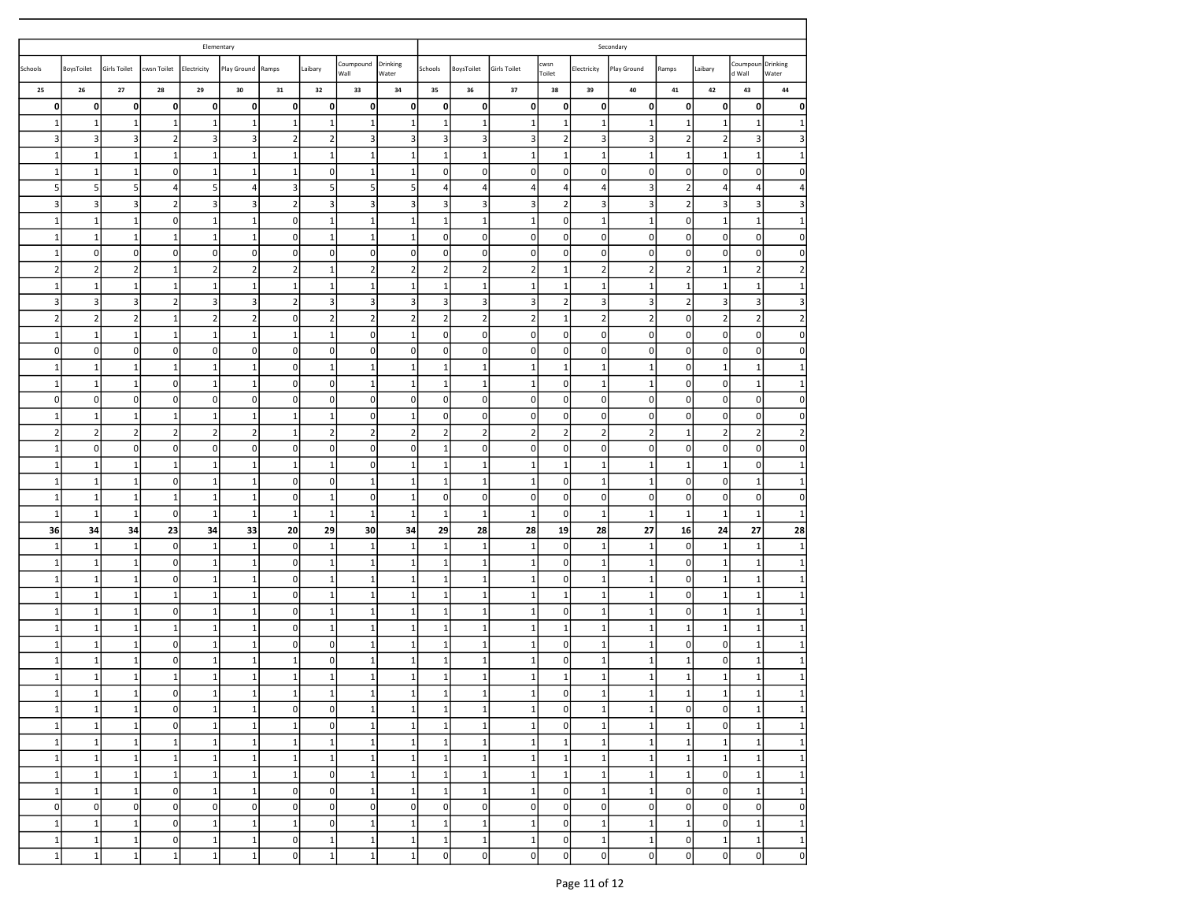|                    |                                           |                     |                      | Elementary     |                             |                |                                     |                     |                              |                           |                         |                                |                       |                         | Secondary           |                           |                               |                                  |                   |
|--------------------|-------------------------------------------|---------------------|----------------------|----------------|-----------------------------|----------------|-------------------------------------|---------------------|------------------------------|---------------------------|-------------------------|--------------------------------|-----------------------|-------------------------|---------------------|---------------------------|-------------------------------|----------------------------------|-------------------|
| Schools            | BoysToilet                                | <b>Girls Toilet</b> | cwsn Toilet          | Electricity    | Play Ground                 | Ramps          | Laibary                             | Coumpound<br>Wall   | Drinking<br>Water            | Schools                   | BoysToilet              | <b>Girls Toilet</b>            | cwsn<br>Toilet        | Electricity             | Play Ground         | Ramps                     | Laibary                       | Coumpoun<br>d Wall               | Drinking<br>Water |
| 25                 | 26                                        | 27                  | 28                   | 29             | 30                          | 31             | 32                                  | 33                  | 34                           | 35                        | 36                      | 37                             | 38                    | 39                      | 40                  | 41                        | 42                            | 43                               | 44                |
| 0                  | $\mathbf{0}$                              | 0                   | $\mathbf{0}$         | 0              | 0                           | 0              | 0                                   | $\mathbf{0}$        | 0                            | 0                         | 0                       | 0                              | 0                     | 0                       | 0                   | 0                         | 0                             | $\mathbf 0$                      | 0                 |
| 1                  | $\mathbf{1}$                              | $\mathbf{1}$        | 1                    | 1              | $\mathbf{1}$                | 1              | 1                                   | 1                   | $\mathbf{1}$                 | $\mathbf{1}$              | $\mathbf{1}$            | 1                              | 1                     | 1                       | 1                   | 1                         | $\mathbf{1}$                  | 1                                |                   |
| 3                  | $\overline{\mathbf{3}}$                   | 3                   | 2                    | 3              | 3                           | $\overline{2}$ | $\overline{2}$                      | $\vert$ 3           | 3                            | 3                         | 3                       | 3                              | $\overline{2}$        | 3                       | $\vert$ 3           | $\overline{2}$            | $\overline{2}$                | 3                                |                   |
| $\mathbf{1}$       | $\mathbf 1$                               | $\mathbf{1}$        | 1                    | 1              | 1                           | $\mathbf 1$    | $1\,$                               | 1                   | 1                            | $\mathbf 1$               | $\mathbf 1$             | 1                              | 1                     | $\mathbf{1}$            | $\mathbf{1}$        | 1                         | $\mathbf{1}$                  | $\mathbf{1}$                     |                   |
| 1<br>5             | $\mathbf{1}$                              | 1                   | $\overline{0}$       | $1\,$          | 1                           | 1<br>3         | $\mathbf 0$                         | 1                   | 1                            | $\pmb{0}$                 | 0                       | $\mathbf 0$                    | 0                     | 0                       | 0                   | 0<br>$\overline{2}$       | $\mathbf 0$                   | $\mathbf 0$                      |                   |
| 3                  | 5 <sup>1</sup><br>$\overline{\mathbf{3}}$ | 5<br>3              | 4<br>$\overline{2}$  | 5<br>3         | $\overline{4}$<br>$\vert$ 3 | $\overline{2}$ | 5<br>3                              | 5<br>$\overline{3}$ | 5<br>3                       | $\overline{4}$<br>3       | $\overline{4}$<br>3     | $\overline{4}$<br>$\mathbf{3}$ | 4<br>$2 \overline{)}$ | $\overline{4}$<br>3     | 3<br>$\overline{3}$ | $\overline{2}$            | $\overline{4}$<br>$\mathsf 3$ | $\overline{4}$<br>$\overline{3}$ |                   |
| 1                  | $\mathbf{1}$                              | 1                   | $\overline{0}$       | 1              | $\mathbf{1}$                | 0              | $\,1\,$                             | 1                   | $\mathbf{1}$                 | $\mathbf{1}$              | $\mathbf{1}$            | $\mathbf{1}$                   | 0                     | -1                      | $\mathbf{1}$        | $\Omega$                  | $\mathbf{1}$                  | $\mathbf{1}$                     |                   |
| 1                  | $\mathbf{1}$                              | 1                   | $\mathbf{1}$         | $\mathbf{1}$   | 1                           | 0              | $\mathbf{1}$                        | 1                   | 1                            | $\pmb{0}$                 | $\mathbf 0$             | $\mathbf 0$                    | $\mathbf{0}$          | 0                       | $\Omega$            | $\mathbf 0$               | $\pmb{0}$                     | $\mathbf 0$                      | $\Omega$          |
| $\mathbf{1}$       | $\overline{0}$                            | 0                   | $\overline{0}$       | 0              | $\Omega$                    | 0              | $\mathbf 0$                         | $\Omega$            | 0                            | 0                         | $\mathbf 0$             | $\mathbf 0$                    | $\pmb{0}$             | 0                       | $\overline{0}$      | 0                         | $\mathbf 0$                   | $\mathbf 0$                      |                   |
| $\overline{2}$     | $\overline{2}$                            | $\overline{2}$      | $\mathbf 1$          | $\mathbf 2$    | $\overline{2}$              | $\overline{2}$ | 1                                   | $\overline{2}$      | $\mathbf 2$                  | $\overline{2}$            | $\overline{2}$          | $\overline{2}$                 | 1                     | $\overline{2}$          | $\overline{2}$      | $\overline{2}$            | $\mathbf{1}$                  | $\overline{2}$                   |                   |
| 1                  | $\mathbf{1}$                              | $\mathbf{1}$        | $\mathbf{1}$         | $\mathbf{1}$   | 1                           | 1              | $\mathbf{1}$                        | 1                   | 1                            | 1                         | $\mathbf{1}$            | 1                              | 1                     | $\mathbf{1}$            | 1                   | 1                         | $\mathbf{1}$                  | $\mathbf{1}$                     |                   |
| 3                  | $\overline{\mathbf{3}}$                   | 3                   | $\overline{2}$       | 3              | 3                           | $\overline{2}$ | 3                                   | $\overline{3}$      | 3                            | 3                         | 3                       | 3                              | $\overline{2}$        | 3                       | $\overline{3}$      | $\overline{2}$            | 3                             | 3                                |                   |
| $\overline{2}$     | $\overline{2}$                            | $\overline{2}$      | $\mathbf{1}$         | $\mathbf 2$    | $\mathbf 2$                 | 0              | $\mathbf 2$                         | 2                   | $\mathbf 2$                  | $\mathbf 2$               | $\overline{2}$          | $\overline{2}$                 | $\mathbf{1}$          | $\overline{2}$          | $\overline{2}$      | $\mathbf 0$               | $\overline{\mathbf{2}}$       | $\overline{2}$                   |                   |
| 1                  | $1\vert$                                  | 1                   | $\mathbf{1}$         | 1              | 1                           | 1              | $\mathbf{1}$                        | $\Omega$            | 1                            | $\pmb{0}$                 | $\mathbf 0$             | $\mathbf 0$                    | $\mathbf{0}$          | 0                       | $\Omega$            | 0                         | $\mathbf 0$                   | $\mathbf 0$                      | $\Omega$          |
| 0                  | $\sigma$                                  | 0                   | $\overline{0}$       | 0              | $\Omega$                    | 0              | $\mathbf 0$                         | $\Omega$            | 0                            | $\pmb{0}$                 | 0                       | $\mathbf 0$                    | $\pmb{0}$             | 0                       | $\Omega$            | 0                         | $\mathbf 0$                   | $\mathbf 0$                      | 0                 |
| $\mathbf{1}$       | $\mathbf 1$                               | $\mathbf{1}$        | $\mathbf{1}$         | 1              | $\mathbf{1}$                | 0              | $\mathbf{1}$                        | 1                   | 1                            | 1                         | $\mathbf{1}$            | $\mathbf{1}$                   | $\mathbf{1}$          | $\mathbf{1}$            | $\mathbf{1}$        | $\mathbf 0$               | $\mathbf{1}$                  | $\mathbf{1}$                     |                   |
| $\mathbf{1}$       | $\mathbf 1$                               | $\mathbf{1}$        | $\circ$              | 1              | $\mathbf{1}$                | $\pmb{0}$      | $\mathbf 0$                         | 1'                  | $\mathbf 1$                  | $\mathbf 1$               | $\,1\,$                 | $\mathbf{1}$                   | $\mathbf{0}$          | $\mathbf{1}$            | $\mathbf{1}$        | $\mathbf 0$               | 0                             | $\mathbf{1}$                     |                   |
| 0                  | $\overline{0}$                            | 0                   | $\overline{0}$       | 0              | $\Omega$                    | 0              | $\mathbf 0$                         | $\overline{0}$      | 0                            | $\pmb{0}$                 | $\mathbf 0$             | $\mathbf 0$                    | 0                     | 0                       | $\Omega$            | 0                         | $\mathbf 0$                   | $\mathbf 0$                      |                   |
| 1                  | $\mathbf{1}$                              | $\mathbf{1}$        | $\mathbf{1}$         | $\mathbf{1}$   | $\mathbf{1}$                | 1              | $\mathbf{1}$                        | $\Omega$            | 1                            | $\pmb{0}$                 | 0                       | $\mathbf 0$                    | $\overline{0}$        | $\mathbf 0$             | $\Omega$            | $\mathbf 0$               | $\pmb{0}$                     | $\mathbf 0$                      | $\Omega$          |
| $\mathbf 2$        | $\overline{2}$                            | $\overline{2}$      | $\mathbf 2$          | $\mathbf 2$    | $\overline{2}$              | $1\,$          | $\overline{2}$                      | $\overline{2}$      | $\overline{2}$               | $\mathbf 2$               | $\overline{\mathbf{c}}$ | $\overline{2}$                 | $\overline{2}$        | $\overline{\mathbf{c}}$ | $\overline{2}$      | 1                         | $\overline{2}$                | $\overline{2}$                   |                   |
| 1                  | $\sigma$                                  | 0                   | $\circ$              | 0              | $\Omega$                    | $\pmb{0}$      | $\mathbf 0$                         | $\Omega$            | 0                            | 1                         | $\mathbf 0$             | $\mathbf 0$                    | $\pmb{0}$             | 0                       | $\Omega$            | 0                         | $\overline{0}$                | $\mathbf 0$                      | $\Omega$          |
| $\mathbf{1}$       | $1\vert$                                  | $\mathbf{1}$        | $\mathbf{1}$         | $\mathbf{1}$   | 1                           | 1              | $\mathbf{1}$                        | $\Omega$            | 1                            | $\mathbf{1}$              | $\,1\,$                 | 1                              | 1                     | $\mathbf{1}$            | 1                   | $\mathbf{1}$              | $\mathbf{1}$                  | $\mathsf{O}\xspace$              |                   |
| $\mathbf{1}$       | $1\vert$                                  | $\mathbf{1}$        | $\circ$              | 1              | 1                           | $\mathbf 0$    | $\mathbf 0$                         | $\mathbf{1}$        | $\mathbf 1$                  | $\mathbf 1$               | $\mathbf{1}$            | $\mathbf{1}$                   | 0                     | 1                       | $\mathbf{1}$        | 0                         | $\mathbf 0$                   | $\mathbf{1}$                     |                   |
| $\mathbf{1}$       | $1\vert$                                  | $\mathbf{1}$        | $1\,$                | $\mathbf 1$    | $\mathbf{1}$                | $\pmb{0}$      | $\mathbf{1}$                        | $\Omega$            | $\mathbf{1}$                 | $\pmb{0}$                 | $\mathbf 0$             | $\mathbf 0$                    | $\mathbf{0}$          | $\mathbf 0$             | $\Omega$            | $\mathbf 0$               | $\overline{0}$                | $\mathbf 0$                      | $\Omega$          |
| 1                  | $\mathbf{1}$                              | 1                   | $\mathbf{0}$         | 1              | 1                           | 1              | $\mathbf{1}$                        | 1                   | 1                            | 1                         | 1                       | 1                              | $\mathbf{0}$          | 1                       | 1                   | 1                         | $\mathbf{1}$                  | $\mathbf{1}$                     |                   |
| 36                 | 34                                        | 34                  | 23                   | 34             | 33                          | 20             | 29                                  | 30                  | 34                           | 29                        | 28                      | 28                             | 19                    | 28                      | 27                  | 16                        | 24                            | 27                               | 28                |
| $\mathbf{1}$       | $\,1\,$                                   | $\mathbf{1}$        | $\overline{0}$       | $1\,$          | $\mathbf{1}$                | $\pmb{0}$      | $\,1\,$                             | $\mathbf{1}$        | $\,1\,$                      | $1\,$                     | $\mathbf{1}$            | $\mathbf{1}$                   | $\pmb{0}$             | $\mathbf{1}$            | $\mathbf{1}$        | $\mathbf 0$               | $\mathbf{1}$                  | $\mathbf{1}$                     |                   |
| $\mathbf{1}$       | $\mathbf 1$                               | $\mathbf{1}$        | $\circ$              | $\mathbf 1$    | $\mathbf{1}$                | $\pmb{0}$      | $1\,$                               | $\mathbf{1}$        | 1                            | $\mathbf{1}$              | $\mathbf{1}$            | $\mathbf{1}$                   | $\mathbf{0}$          | $\mathbf{1}$            | $\mathbf{1}$        | $\mathbf 0$               | $\mathbf{1}$                  | $\mathbf{1}$                     |                   |
| 1                  | $1\vert$                                  | 1                   | $\overline{0}$       | 1              | 1                           | 0              | $\mathbf{1}$                        | 1                   | 1                            | $\mathbf{1}$              | 1                       | 1                              | 0                     | -1                      | $\mathbf{1}$        | 0                         | $\mathbf{1}$                  | $\mathbf{1}$                     |                   |
| $\mathbf{1}$       | $1\vert$                                  | $\mathbf{1}$        | $\mathbf{1}$         | $\mathbf 1$    | $\mathbf{1}$                | 0              | $\mathbf{1}$                        | $\mathbf{1}$        | $\mathbf 1$                  | $1\,$                     | $\mathbf{1}$            | $\mathbf{1}$                   | $\mathbf{1}$          | $\mathbf{1}$            | $\mathbf{1}$        | $\mathbf 0$               | $\mathbf{1}$                  | $\mathbf{1}$                     |                   |
| $\mathbf{1}$       | $1\vert$                                  | $\mathbf{1}$        | $\overline{0}$       | $\mathbf 1$    | 1                           | 0              | $\mathbf{1}$                        | $\mathbf{1}$        | $\mathbf 1$                  | $\mathbf 1$               | $\mathbf{1}$            | $\mathbf{1}$                   | $\mathbf{0}$          | $\mathbf{1}$            | $\mathbf{1}$        | 0                         | $\mathbf{1}$                  | $\mathbf{1}$                     |                   |
| -1<br>$\mathbf{1}$ | $\mathbf{1}$                              | -1<br>$\mathbf{1}$  | 1<br>$\circ$         | 1<br>1         | 1                           | 0<br>$\pmb{0}$ | 1<br>$\mathbf 0$                    | 1                   | 1                            | 1                         | 1<br>$\mathbf{1}$       | 1                              | 1<br>$\overline{0}$   | 1<br>$\mathbf{1}$       | 1                   | 1<br>$\mathbf 0$          | $\mathbf{1}$<br>$\mathbf 0$   | 1                                |                   |
| $\mathbf{1}$       | $\mathbf{1}$                              | -1                  | $\overline{0}$       |                | 1<br>$\mathbf{1}$           | $\mathbf 1$    | 0                                   | 1                   | 1<br>1                       | 1                         |                         | 1                              | $\mathbf{0}$          | 1                       | 1<br>1              | -1                        | 0                             | $\mathbf{1}$                     |                   |
| -1                 | $\mathbf{1}$<br>$\mathbf{1}$              | 1                   | $\mathbf{1}$         | 1              | 1                           | $\mathbf{1}$   | $\mathbf{1}$                        | 1<br>1              | $\mathbf{1}$                 | 1<br>$\mathbf{1}$         | 1<br>$\mathbf{1}$       | $\mathbf{1}$<br>$\mathbf{1}$   | 1                     |                         | $\mathbf{1}$        | 1                         | $\mathbf{1}$                  | $\mathbf{1}$<br>$\mathbf{1}$     |                   |
| 1                  |                                           | 1                   | $\circ$              | 1              | 1                           | 1              |                                     | 1                   |                              | $\frac{1}{2}$             | 1                       | 1                              | $\circ$               | $\mathbf{1}$            | 1                   |                           | 1                             |                                  |                   |
| $\mathbf{1}$       | 1<br>$\mathbf{1}$                         | 1                   | $\overline{\bullet}$ | $\overline{1}$ | 1                           | $\mathbf 0$    | $1\vert$<br>$\overline{\mathbf{0}}$ | 1                   | $\mathbf{1}$<br>$\mathbf{1}$ | $\overline{\mathbf{1}}$   | 1                       | 1                              | $\circ$               | $\overline{1}$          | 1                   | $\frac{1}{0}$             | 0                             | 1<br>$\,1\,$                     | 1 <br>$\vert$ 1   |
| $\mathbf{1}$       | 1                                         | 1                   | $\circ$              | $\mathbf{1}$   | 1                           | $\mathbf 1$    | $\circ$                             | 1                   | $\mathbf{1}$                 | $\mathbf{1}$              | 1                       | 1                              | $\circ$               | $\overline{1}$          | 1                   | $\overline{\mathbf{1}}$   | 0                             | $\mathbf 1$                      | $\mathbf{1}$      |
| $\mathbf{1}$       | $\mathbf{1}$                              | $\mathbf{1}$        | 1                    | $\overline{1}$ | 1                           | $\mathbf 1$    | $\mathbf 1$                         | 1                   | $\mathbf{1}$                 | $\overline{1}$            | $1\overline{)}$         | $1\overline{)}$                | 1                     | $\mathbf{1}$            | 1                   | 1                         | 1                             | 1                                | $\mathbf{1}$      |
| $1\overline{ }$    | 1                                         | 1                   | 1                    | $\mathbf{1}$   | 1                           | $\mathbf{1}$   | $\mathbf 1$                         | 1                   | $\mathbf 1$                  | $\mathbf{1}$              | 1                       | 1                              | 1                     | $\mathbf{1}$            | 1                   | $\overline{1}$            | $1\overline{ }$               | $\mathbf 1$                      | $\mathbf{1}$      |
| $1\overline{ }$    | 1                                         | 1                   | 1                    | 1              | 1                           | $\mathbf{1}$   | $\circ$                             | 1                   | $\mathbf 1$                  | $\mathbf{1}$              | 1                       | 1                              | 1                     | $\overline{1}$          | 1                   | $\overline{1}$            | 0                             | $\mathbf 1$                      | $\mathbf{1}$      |
| 1                  | 1                                         | 1                   | $\circ$              | $\mathbf{1}$   | 1                           | $\mathbf 0$    | $\overline{0}$                      | 1                   | $\mathbf{1}$                 | $\mathbf{1}$              | 1                       | 1                              | $\overline{0}$        | 1                       | 1                   | 0                         | 0                             | $\mathbf 1$                      | 1                 |
| $\circ$            | 0                                         | 0                   | $\circ$              | $\mathbf 0$    | 0                           | $\mathbf 0$    | $\circ$                             | 0                   | $\mathbf 0$                  | $\mathbf{0}$              | $\circ$                 | $\mathbf 0$                    | $\overline{0}$        | $\mathbf 0$             | 0                   | $\overline{0}$            | 0                             | $\circ$                          | 0                 |
| 1                  | $\mathbf{1}$                              | $\mathbf{1}$        | $\overline{0}$       | $\overline{1}$ | $\vert$ 1                   | $\mathbf{1}$   | $\circ$                             | 1                   | $\mathbf{1}$                 | $\mathbf{1}$              | $\overline{1}$          | $1\overline{)}$                | $\circ$               | $\overline{1}$          | 1                   | $\overline{1}$            | $\overline{0}$                | $\mathbf{1}$                     | $\mathbf{1}$      |
| 1                  | $\mathbf{1}$                              | $1\overline{)}$     | $\circ$              | $\mathbf{1}$   | $\vert$ 1                   | $\mathbf 0$    | $\mathbf 1$                         | 1                   | $\mathbf{1}$                 | $\mathbf 1$               | 1                       | 1                              | $\overline{0}$        | $\mathbf{1}$            | 1                   | 0                         | $1\overline{ }$               | $\mathbf 1$                      | $\mathbf{1}$      |
| $\mathbf{1}$       | $1\overline{ }$                           | $1\overline{)}$     | 1                    | $\mathbf{1}$   | $1\overline{)}$             | $\mathbf 0$    | $\mathbf 1$                         | 1                   | $\mathbf 1$                  | $\overline{\mathfrak{o}}$ | 0                       | $\mathbf 0$                    | $\circ$               | 0                       | 0                   | $\overline{\mathfrak{o}}$ | 0                             | 0                                | 0                 |